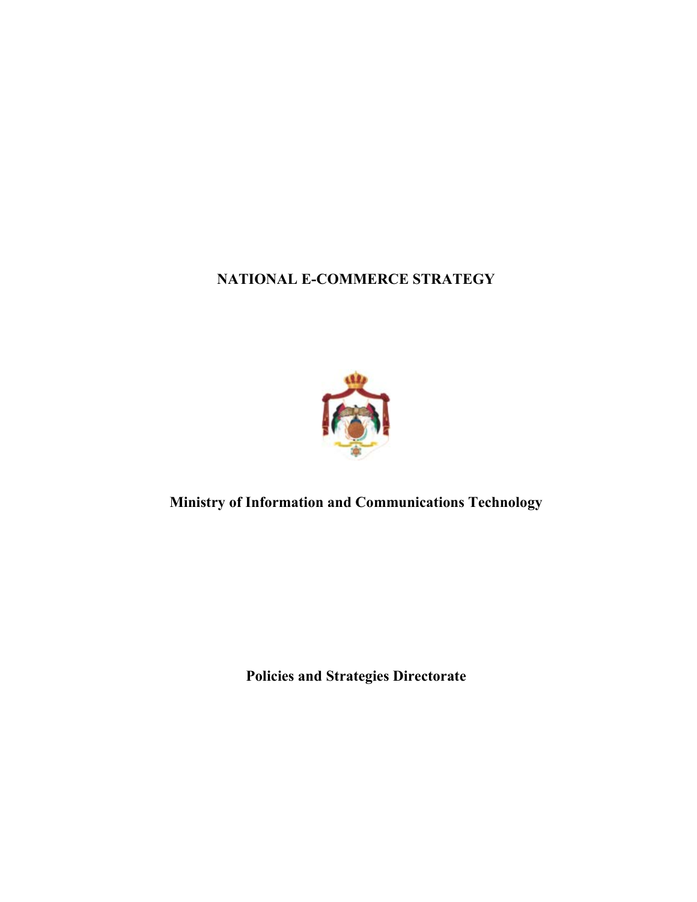**NATIONAL E-COMMERCE STRATEGY** 



**Ministry of Information and Communications Technology** 

**Policies and Strategies Directorate**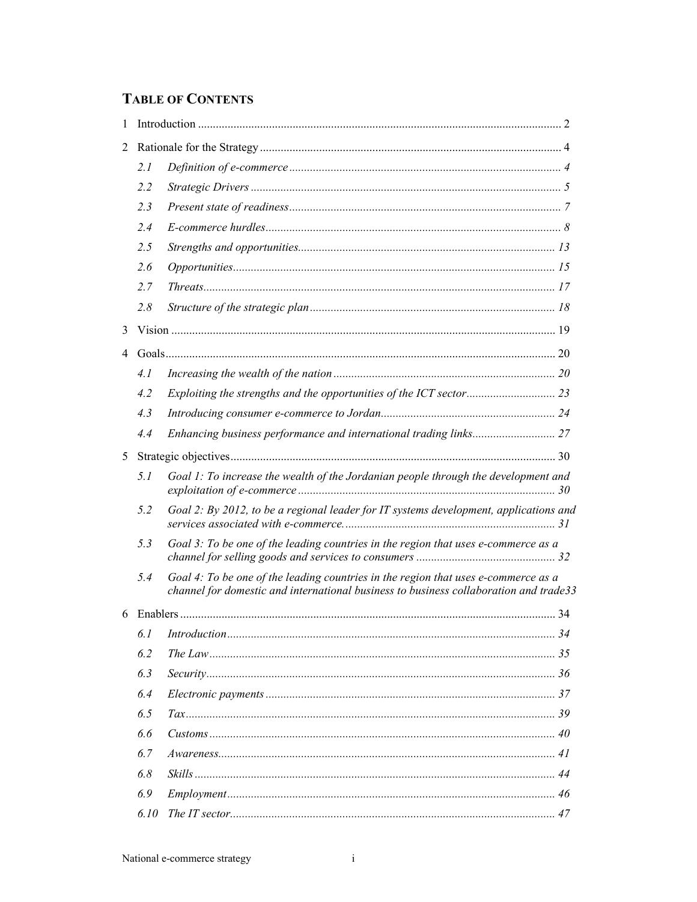# **TABLE OF CONTENTS**

| 1              |      |                                                                                                                                                                             |  |
|----------------|------|-----------------------------------------------------------------------------------------------------------------------------------------------------------------------------|--|
| 2              |      |                                                                                                                                                                             |  |
|                | 2.1  |                                                                                                                                                                             |  |
|                | 2.2  |                                                                                                                                                                             |  |
|                | 2.3  |                                                                                                                                                                             |  |
|                | 2.4  |                                                                                                                                                                             |  |
|                | 2.5  |                                                                                                                                                                             |  |
|                | 2.6  |                                                                                                                                                                             |  |
|                | 2.7  |                                                                                                                                                                             |  |
|                | 2.8  |                                                                                                                                                                             |  |
| 3              |      |                                                                                                                                                                             |  |
| $\overline{4}$ |      |                                                                                                                                                                             |  |
|                | 4.1  |                                                                                                                                                                             |  |
|                | 4.2  |                                                                                                                                                                             |  |
|                | 4.3  |                                                                                                                                                                             |  |
|                | 4.4  |                                                                                                                                                                             |  |
| 5              |      |                                                                                                                                                                             |  |
|                | 5.1  | Goal 1: To increase the wealth of the Jordanian people through the development and                                                                                          |  |
|                | 5.2  | Goal 2: By 2012, to be a regional leader for IT systems development, applications and                                                                                       |  |
|                | 5.3  | Goal 3: To be one of the leading countries in the region that uses e-commerce as a                                                                                          |  |
|                | 5.4  | Goal 4: To be one of the leading countries in the region that uses e-commerce as a<br>channel for domestic and international business to business collaboration and trade33 |  |
| 6              |      |                                                                                                                                                                             |  |
|                | 6.1  |                                                                                                                                                                             |  |
|                | 6.2  |                                                                                                                                                                             |  |
|                | 6.3  |                                                                                                                                                                             |  |
|                | 6.4  |                                                                                                                                                                             |  |
|                | 6.5  |                                                                                                                                                                             |  |
|                | 6.6  |                                                                                                                                                                             |  |
|                | 6.7  |                                                                                                                                                                             |  |
|                | 6.8  |                                                                                                                                                                             |  |
|                | 6.9  |                                                                                                                                                                             |  |
|                | 6.10 |                                                                                                                                                                             |  |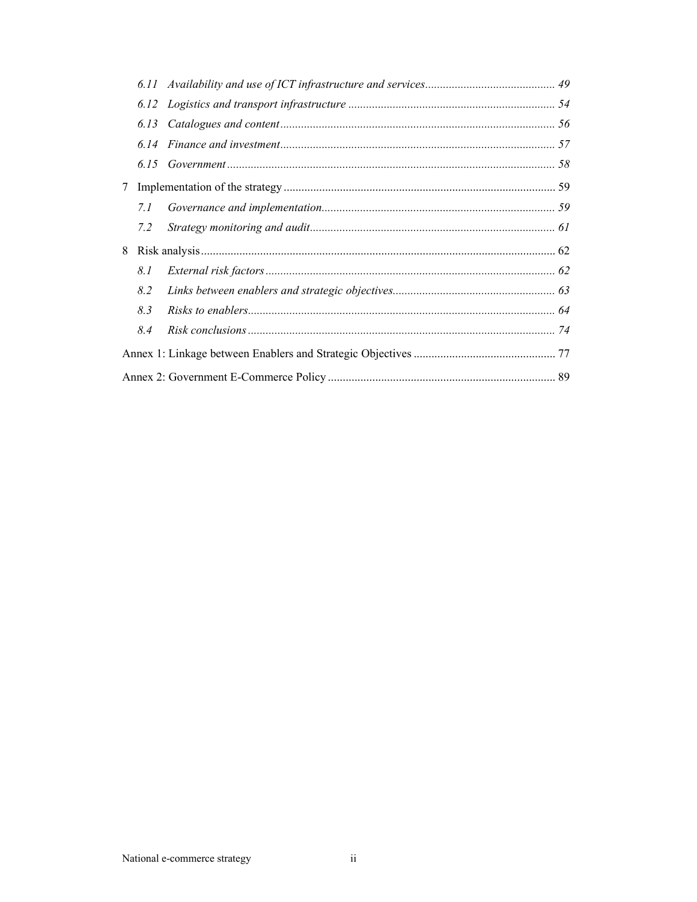|                 | 6.13 |  |
|-----------------|------|--|
|                 | 6.14 |  |
|                 | 6.15 |  |
| $7\phantom{.0}$ |      |  |
|                 | 7.1  |  |
|                 | 7.2  |  |
| 8               |      |  |
|                 | 8.1  |  |
|                 | 8.2  |  |
|                 | 8.3  |  |
|                 | 8.4  |  |
|                 |      |  |
|                 |      |  |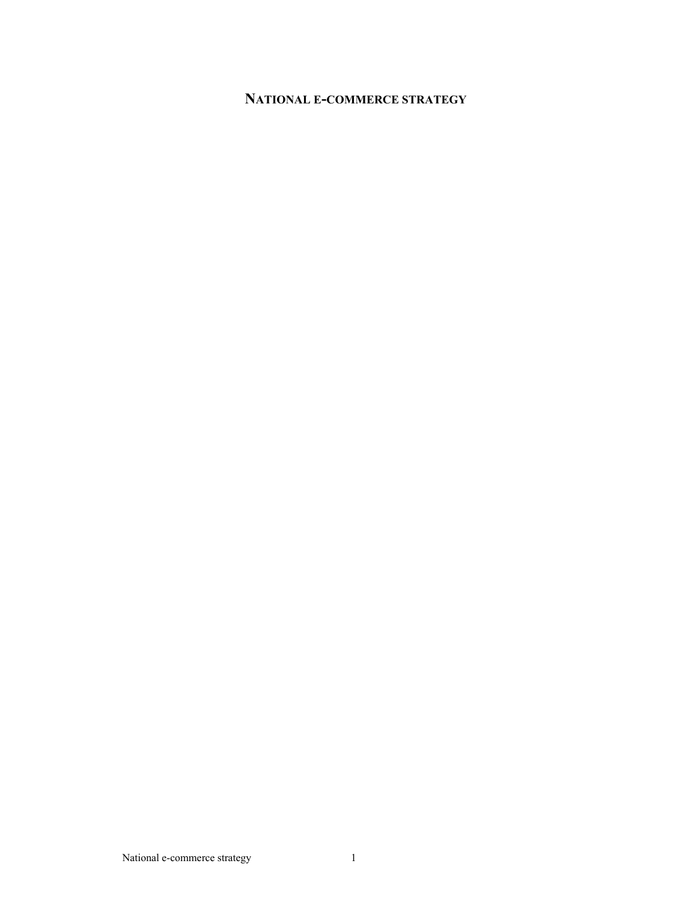# **NATIONAL E-COMMERCE STRATEGY**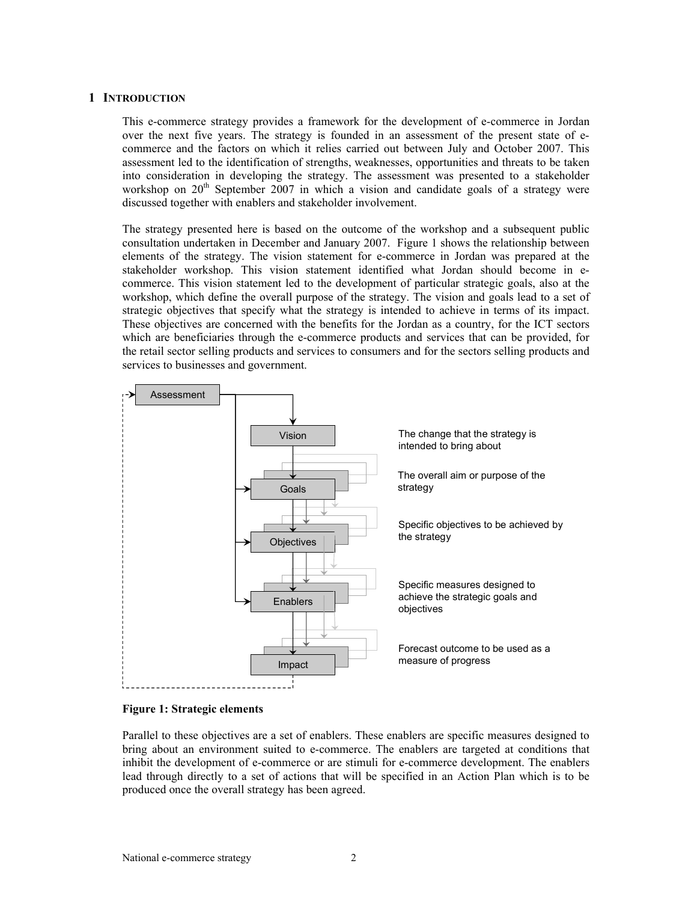# **1 INTRODUCTION**

This e-commerce strategy provides a framework for the development of e-commerce in Jordan over the next five years. The strategy is founded in an assessment of the present state of ecommerce and the factors on which it relies carried out between July and October 2007. This assessment led to the identification of strengths, weaknesses, opportunities and threats to be taken into consideration in developing the strategy. The assessment was presented to a stakeholder workshop on  $20<sup>th</sup>$  September 2007 in which a vision and candidate goals of a strategy were discussed together with enablers and stakeholder involvement.

The strategy presented here is based on the outcome of the workshop and a subsequent public consultation undertaken in December and January 2007. Figure 1 shows the relationship between elements of the strategy. The vision statement for e-commerce in Jordan was prepared at the stakeholder workshop. This vision statement identified what Jordan should become in ecommerce. This vision statement led to the development of particular strategic goals, also at the workshop, which define the overall purpose of the strategy. The vision and goals lead to a set of strategic objectives that specify what the strategy is intended to achieve in terms of its impact. These objectives are concerned with the benefits for the Jordan as a country, for the ICT sectors which are beneficiaries through the e-commerce products and services that can be provided, for the retail sector selling products and services to consumers and for the sectors selling products and services to businesses and government.



#### **Figure 1: Strategic elements**

Parallel to these objectives are a set of enablers. These enablers are specific measures designed to bring about an environment suited to e-commerce. The enablers are targeted at conditions that inhibit the development of e-commerce or are stimuli for e-commerce development. The enablers lead through directly to a set of actions that will be specified in an Action Plan which is to be produced once the overall strategy has been agreed.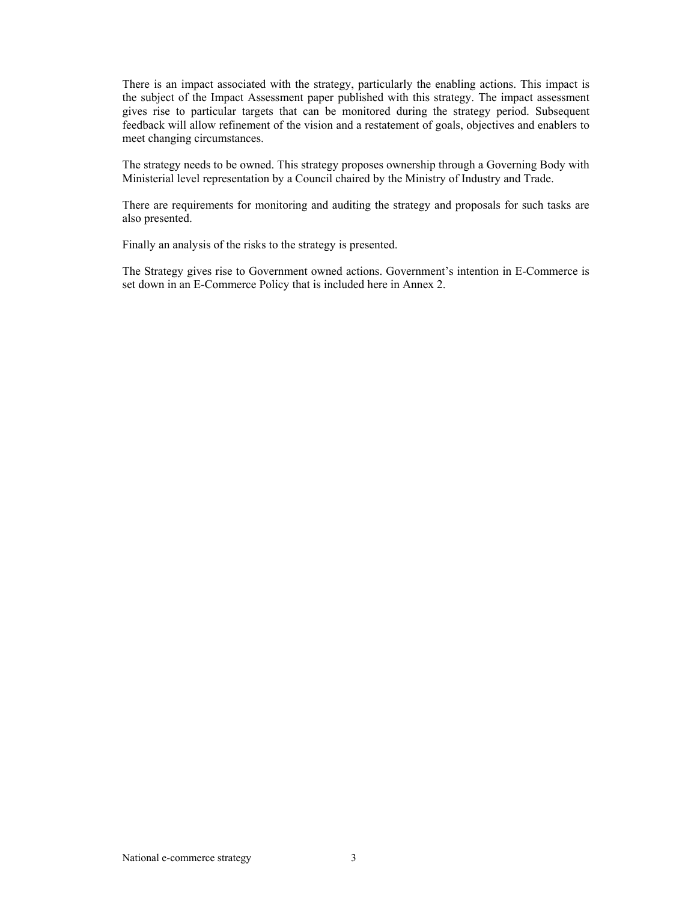There is an impact associated with the strategy, particularly the enabling actions. This impact is the subject of the Impact Assessment paper published with this strategy. The impact assessment gives rise to particular targets that can be monitored during the strategy period. Subsequent feedback will allow refinement of the vision and a restatement of goals, objectives and enablers to meet changing circumstances.

The strategy needs to be owned. This strategy proposes ownership through a Governing Body with Ministerial level representation by a Council chaired by the Ministry of Industry and Trade.

There are requirements for monitoring and auditing the strategy and proposals for such tasks are also presented.

Finally an analysis of the risks to the strategy is presented.

The Strategy gives rise to Government owned actions. Government's intention in E-Commerce is set down in an E-Commerce Policy that is included here in Annex 2.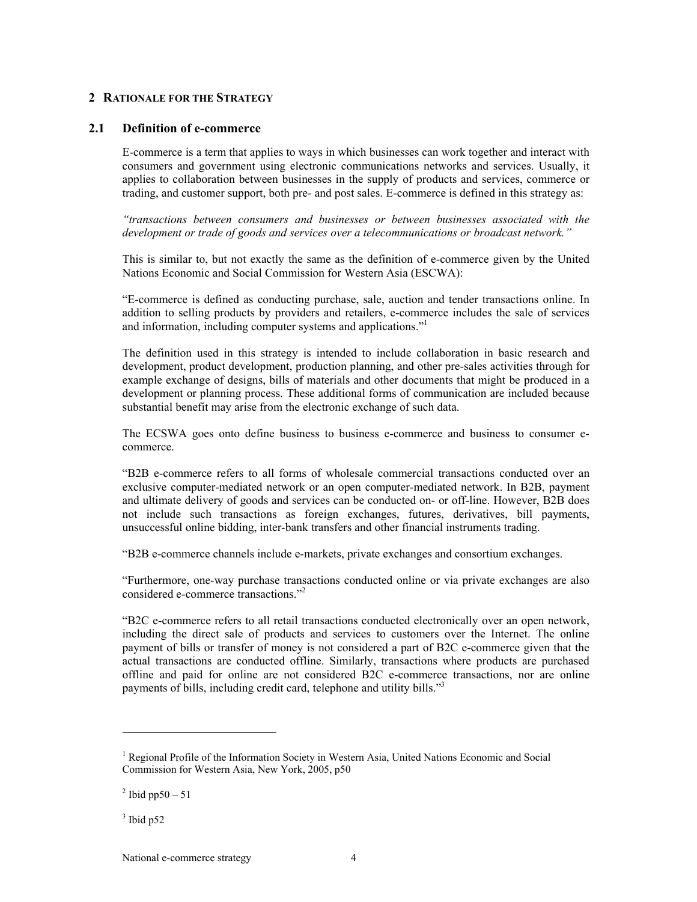# **2 RATIONALE FOR THE STRATEGY**

### **2.1 Definition of e-commerce**

E-commerce is a term that applies to ways in which businesses can work together and interact with consumers and government using electronic communications networks and services. Usually, it applies to collaboration between businesses in the supply of products and services, commerce or trading, and customer support, both pre- and post sales. E-commerce is defined in this strategy as:

*"transactions between consumers and businesses or between businesses associated with the development or trade of goods and services over a telecommunications or broadcast network."* 

This is similar to, but not exactly the same as the definition of e-commerce given by the United Nations Economic and Social Commission for Western Asia (ESCWA):

"E-commerce is defined as conducting purchase, sale, auction and tender transactions online. In addition to selling products by providers and retailers, e-commerce includes the sale of services and information, including computer systems and applications."1

The definition used in this strategy is intended to include collaboration in basic research and development, product development, production planning, and other pre-sales activities through for example exchange of designs, bills of materials and other documents that might be produced in a development or planning process. These additional forms of communication are included because substantial benefit may arise from the electronic exchange of such data.

The ECSWA goes onto define business to business e-commerce and business to consumer ecommerce.

"B2B e-commerce refers to all forms of wholesale commercial transactions conducted over an exclusive computer-mediated network or an open computer-mediated network. In B2B, payment and ultimate delivery of goods and services can be conducted on- or off-line. However, B2B does not include such transactions as foreign exchanges, futures, derivatives, bill payments, unsuccessful online bidding, inter-bank transfers and other financial instruments trading.

"B2B e-commerce channels include e-markets, private exchanges and consortium exchanges.

"Furthermore, one-way purchase transactions conducted online or via private exchanges are also considered e-commerce transactions<sup>"2</sup>

"B2C e-commerce refers to all retail transactions conducted electronically over an open network, including the direct sale of products and services to customers over the Internet. The online payment of bills or transfer of money is not considered a part of B2C e-commerce given that the actual transactions are conducted offline. Similarly, transactions where products are purchased offline and paid for online are not considered B2C e-commerce transactions, nor are online payments of bills, including credit card, telephone and utility bills."3

l

<sup>&</sup>lt;sup>1</sup> Regional Profile of the Information Society in Western Asia, United Nations Economic and Social Commission for Western Asia, New York, 2005, p50

 $^{2}$  Ibid pp50 – 51

 $3$  Ibid p52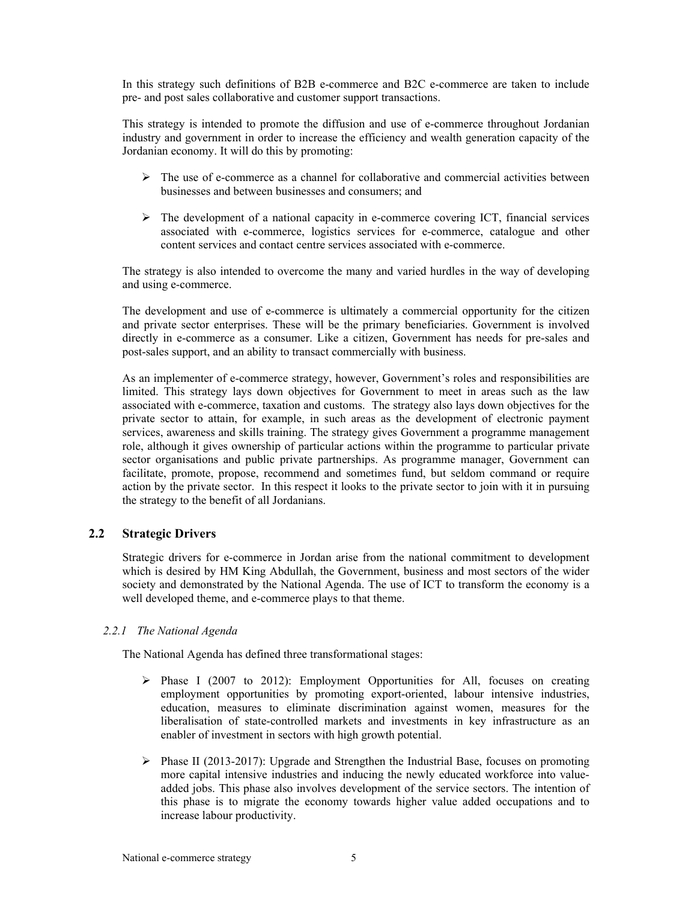In this strategy such definitions of B2B e-commerce and B2C e-commerce are taken to include pre- and post sales collaborative and customer support transactions.

This strategy is intended to promote the diffusion and use of e-commerce throughout Jordanian industry and government in order to increase the efficiency and wealth generation capacity of the Jordanian economy. It will do this by promoting:

- $\triangleright$  The use of e-commerce as a channel for collaborative and commercial activities between businesses and between businesses and consumers; and
- $\triangleright$  The development of a national capacity in e-commerce covering ICT, financial services associated with e-commerce, logistics services for e-commerce, catalogue and other content services and contact centre services associated with e-commerce.

The strategy is also intended to overcome the many and varied hurdles in the way of developing and using e-commerce.

The development and use of e-commerce is ultimately a commercial opportunity for the citizen and private sector enterprises. These will be the primary beneficiaries. Government is involved directly in e-commerce as a consumer. Like a citizen, Government has needs for pre-sales and post-sales support, and an ability to transact commercially with business.

As an implementer of e-commerce strategy, however, Government's roles and responsibilities are limited. This strategy lays down objectives for Government to meet in areas such as the law associated with e-commerce, taxation and customs. The strategy also lays down objectives for the private sector to attain, for example, in such areas as the development of electronic payment services, awareness and skills training. The strategy gives Government a programme management role, although it gives ownership of particular actions within the programme to particular private sector organisations and public private partnerships. As programme manager, Government can facilitate, promote, propose, recommend and sometimes fund, but seldom command or require action by the private sector. In this respect it looks to the private sector to join with it in pursuing the strategy to the benefit of all Jordanians.

## **2.2 Strategic Drivers**

Strategic drivers for e-commerce in Jordan arise from the national commitment to development which is desired by HM King Abdullah, the Government, business and most sectors of the wider society and demonstrated by the National Agenda. The use of ICT to transform the economy is a well developed theme, and e-commerce plays to that theme.

## *2.2.1 The National Agenda*

The National Agenda has defined three transformational stages:

- $\triangleright$  Phase I (2007 to 2012): Employment Opportunities for All, focuses on creating employment opportunities by promoting export-oriented, labour intensive industries, education, measures to eliminate discrimination against women, measures for the liberalisation of state-controlled markets and investments in key infrastructure as an enabler of investment in sectors with high growth potential.
- $\triangleright$  Phase II (2013-2017): Upgrade and Strengthen the Industrial Base, focuses on promoting more capital intensive industries and inducing the newly educated workforce into valueadded jobs. This phase also involves development of the service sectors. The intention of this phase is to migrate the economy towards higher value added occupations and to increase labour productivity.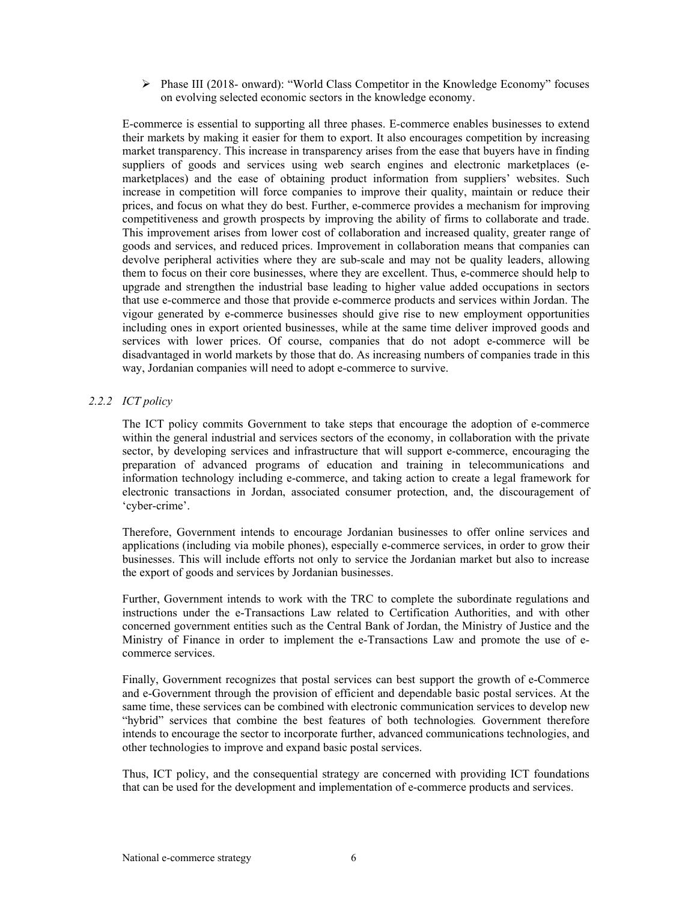$\triangleright$  Phase III (2018- onward): "World Class Competitor in the Knowledge Economy" focuses on evolving selected economic sectors in the knowledge economy.

E-commerce is essential to supporting all three phases. E-commerce enables businesses to extend their markets by making it easier for them to export. It also encourages competition by increasing market transparency. This increase in transparency arises from the ease that buyers have in finding suppliers of goods and services using web search engines and electronic marketplaces (emarketplaces) and the ease of obtaining product information from suppliers' websites. Such increase in competition will force companies to improve their quality, maintain or reduce their prices, and focus on what they do best. Further, e-commerce provides a mechanism for improving competitiveness and growth prospects by improving the ability of firms to collaborate and trade. This improvement arises from lower cost of collaboration and increased quality, greater range of goods and services, and reduced prices. Improvement in collaboration means that companies can devolve peripheral activities where they are sub-scale and may not be quality leaders, allowing them to focus on their core businesses, where they are excellent. Thus, e-commerce should help to upgrade and strengthen the industrial base leading to higher value added occupations in sectors that use e-commerce and those that provide e-commerce products and services within Jordan. The vigour generated by e-commerce businesses should give rise to new employment opportunities including ones in export oriented businesses, while at the same time deliver improved goods and services with lower prices. Of course, companies that do not adopt e-commerce will be disadvantaged in world markets by those that do. As increasing numbers of companies trade in this way, Jordanian companies will need to adopt e-commerce to survive.

# *2.2.2 ICT policy*

The ICT policy commits Government to take steps that encourage the adoption of e-commerce within the general industrial and services sectors of the economy, in collaboration with the private sector, by developing services and infrastructure that will support e-commerce, encouraging the preparation of advanced programs of education and training in telecommunications and information technology including e-commerce, and taking action to create a legal framework for electronic transactions in Jordan, associated consumer protection, and, the discouragement of 'cyber-crime'.

Therefore, Government intends to encourage Jordanian businesses to offer online services and applications (including via mobile phones), especially e-commerce services, in order to grow their businesses. This will include efforts not only to service the Jordanian market but also to increase the export of goods and services by Jordanian businesses.

Further, Government intends to work with the TRC to complete the subordinate regulations and instructions under the e-Transactions Law related to Certification Authorities, and with other concerned government entities such as the Central Bank of Jordan, the Ministry of Justice and the Ministry of Finance in order to implement the e-Transactions Law and promote the use of ecommerce services.

Finally, Government recognizes that postal services can best support the growth of e-Commerce and e-Government through the provision of efficient and dependable basic postal services. At the same time, these services can be combined with electronic communication services to develop new "hybrid" services that combine the best features of both technologies*.* Government therefore intends to encourage the sector to incorporate further, advanced communications technologies, and other technologies to improve and expand basic postal services.

Thus, ICT policy, and the consequential strategy are concerned with providing ICT foundations that can be used for the development and implementation of e-commerce products and services.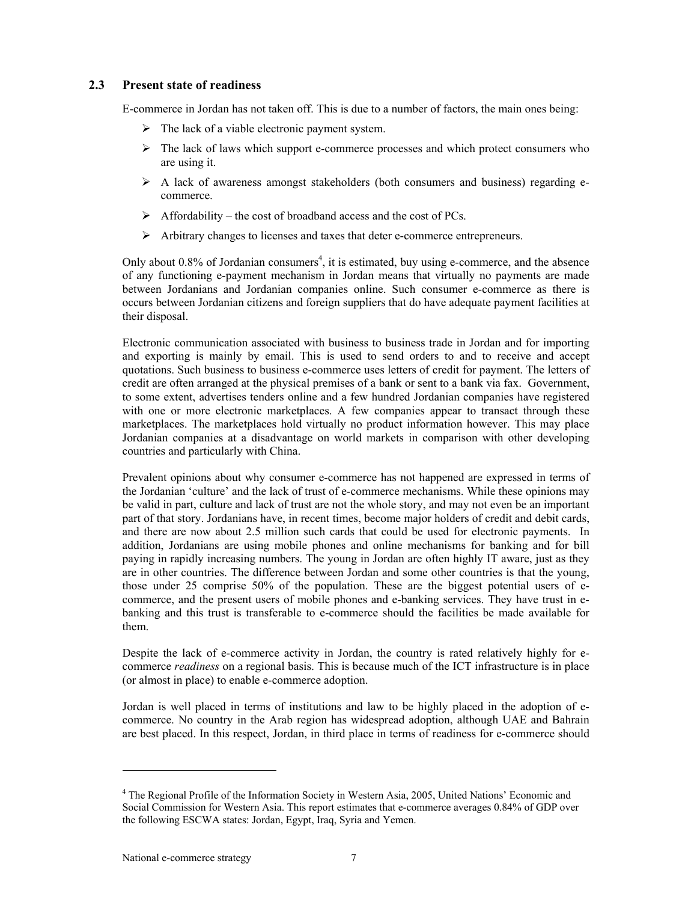# **2.3 Present state of readiness**

E-commerce in Jordan has not taken off. This is due to a number of factors, the main ones being:

- $\triangleright$  The lack of a viable electronic payment system.
- $\triangleright$  The lack of laws which support e-commerce processes and which protect consumers who are using it.
- $\triangleright$  A lack of awareness amongst stakeholders (both consumers and business) regarding ecommerce.
- $\triangleright$  Affordability the cost of broadband access and the cost of PCs.
- ¾ Arbitrary changes to licenses and taxes that deter e-commerce entrepreneurs.

Only about 0.8% of Jordanian consumers<sup>4</sup>, it is estimated, buy using e-commerce, and the absence of any functioning e-payment mechanism in Jordan means that virtually no payments are made between Jordanians and Jordanian companies online. Such consumer e-commerce as there is occurs between Jordanian citizens and foreign suppliers that do have adequate payment facilities at their disposal.

Electronic communication associated with business to business trade in Jordan and for importing and exporting is mainly by email. This is used to send orders to and to receive and accept quotations. Such business to business e-commerce uses letters of credit for payment. The letters of credit are often arranged at the physical premises of a bank or sent to a bank via fax. Government, to some extent, advertises tenders online and a few hundred Jordanian companies have registered with one or more electronic marketplaces. A few companies appear to transact through these marketplaces. The marketplaces hold virtually no product information however. This may place Jordanian companies at a disadvantage on world markets in comparison with other developing countries and particularly with China.

Prevalent opinions about why consumer e-commerce has not happened are expressed in terms of the Jordanian 'culture' and the lack of trust of e-commerce mechanisms. While these opinions may be valid in part, culture and lack of trust are not the whole story, and may not even be an important part of that story. Jordanians have, in recent times, become major holders of credit and debit cards, and there are now about 2.5 million such cards that could be used for electronic payments. In addition, Jordanians are using mobile phones and online mechanisms for banking and for bill paying in rapidly increasing numbers. The young in Jordan are often highly IT aware, just as they are in other countries. The difference between Jordan and some other countries is that the young, those under 25 comprise 50% of the population. These are the biggest potential users of ecommerce, and the present users of mobile phones and e-banking services. They have trust in ebanking and this trust is transferable to e-commerce should the facilities be made available for them.

Despite the lack of e-commerce activity in Jordan, the country is rated relatively highly for ecommerce *readiness* on a regional basis. This is because much of the ICT infrastructure is in place (or almost in place) to enable e-commerce adoption.

Jordan is well placed in terms of institutions and law to be highly placed in the adoption of ecommerce. No country in the Arab region has widespread adoption, although UAE and Bahrain are best placed. In this respect, Jordan, in third place in terms of readiness for e-commerce should

l

<sup>&</sup>lt;sup>4</sup> The Regional Profile of the Information Society in Western Asia, 2005, United Nations' Economic and Social Commission for Western Asia. This report estimates that e-commerce averages 0.84% of GDP over the following ESCWA states: Jordan, Egypt, Iraq, Syria and Yemen.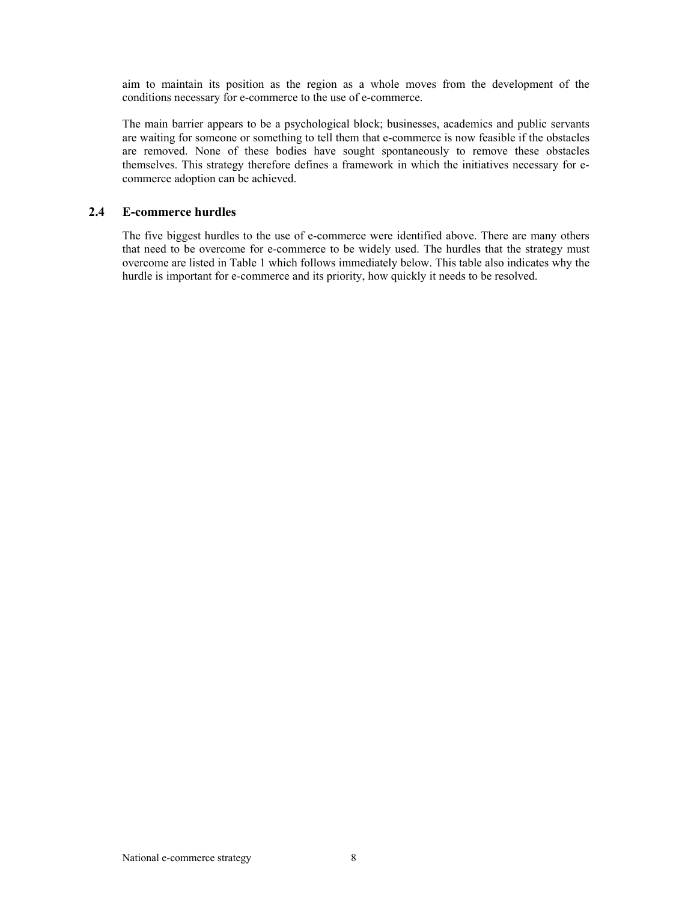aim to maintain its position as the region as a whole moves from the development of the conditions necessary for e-commerce to the use of e-commerce.

The main barrier appears to be a psychological block; businesses, academics and public servants are waiting for someone or something to tell them that e-commerce is now feasible if the obstacles are removed. None of these bodies have sought spontaneously to remove these obstacles themselves. This strategy therefore defines a framework in which the initiatives necessary for ecommerce adoption can be achieved.

# **2.4 E-commerce hurdles**

The five biggest hurdles to the use of e-commerce were identified above. There are many others that need to be overcome for e-commerce to be widely used. The hurdles that the strategy must overcome are listed in Table 1 which follows immediately below. This table also indicates why the hurdle is important for e-commerce and its priority, how quickly it needs to be resolved.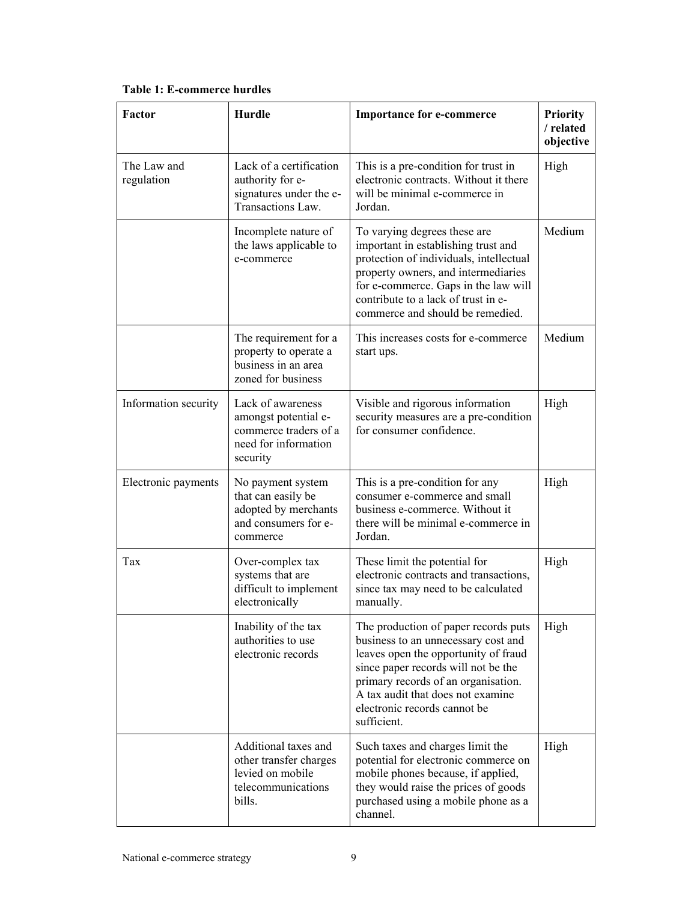| Factor                    | <b>Hurdle</b>                                                                                          | <b>Importance for e-commerce</b>                                                                                                                                                                                                                                                      | Priority<br>/ related<br>objective |
|---------------------------|--------------------------------------------------------------------------------------------------------|---------------------------------------------------------------------------------------------------------------------------------------------------------------------------------------------------------------------------------------------------------------------------------------|------------------------------------|
| The Law and<br>regulation | Lack of a certification<br>authority for e-<br>signatures under the e-<br>Transactions Law.            | This is a pre-condition for trust in<br>electronic contracts. Without it there<br>will be minimal e-commerce in<br>Jordan.                                                                                                                                                            | High                               |
|                           | Incomplete nature of<br>the laws applicable to<br>e-commerce                                           | To varying degrees these are<br>important in establishing trust and<br>protection of individuals, intellectual<br>property owners, and intermediaries<br>for e-commerce. Gaps in the law will<br>contribute to a lack of trust in e-<br>commerce and should be remedied.              | Medium                             |
|                           | The requirement for a<br>property to operate a<br>business in an area<br>zoned for business            | This increases costs for e-commerce<br>start ups.                                                                                                                                                                                                                                     | Medium                             |
| Information security      | Lack of awareness<br>amongst potential e-<br>commerce traders of a<br>need for information<br>security | Visible and rigorous information<br>security measures are a pre-condition<br>for consumer confidence.                                                                                                                                                                                 | High                               |
| Electronic payments       | No payment system<br>that can easily be<br>adopted by merchants<br>and consumers for e-<br>commerce    | This is a pre-condition for any<br>consumer e-commerce and small<br>business e-commerce. Without it<br>there will be minimal e-commerce in<br>Jordan.                                                                                                                                 | High                               |
| Tax                       | Over-complex tax<br>systems that are<br>difficult to implement<br>electronically                       | These limit the potential for<br>electronic contracts and transactions,<br>since tax may need to be calculated<br>manually.                                                                                                                                                           | High                               |
|                           | Inability of the tax<br>authorities to use<br>electronic records                                       | The production of paper records puts<br>business to an unnecessary cost and<br>leaves open the opportunity of fraud<br>since paper records will not be the<br>primary records of an organisation.<br>A tax audit that does not examine<br>electronic records cannot be<br>sufficient. | High                               |
|                           | Additional taxes and<br>other transfer charges<br>levied on mobile<br>telecommunications<br>bills.     | Such taxes and charges limit the<br>potential for electronic commerce on<br>mobile phones because, if applied,<br>they would raise the prices of goods<br>purchased using a mobile phone as a<br>channel.                                                                             | High                               |

**Table 1: E-commerce hurdles** 

 $\mathsf{L}%$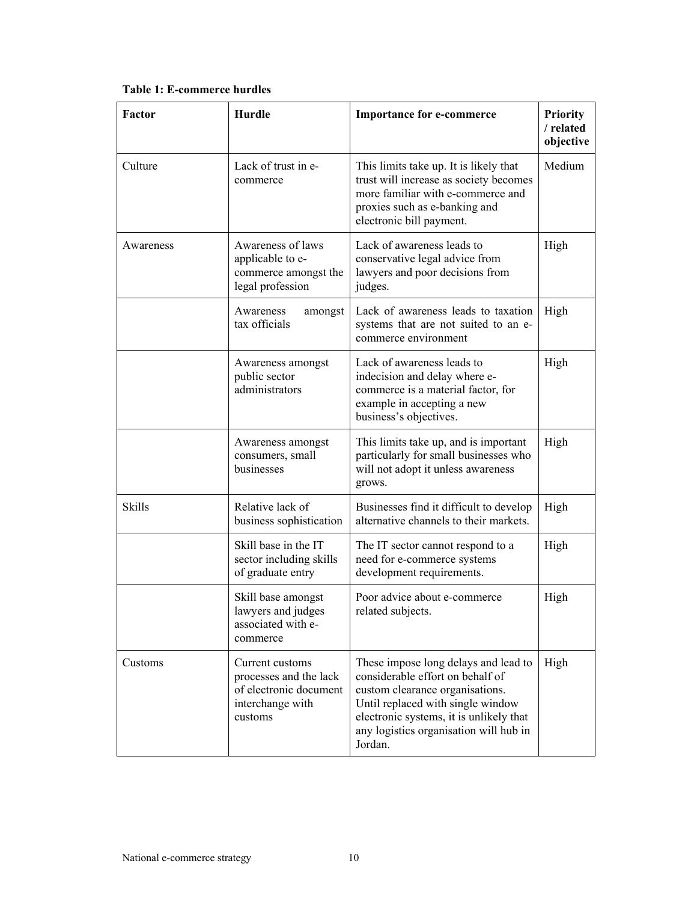| Factor        | <b>Hurdle</b>                                                                                      | <b>Importance for e-commerce</b>                                                                                                                                                                                                                 | <b>Priority</b><br>/ related<br>objective |
|---------------|----------------------------------------------------------------------------------------------------|--------------------------------------------------------------------------------------------------------------------------------------------------------------------------------------------------------------------------------------------------|-------------------------------------------|
| Culture       | Lack of trust in e-<br>commerce                                                                    | This limits take up. It is likely that<br>trust will increase as society becomes<br>more familiar with e-commerce and<br>proxies such as e-banking and<br>electronic bill payment.                                                               | Medium                                    |
| Awareness     | Awareness of laws<br>applicable to e-<br>commerce amongst the<br>legal profession                  | Lack of awareness leads to<br>conservative legal advice from<br>lawyers and poor decisions from<br>judges.                                                                                                                                       | High                                      |
|               | Awareness<br>amongst<br>tax officials                                                              | Lack of awareness leads to taxation<br>systems that are not suited to an e-<br>commerce environment                                                                                                                                              | High                                      |
|               | Awareness amongst<br>public sector<br>administrators                                               | Lack of awareness leads to<br>indecision and delay where e-<br>commerce is a material factor, for<br>example in accepting a new<br>business's objectives.                                                                                        | High                                      |
|               | Awareness amongst<br>consumers, small<br>businesses                                                | This limits take up, and is important<br>particularly for small businesses who<br>will not adopt it unless awareness<br>grows.                                                                                                                   | High                                      |
| <b>Skills</b> | Relative lack of<br>business sophistication                                                        | Businesses find it difficult to develop<br>alternative channels to their markets.                                                                                                                                                                | High                                      |
|               | Skill base in the IT<br>sector including skills<br>of graduate entry                               | The IT sector cannot respond to a<br>need for e-commerce systems<br>development requirements.                                                                                                                                                    | High                                      |
|               | Skill base amongst<br>lawyers and judges<br>associated with e-<br>commerce                         | Poor advice about e-commerce<br>related subjects.                                                                                                                                                                                                | High                                      |
| Customs       | Current customs<br>processes and the lack<br>of electronic document<br>interchange with<br>customs | These impose long delays and lead to<br>considerable effort on behalf of<br>custom clearance organisations.<br>Until replaced with single window<br>electronic systems, it is unlikely that<br>any logistics organisation will hub in<br>Jordan. | High                                      |

**Table 1: E-commerce hurdles**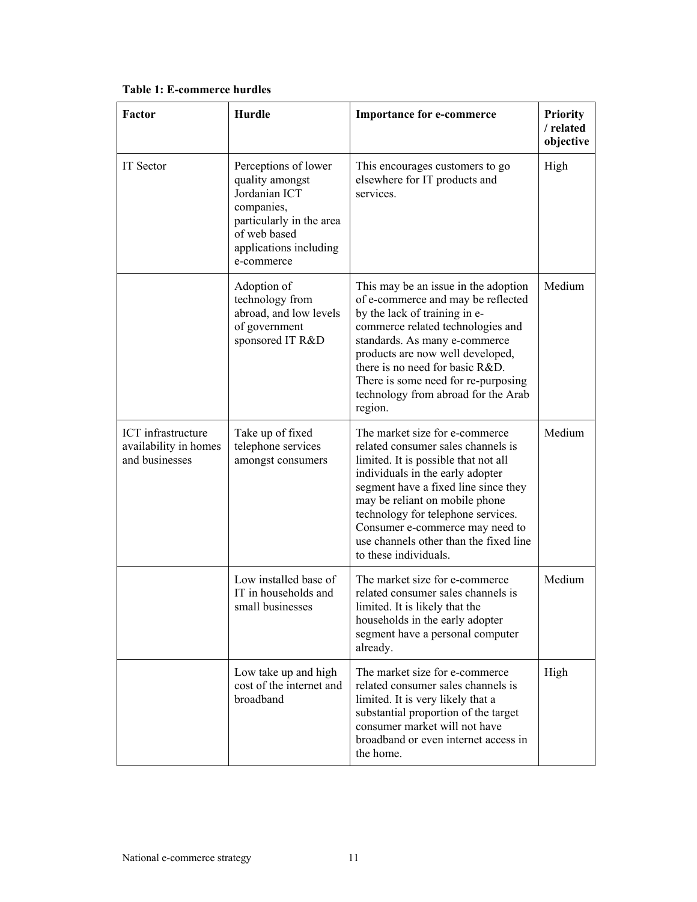| <b>Factor</b>                                                 | <b>Hurdle</b>                                                                                                                                              | <b>Importance for e-commerce</b>                                                                                                                                                                                                                                                                                                                                       | <b>Priority</b><br>/ related<br>objective |
|---------------------------------------------------------------|------------------------------------------------------------------------------------------------------------------------------------------------------------|------------------------------------------------------------------------------------------------------------------------------------------------------------------------------------------------------------------------------------------------------------------------------------------------------------------------------------------------------------------------|-------------------------------------------|
| IT Sector                                                     | Perceptions of lower<br>quality amongst<br>Jordanian ICT<br>companies,<br>particularly in the area<br>of web based<br>applications including<br>e-commerce | This encourages customers to go<br>elsewhere for IT products and<br>services.                                                                                                                                                                                                                                                                                          | High                                      |
|                                                               | Adoption of<br>technology from<br>abroad, and low levels<br>of government<br>sponsored IT R&D                                                              | This may be an issue in the adoption<br>of e-commerce and may be reflected<br>by the lack of training in e-<br>commerce related technologies and<br>standards. As many e-commerce<br>products are now well developed,<br>there is no need for basic R&D.<br>There is some need for re-purposing<br>technology from abroad for the Arab<br>region.                      | Medium                                    |
| ICT infrastructure<br>availability in homes<br>and businesses | Take up of fixed<br>telephone services<br>amongst consumers                                                                                                | The market size for e-commerce<br>related consumer sales channels is<br>limited. It is possible that not all<br>individuals in the early adopter<br>segment have a fixed line since they<br>may be reliant on mobile phone<br>technology for telephone services.<br>Consumer e-commerce may need to<br>use channels other than the fixed line<br>to these individuals. | Medium                                    |
|                                                               | Low installed base of<br>IT in households and<br>small businesses                                                                                          | The market size for e-commerce<br>related consumer sales channels is<br>limited. It is likely that the<br>households in the early adopter<br>segment have a personal computer<br>already.                                                                                                                                                                              | Medium                                    |
|                                                               | Low take up and high<br>cost of the internet and<br>broadband                                                                                              | The market size for e-commerce<br>related consumer sales channels is<br>limited. It is very likely that a<br>substantial proportion of the target<br>consumer market will not have<br>broadband or even internet access in<br>the home.                                                                                                                                | High                                      |

# **Table 1: E-commerce hurdles**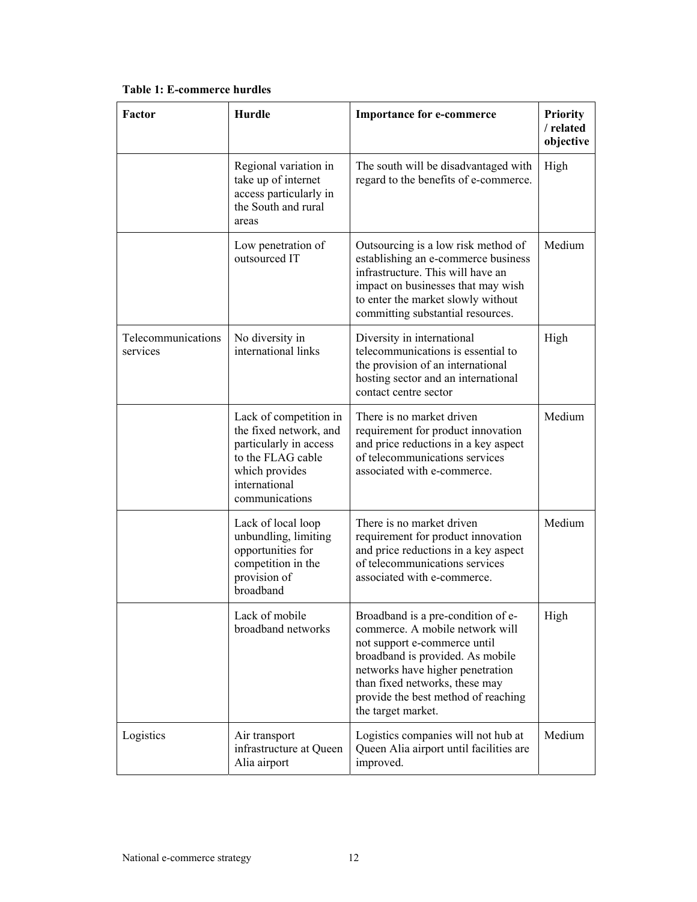| Factor                         | <b>Hurdle</b>                                                                                                                                        | <b>Importance for e-commerce</b>                                                                                                                                                                                                                                             | <b>Priority</b><br>/ related<br>objective |
|--------------------------------|------------------------------------------------------------------------------------------------------------------------------------------------------|------------------------------------------------------------------------------------------------------------------------------------------------------------------------------------------------------------------------------------------------------------------------------|-------------------------------------------|
|                                | Regional variation in<br>take up of internet<br>access particularly in<br>the South and rural<br>areas                                               | The south will be disadvantaged with<br>regard to the benefits of e-commerce.                                                                                                                                                                                                | High                                      |
|                                | Low penetration of<br>outsourced IT                                                                                                                  | Outsourcing is a low risk method of<br>establishing an e-commerce business<br>infrastructure. This will have an<br>impact on businesses that may wish<br>to enter the market slowly without<br>committing substantial resources.                                             | Medium                                    |
| Telecommunications<br>services | No diversity in<br>international links                                                                                                               | Diversity in international<br>telecommunications is essential to<br>the provision of an international<br>hosting sector and an international<br>contact centre sector                                                                                                        | High                                      |
|                                | Lack of competition in<br>the fixed network, and<br>particularly in access<br>to the FLAG cable<br>which provides<br>international<br>communications | There is no market driven<br>requirement for product innovation<br>and price reductions in a key aspect<br>of telecommunications services<br>associated with e-commerce.                                                                                                     | Medium                                    |
|                                | Lack of local loop<br>unbundling, limiting<br>opportunities for<br>competition in the<br>provision of<br>broadband                                   | There is no market driven<br>requirement for product innovation<br>and price reductions in a key aspect<br>of telecommunications services<br>associated with e-commerce.                                                                                                     | Medium                                    |
|                                | Lack of mobile<br>broadband networks                                                                                                                 | Broadband is a pre-condition of e-<br>commerce. A mobile network will<br>not support e-commerce until<br>broadband is provided. As mobile<br>networks have higher penetration<br>than fixed networks, these may<br>provide the best method of reaching<br>the target market. | High                                      |
| Logistics                      | Air transport<br>infrastructure at Queen<br>Alia airport                                                                                             | Logistics companies will not hub at<br>Queen Alia airport until facilities are<br>improved.                                                                                                                                                                                  | Medium                                    |

**Table 1: E-commerce hurdles**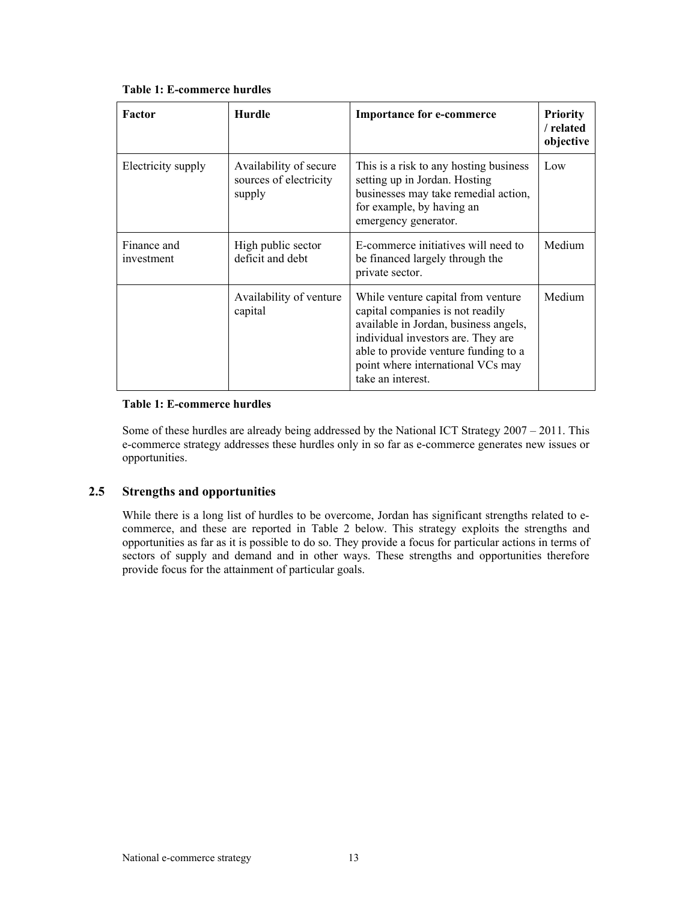| Factor                    | <b>Hurdle</b>                                              | <b>Importance for e-commerce</b>                                                                                                                                                                                                                        | <b>Priority</b><br>/ related<br>objective |
|---------------------------|------------------------------------------------------------|---------------------------------------------------------------------------------------------------------------------------------------------------------------------------------------------------------------------------------------------------------|-------------------------------------------|
| Electricity supply        | Availability of secure<br>sources of electricity<br>supply | This is a risk to any hosting business<br>setting up in Jordan. Hosting<br>businesses may take remedial action,<br>for example, by having an<br>emergency generator.                                                                                    | Low                                       |
| Finance and<br>investment | High public sector<br>deficit and debt                     | E-commerce initiatives will need to<br>be financed largely through the<br>private sector.                                                                                                                                                               | Medium                                    |
|                           | Availability of venture<br>capital                         | While venture capital from venture<br>capital companies is not readily<br>available in Jordan, business angels,<br>individual investors are. They are<br>able to provide venture funding to a<br>point where international VCs may<br>take an interest. | Medium                                    |

**Table 1: E-commerce hurdles** 

## **Table 1: E-commerce hurdles**

Some of these hurdles are already being addressed by the National ICT Strategy 2007 – 2011. This e-commerce strategy addresses these hurdles only in so far as e-commerce generates new issues or opportunities.

# **2.5 Strengths and opportunities**

While there is a long list of hurdles to be overcome, Jordan has significant strengths related to ecommerce, and these are reported in Table 2 below. This strategy exploits the strengths and opportunities as far as it is possible to do so. They provide a focus for particular actions in terms of sectors of supply and demand and in other ways. These strengths and opportunities therefore provide focus for the attainment of particular goals.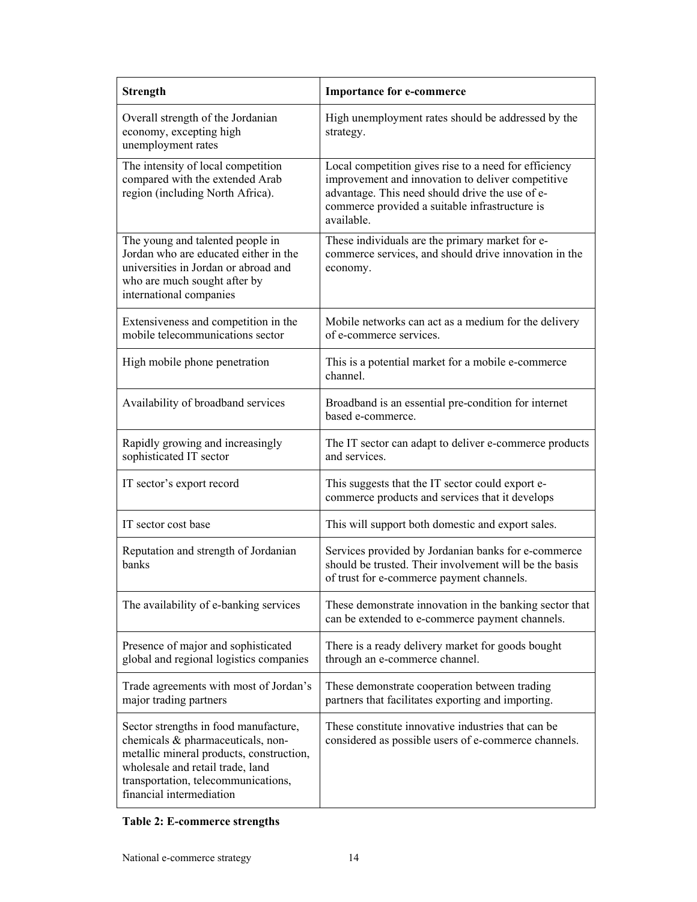| <b>Strength</b>                                                                                                                                                                                                               | <b>Importance for e-commerce</b>                                                                                                                                                                                              |
|-------------------------------------------------------------------------------------------------------------------------------------------------------------------------------------------------------------------------------|-------------------------------------------------------------------------------------------------------------------------------------------------------------------------------------------------------------------------------|
| Overall strength of the Jordanian<br>economy, excepting high<br>unemployment rates                                                                                                                                            | High unemployment rates should be addressed by the<br>strategy.                                                                                                                                                               |
| The intensity of local competition<br>compared with the extended Arab<br>region (including North Africa).                                                                                                                     | Local competition gives rise to a need for efficiency<br>improvement and innovation to deliver competitive<br>advantage. This need should drive the use of e-<br>commerce provided a suitable infrastructure is<br>available. |
| The young and talented people in<br>Jordan who are educated either in the<br>universities in Jordan or abroad and<br>who are much sought after by<br>international companies                                                  | These individuals are the primary market for e-<br>commerce services, and should drive innovation in the<br>economy.                                                                                                          |
| Extensiveness and competition in the<br>mobile telecommunications sector                                                                                                                                                      | Mobile networks can act as a medium for the delivery<br>of e-commerce services.                                                                                                                                               |
| High mobile phone penetration                                                                                                                                                                                                 | This is a potential market for a mobile e-commerce<br>channel.                                                                                                                                                                |
| Availability of broadband services                                                                                                                                                                                            | Broadband is an essential pre-condition for internet<br>based e-commerce.                                                                                                                                                     |
| Rapidly growing and increasingly<br>sophisticated IT sector                                                                                                                                                                   | The IT sector can adapt to deliver e-commerce products<br>and services.                                                                                                                                                       |
| IT sector's export record                                                                                                                                                                                                     | This suggests that the IT sector could export e-<br>commerce products and services that it develops                                                                                                                           |
| IT sector cost base                                                                                                                                                                                                           | This will support both domestic and export sales.                                                                                                                                                                             |
| Reputation and strength of Jordanian<br>banks                                                                                                                                                                                 | Services provided by Jordanian banks for e-commerce<br>should be trusted. Their involvement will be the basis<br>of trust for e-commerce payment channels.                                                                    |
| The availability of e-banking services                                                                                                                                                                                        | These demonstrate innovation in the banking sector that<br>can be extended to e-commerce payment channels.                                                                                                                    |
| Presence of major and sophisticated<br>global and regional logistics companies                                                                                                                                                | There is a ready delivery market for goods bought<br>through an e-commerce channel.                                                                                                                                           |
| Trade agreements with most of Jordan's<br>major trading partners                                                                                                                                                              | These demonstrate cooperation between trading<br>partners that facilitates exporting and importing.                                                                                                                           |
| Sector strengths in food manufacture,<br>chemicals & pharmaceuticals, non-<br>metallic mineral products, construction,<br>wholesale and retail trade, land<br>transportation, telecommunications,<br>financial intermediation | These constitute innovative industries that can be.<br>considered as possible users of e-commerce channels.                                                                                                                   |

# **Table 2: E-commerce strengths**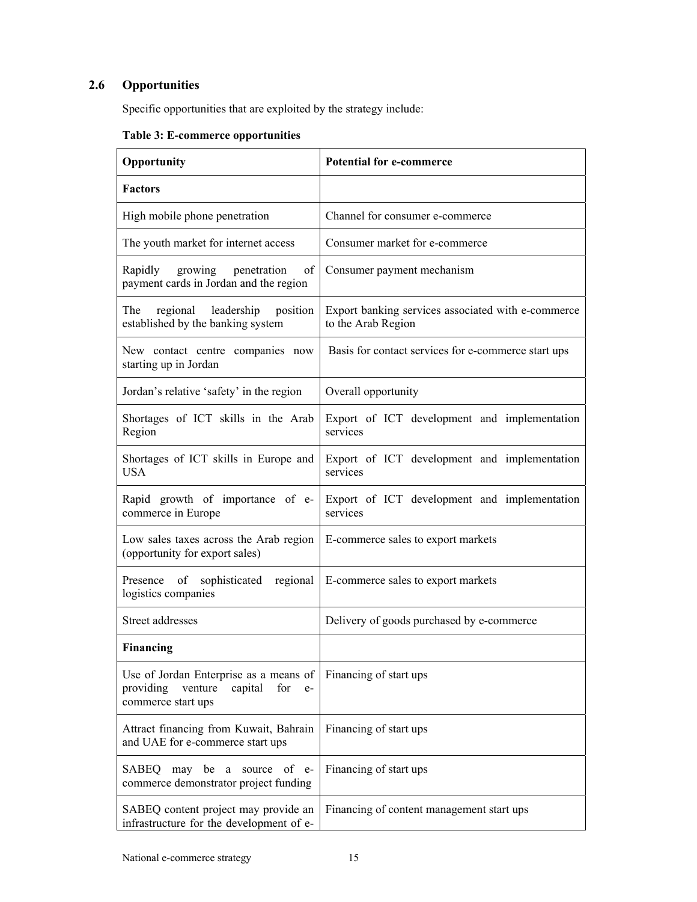# **2.6 Opportunities**

Specific opportunities that are exploited by the strategy include:

| Opportunity                                                                                                    | <b>Potential for e-commerce</b>                                          |
|----------------------------------------------------------------------------------------------------------------|--------------------------------------------------------------------------|
| <b>Factors</b>                                                                                                 |                                                                          |
| High mobile phone penetration                                                                                  | Channel for consumer e-commerce                                          |
| The youth market for internet access                                                                           | Consumer market for e-commerce                                           |
| Rapidly<br>growing<br>penetration<br>of<br>payment cards in Jordan and the region                              | Consumer payment mechanism                                               |
| regional leadership<br>The<br>position<br>established by the banking system                                    | Export banking services associated with e-commerce<br>to the Arab Region |
| New contact centre companies now<br>starting up in Jordan                                                      | Basis for contact services for e-commerce start ups                      |
| Jordan's relative 'safety' in the region                                                                       | Overall opportunity                                                      |
| Shortages of ICT skills in the Arab<br>Region                                                                  | Export of ICT development and implementation<br>services                 |
| Shortages of ICT skills in Europe and<br><b>USA</b>                                                            | Export of ICT development and implementation<br>services                 |
| Rapid growth of importance of e-<br>commerce in Europe                                                         | Export of ICT development and implementation<br>services                 |
| Low sales taxes across the Arab region<br>(opportunity for export sales)                                       | E-commerce sales to export markets                                       |
| of<br>sophisticated<br>regional<br>Presence<br>logistics companies                                             | E-commerce sales to export markets                                       |
| Street addresses                                                                                               | Delivery of goods purchased by e-commerce                                |
| <b>Financing</b>                                                                                               |                                                                          |
| Use of Jordan Enterprise as a means of<br>providing<br>venture<br>capital<br>for<br>$e-$<br>commerce start ups | Financing of start ups                                                   |
| Attract financing from Kuwait, Bahrain<br>and UAE for e-commerce start ups                                     | Financing of start ups                                                   |
| SABEQ<br>may be<br>of e-<br>a<br>source<br>commerce demonstrator project funding                               | Financing of start ups                                                   |
| SABEQ content project may provide an<br>infrastructure for the development of e-                               | Financing of content management start ups                                |

# **Table 3: E-commerce opportunities**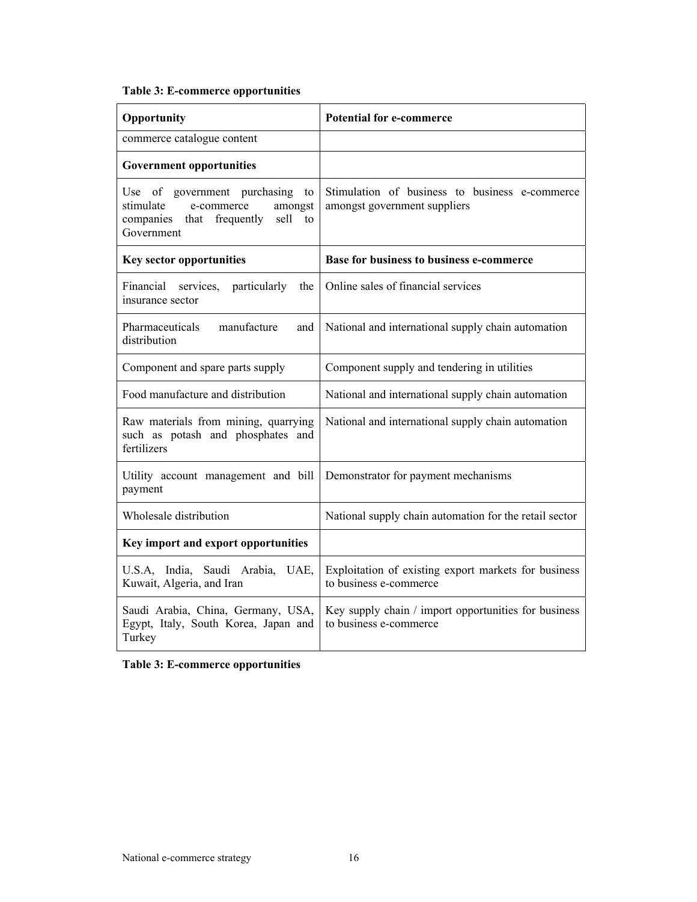# **Table 3: E-commerce opportunities**

| Opportunity                                                                                                                       | <b>Potential for e-commerce</b>                                                |
|-----------------------------------------------------------------------------------------------------------------------------------|--------------------------------------------------------------------------------|
| commerce catalogue content                                                                                                        |                                                                                |
| <b>Government opportunities</b>                                                                                                   |                                                                                |
| Use of government purchasing<br>to<br>stimulate<br>e-commerce<br>amongst<br>sell<br>companies that frequently<br>to<br>Government | Stimulation of business to business e-commerce<br>amongst government suppliers |
| <b>Key sector opportunities</b>                                                                                                   | <b>Base for business to business e-commerce</b>                                |
| particularly<br>the<br>Financial services.<br>insurance sector                                                                    | Online sales of financial services                                             |
| manufacture<br>Pharmaceuticals<br>and<br>distribution                                                                             | National and international supply chain automation                             |
| Component and spare parts supply                                                                                                  | Component supply and tendering in utilities                                    |
| Food manufacture and distribution                                                                                                 | National and international supply chain automation                             |
| Raw materials from mining, quarrying<br>such as potash and phosphates and<br>fertilizers                                          | National and international supply chain automation                             |
| Utility account management and bill<br>payment                                                                                    | Demonstrator for payment mechanisms                                            |
| Wholesale distribution                                                                                                            | National supply chain automation for the retail sector                         |
| Key import and export opportunities                                                                                               |                                                                                |
| U.S.A, India, Saudi Arabia, UAE,<br>Kuwait, Algeria, and Iran                                                                     | Exploitation of existing export markets for business<br>to business e-commerce |
| Saudi Arabia, China, Germany, USA,<br>Egypt, Italy, South Korea, Japan and<br>Turkey                                              | Key supply chain / import opportunities for business<br>to business e-commerce |

**Table 3: E-commerce opportunities**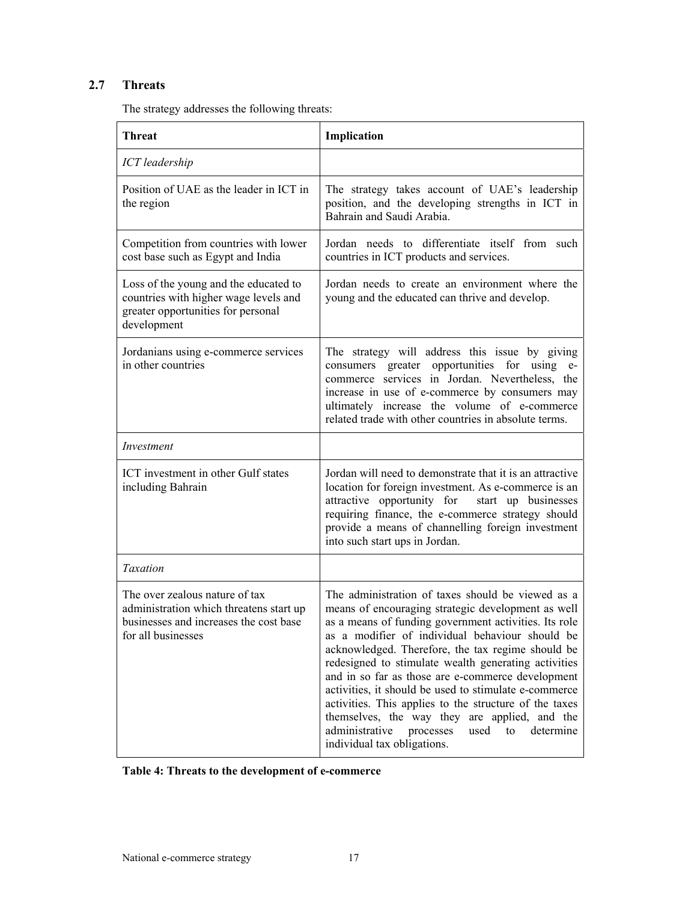# **2.7 Threats**

The strategy addresses the following threats:

| <b>Threat</b>                                                                                                                             | Implication                                                                                                                                                                                                                                                                                                                                                                                                                                                                                                                                                                                                                                        |
|-------------------------------------------------------------------------------------------------------------------------------------------|----------------------------------------------------------------------------------------------------------------------------------------------------------------------------------------------------------------------------------------------------------------------------------------------------------------------------------------------------------------------------------------------------------------------------------------------------------------------------------------------------------------------------------------------------------------------------------------------------------------------------------------------------|
| ICT leadership                                                                                                                            |                                                                                                                                                                                                                                                                                                                                                                                                                                                                                                                                                                                                                                                    |
| Position of UAE as the leader in ICT in<br>the region                                                                                     | The strategy takes account of UAE's leadership<br>position, and the developing strengths in ICT in<br>Bahrain and Saudi Arabia.                                                                                                                                                                                                                                                                                                                                                                                                                                                                                                                    |
| Competition from countries with lower<br>cost base such as Egypt and India                                                                | Jordan needs to differentiate itself from such<br>countries in ICT products and services.                                                                                                                                                                                                                                                                                                                                                                                                                                                                                                                                                          |
| Loss of the young and the educated to<br>countries with higher wage levels and<br>greater opportunities for personal<br>development       | Jordan needs to create an environment where the<br>young and the educated can thrive and develop.                                                                                                                                                                                                                                                                                                                                                                                                                                                                                                                                                  |
| Jordanians using e-commerce services<br>in other countries                                                                                | The strategy will address this issue by giving<br>consumers greater opportunities for using e-<br>commerce services in Jordan. Nevertheless, the<br>increase in use of e-commerce by consumers may<br>ultimately increase the volume of e-commerce<br>related trade with other countries in absolute terms.                                                                                                                                                                                                                                                                                                                                        |
| Investment                                                                                                                                |                                                                                                                                                                                                                                                                                                                                                                                                                                                                                                                                                                                                                                                    |
| ICT investment in other Gulf states<br>including Bahrain                                                                                  | Jordan will need to demonstrate that it is an attractive<br>location for foreign investment. As e-commerce is an<br>attractive opportunity for<br>start up businesses<br>requiring finance, the e-commerce strategy should<br>provide a means of channelling foreign investment<br>into such start ups in Jordan.                                                                                                                                                                                                                                                                                                                                  |
| Taxation                                                                                                                                  |                                                                                                                                                                                                                                                                                                                                                                                                                                                                                                                                                                                                                                                    |
| The over zealous nature of tax<br>administration which threatens start up<br>businesses and increases the cost base<br>for all businesses | The administration of taxes should be viewed as a<br>means of encouraging strategic development as well<br>as a means of funding government activities. Its role<br>as a modifier of individual behaviour should be<br>acknowledged. Therefore, the tax regime should be<br>redesigned to stimulate wealth generating activities<br>and in so far as those are e-commerce development<br>activities, it should be used to stimulate e-commerce<br>activities. This applies to the structure of the taxes<br>themselves, the way they are applied, and the<br>administrative<br>processes<br>used<br>determine<br>to<br>individual tax obligations. |

| Table 4: Threats to the development of e-commerce |
|---------------------------------------------------|
|---------------------------------------------------|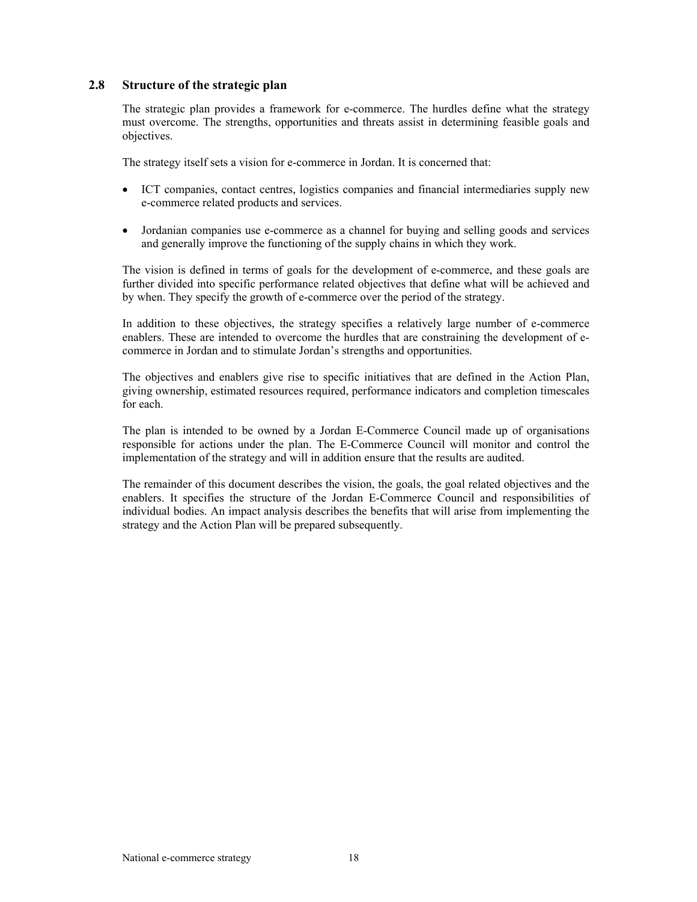# **2.8 Structure of the strategic plan**

The strategic plan provides a framework for e-commerce. The hurdles define what the strategy must overcome. The strengths, opportunities and threats assist in determining feasible goals and objectives.

The strategy itself sets a vision for e-commerce in Jordan. It is concerned that:

- ICT companies, contact centres, logistics companies and financial intermediaries supply new e-commerce related products and services.
- Jordanian companies use e-commerce as a channel for buying and selling goods and services and generally improve the functioning of the supply chains in which they work.

The vision is defined in terms of goals for the development of e-commerce, and these goals are further divided into specific performance related objectives that define what will be achieved and by when. They specify the growth of e-commerce over the period of the strategy.

In addition to these objectives, the strategy specifies a relatively large number of e-commerce enablers. These are intended to overcome the hurdles that are constraining the development of ecommerce in Jordan and to stimulate Jordan's strengths and opportunities.

The objectives and enablers give rise to specific initiatives that are defined in the Action Plan, giving ownership, estimated resources required, performance indicators and completion timescales for each.

The plan is intended to be owned by a Jordan E-Commerce Council made up of organisations responsible for actions under the plan. The E-Commerce Council will monitor and control the implementation of the strategy and will in addition ensure that the results are audited.

The remainder of this document describes the vision, the goals, the goal related objectives and the enablers. It specifies the structure of the Jordan E-Commerce Council and responsibilities of individual bodies. An impact analysis describes the benefits that will arise from implementing the strategy and the Action Plan will be prepared subsequently.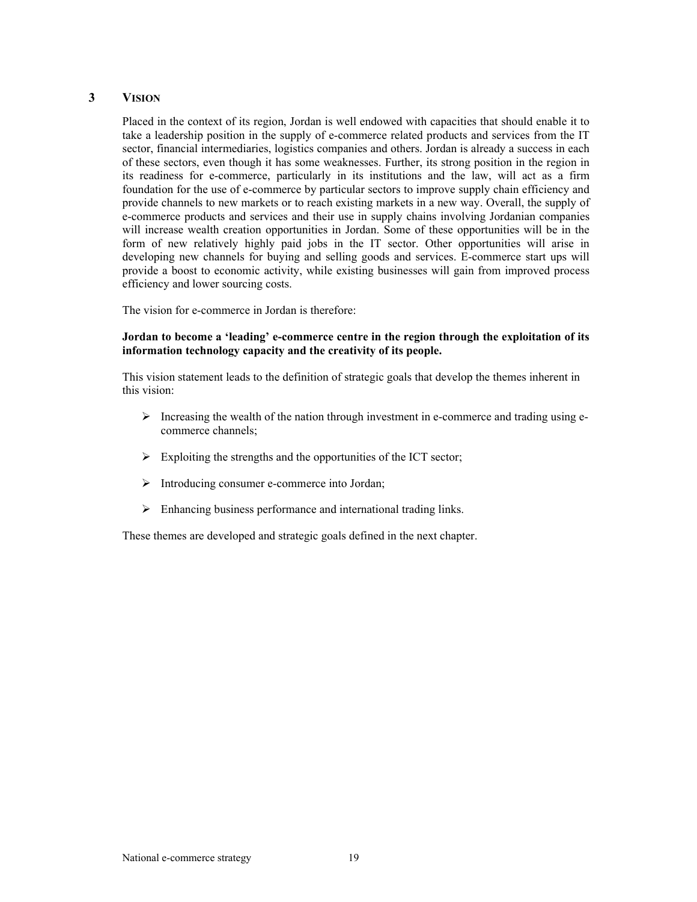# **3 VISION**

Placed in the context of its region, Jordan is well endowed with capacities that should enable it to take a leadership position in the supply of e-commerce related products and services from the IT sector, financial intermediaries, logistics companies and others. Jordan is already a success in each of these sectors, even though it has some weaknesses. Further, its strong position in the region in its readiness for e-commerce, particularly in its institutions and the law, will act as a firm foundation for the use of e-commerce by particular sectors to improve supply chain efficiency and provide channels to new markets or to reach existing markets in a new way. Overall, the supply of e-commerce products and services and their use in supply chains involving Jordanian companies will increase wealth creation opportunities in Jordan. Some of these opportunities will be in the form of new relatively highly paid jobs in the IT sector. Other opportunities will arise in developing new channels for buying and selling goods and services. E-commerce start ups will provide a boost to economic activity, while existing businesses will gain from improved process efficiency and lower sourcing costs.

The vision for e-commerce in Jordan is therefore:

### **Jordan to become a 'leading' e-commerce centre in the region through the exploitation of its information technology capacity and the creativity of its people.**

This vision statement leads to the definition of strategic goals that develop the themes inherent in this vision:

- $\triangleright$  Increasing the wealth of the nation through investment in e-commerce and trading using ecommerce channels;
- $\triangleright$  Exploiting the strengths and the opportunities of the ICT sector;
- $\triangleright$  Introducing consumer e-commerce into Jordan;
- $\triangleright$  Enhancing business performance and international trading links.

These themes are developed and strategic goals defined in the next chapter.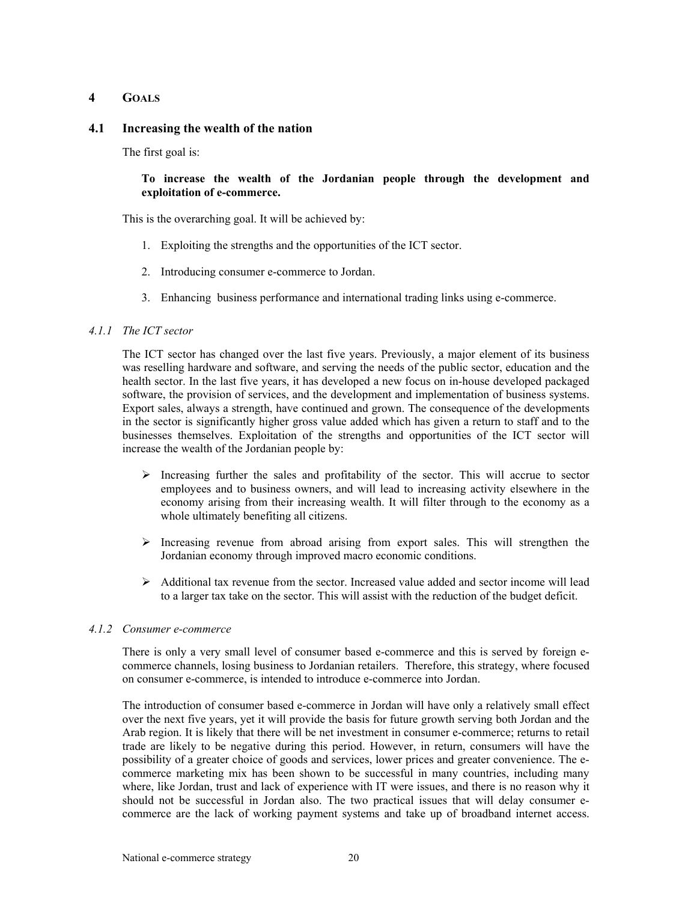# **4 GOALS**

# **4.1 Increasing the wealth of the nation**

The first goal is:

# **To increase the wealth of the Jordanian people through the development and exploitation of e-commerce.**

This is the overarching goal. It will be achieved by:

- 1. Exploiting the strengths and the opportunities of the ICT sector.
- 2. Introducing consumer e-commerce to Jordan.
- 3. Enhancing business performance and international trading links using e-commerce.

# *4.1.1 The ICT sector*

The ICT sector has changed over the last five years. Previously, a major element of its business was reselling hardware and software, and serving the needs of the public sector, education and the health sector. In the last five years, it has developed a new focus on in-house developed packaged software, the provision of services, and the development and implementation of business systems. Export sales, always a strength, have continued and grown. The consequence of the developments in the sector is significantly higher gross value added which has given a return to staff and to the businesses themselves. Exploitation of the strengths and opportunities of the ICT sector will increase the wealth of the Jordanian people by:

- $\triangleright$  Increasing further the sales and profitability of the sector. This will accrue to sector employees and to business owners, and will lead to increasing activity elsewhere in the economy arising from their increasing wealth. It will filter through to the economy as a whole ultimately benefiting all citizens.
- $\triangleright$  Increasing revenue from abroad arising from export sales. This will strengthen the Jordanian economy through improved macro economic conditions.
- $\triangleright$  Additional tax revenue from the sector. Increased value added and sector income will lead to a larger tax take on the sector. This will assist with the reduction of the budget deficit.

## *4.1.2 Consumer e-commerce*

There is only a very small level of consumer based e-commerce and this is served by foreign ecommerce channels, losing business to Jordanian retailers. Therefore, this strategy, where focused on consumer e-commerce, is intended to introduce e-commerce into Jordan.

The introduction of consumer based e-commerce in Jordan will have only a relatively small effect over the next five years, yet it will provide the basis for future growth serving both Jordan and the Arab region. It is likely that there will be net investment in consumer e-commerce; returns to retail trade are likely to be negative during this period. However, in return, consumers will have the possibility of a greater choice of goods and services, lower prices and greater convenience. The ecommerce marketing mix has been shown to be successful in many countries, including many where, like Jordan, trust and lack of experience with IT were issues, and there is no reason why it should not be successful in Jordan also. The two practical issues that will delay consumer ecommerce are the lack of working payment systems and take up of broadband internet access.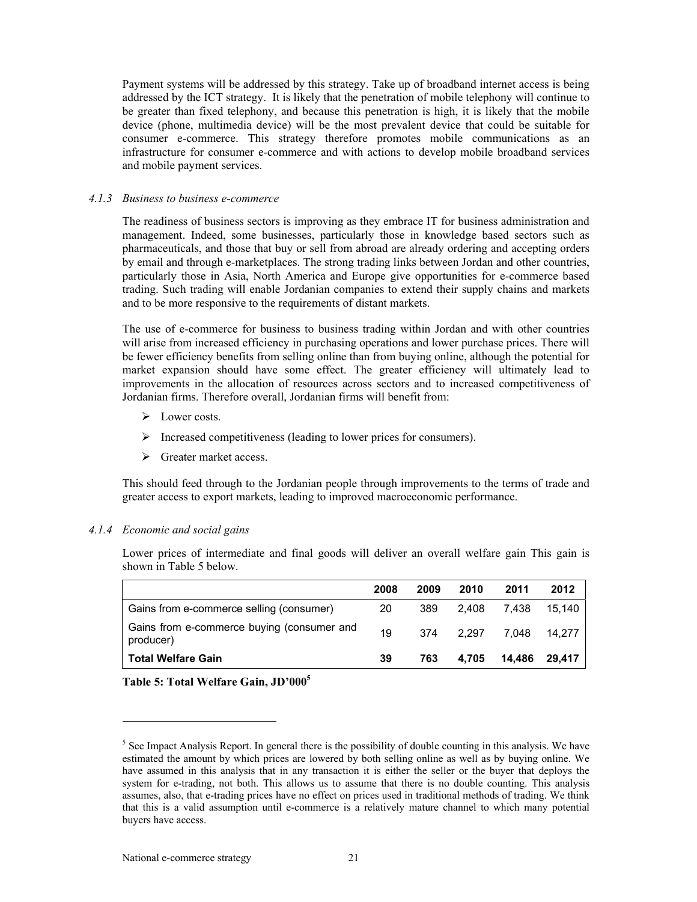Payment systems will be addressed by this strategy. Take up of broadband internet access is being addressed by the ICT strategy. It is likely that the penetration of mobile telephony will continue to be greater than fixed telephony, and because this penetration is high, it is likely that the mobile device (phone, multimedia device) will be the most prevalent device that could be suitable for consumer e-commerce. This strategy therefore promotes mobile communications as an infrastructure for consumer e-commerce and with actions to develop mobile broadband services and mobile payment services.

#### *4.1.3 Business to business e-commerce*

The readiness of business sectors is improving as they embrace IT for business administration and management. Indeed, some businesses, particularly those in knowledge based sectors such as pharmaceuticals, and those that buy or sell from abroad are already ordering and accepting orders by email and through e-marketplaces. The strong trading links between Jordan and other countries, particularly those in Asia, North America and Europe give opportunities for e-commerce based trading. Such trading will enable Jordanian companies to extend their supply chains and markets and to be more responsive to the requirements of distant markets.

The use of e-commerce for business to business trading within Jordan and with other countries will arise from increased efficiency in purchasing operations and lower purchase prices. There will be fewer efficiency benefits from selling online than from buying online, although the potential for market expansion should have some effect. The greater efficiency will ultimately lead to improvements in the allocation of resources across sectors and to increased competitiveness of Jordanian firms. Therefore overall, Jordanian firms will benefit from:

- $\triangleright$  Lower costs.
- $\triangleright$  Increased competitiveness (leading to lower prices for consumers).
- $\triangleright$  Greater market access.

This should feed through to the Jordanian people through improvements to the terms of trade and greater access to export markets, leading to improved macroeconomic performance.

#### *4.1.4 Economic and social gains*

 $\overline{a}$ 

Lower prices of intermediate and final goods will deliver an overall welfare gain This gain is shown in Table 5 below.

|                                                         | 2008 | 2009 | 2010  | 2011   | 2012   |
|---------------------------------------------------------|------|------|-------|--------|--------|
| Gains from e-commerce selling (consumer)                | 20   | 389  | 2.408 | 7.438  | 15.140 |
| Gains from e-commerce buying (consumer and<br>producer) | 19   | 374  | 2.297 | 7.048  | 14.277 |
| <b>Total Welfare Gain</b>                               | 39   | 763  | 4.705 | 14,486 | 29.417 |



<sup>&</sup>lt;sup>5</sup> See Impact Analysis Report. In general there is the possibility of double counting in this analysis. We have estimated the amount by which prices are lowered by both selling online as well as by buying online. We have assumed in this analysis that in any transaction it is either the seller or the buyer that deploys the system for e-trading, not both. This allows us to assume that there is no double counting. This analysis assumes, also, that e-trading prices have no effect on prices used in traditional methods of trading. We think that this is a valid assumption until e-commerce is a relatively mature channel to which many potential buyers have access.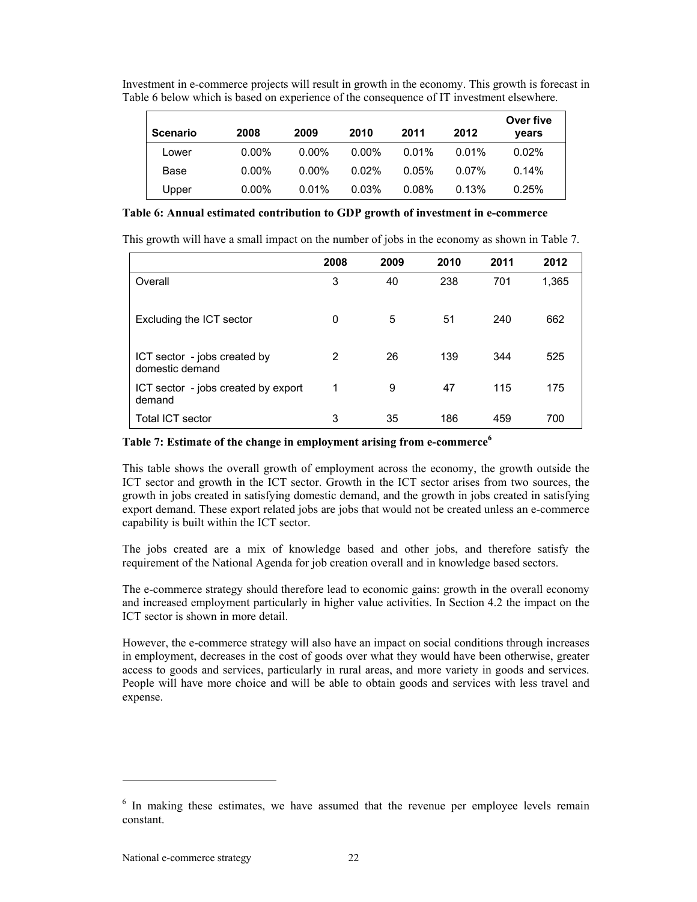| Investment in e-commerce projects will result in growth in the economy. This growth is forecast in |  |
|----------------------------------------------------------------------------------------------------|--|
| Table 6 below which is based on experience of the consequence of IT investment elsewhere.          |  |

| <b>Scenario</b> | 2008     | 2009     | 2010     | 2011  | 2012     | Over five<br>vears |
|-----------------|----------|----------|----------|-------|----------|--------------------|
| Lower           | $0.00\%$ | $0.00\%$ | $0.00\%$ | 0.01% | 0.01%    | $0.02\%$           |
| Base            | $0.00\%$ | $0.00\%$ | $0.02\%$ | 0.05% | $0.07\%$ | 0.14%              |
| Upper           | $0.00\%$ | $0.01\%$ | 0.03%    | 0.08% | 0.13%    | 0.25%              |

### **Table 6: Annual estimated contribution to GDP growth of investment in e-commerce**

This growth will have a small impact on the number of jobs in the economy as shown in Table 7.

|                                                 | 2008 | 2009 | 2010 | 2011 | 2012  |
|-------------------------------------------------|------|------|------|------|-------|
| Overall                                         | 3    | 40   | 238  | 701  | 1,365 |
| Excluding the ICT sector                        | 0    | 5    | 51   | 240  | 662   |
| ICT sector - jobs created by<br>domestic demand | 2    | 26   | 139  | 344  | 525   |
| ICT sector - jobs created by export<br>demand   | 1    | 9    | 47   | 115  | 175   |
| <b>Total ICT sector</b>                         | 3    | 35   | 186  | 459  | 700   |

# **Table 7: Estimate of the change in employment arising from e-commerce<sup>6</sup>**

This table shows the overall growth of employment across the economy, the growth outside the ICT sector and growth in the ICT sector. Growth in the ICT sector arises from two sources, the growth in jobs created in satisfying domestic demand, and the growth in jobs created in satisfying export demand. These export related jobs are jobs that would not be created unless an e-commerce capability is built within the ICT sector.

The jobs created are a mix of knowledge based and other jobs, and therefore satisfy the requirement of the National Agenda for job creation overall and in knowledge based sectors.

The e-commerce strategy should therefore lead to economic gains: growth in the overall economy and increased employment particularly in higher value activities. In Section 4.2 the impact on the ICT sector is shown in more detail.

However, the e-commerce strategy will also have an impact on social conditions through increases in employment, decreases in the cost of goods over what they would have been otherwise, greater access to goods and services, particularly in rural areas, and more variety in goods and services. People will have more choice and will be able to obtain goods and services with less travel and expense.

l

<sup>&</sup>lt;sup>6</sup> In making these estimates, we have assumed that the revenue per employee levels remain constant.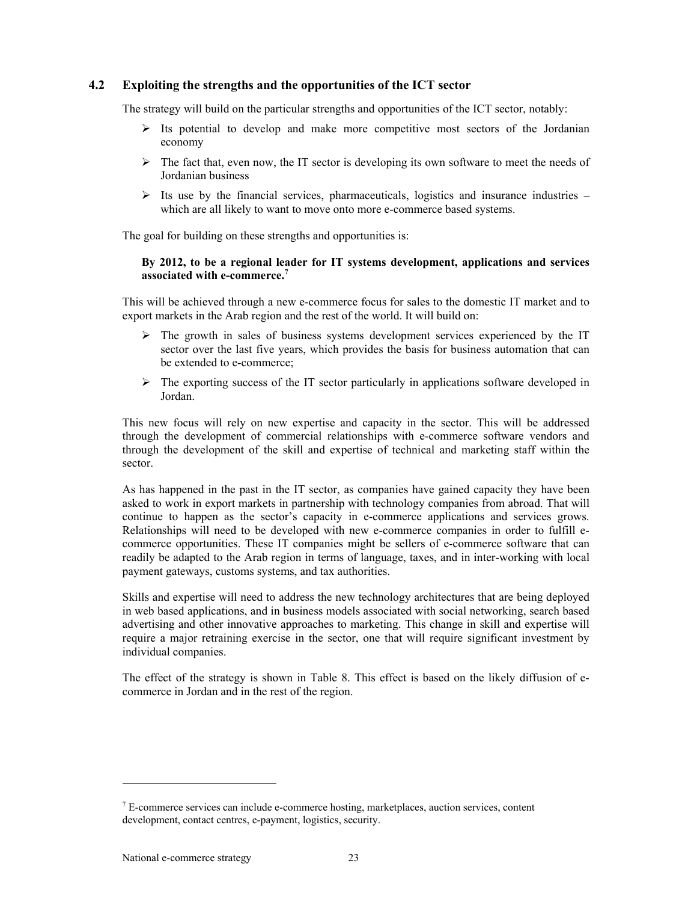# **4.2 Exploiting the strengths and the opportunities of the ICT sector**

The strategy will build on the particular strengths and opportunities of the ICT sector, notably:

- $\triangleright$  Its potential to develop and make more competitive most sectors of the Jordanian economy
- $\triangleright$  The fact that, even now, the IT sector is developing its own software to meet the needs of Jordanian business
- $\triangleright$  Its use by the financial services, pharmaceuticals, logistics and insurance industries which are all likely to want to move onto more e-commerce based systems.

The goal for building on these strengths and opportunities is:

## **By 2012, to be a regional leader for IT systems development, applications and services associated with e-commerce.<sup>7</sup>**

This will be achieved through a new e-commerce focus for sales to the domestic IT market and to export markets in the Arab region and the rest of the world. It will build on:

- $\triangleright$  The growth in sales of business systems development services experienced by the IT sector over the last five years, which provides the basis for business automation that can be extended to e-commerce;
- $\triangleright$  The exporting success of the IT sector particularly in applications software developed in Jordan.

This new focus will rely on new expertise and capacity in the sector. This will be addressed through the development of commercial relationships with e-commerce software vendors and through the development of the skill and expertise of technical and marketing staff within the sector.

As has happened in the past in the IT sector, as companies have gained capacity they have been asked to work in export markets in partnership with technology companies from abroad. That will continue to happen as the sector's capacity in e-commerce applications and services grows. Relationships will need to be developed with new e-commerce companies in order to fulfill ecommerce opportunities. These IT companies might be sellers of e-commerce software that can readily be adapted to the Arab region in terms of language, taxes, and in inter-working with local payment gateways, customs systems, and tax authorities.

Skills and expertise will need to address the new technology architectures that are being deployed in web based applications, and in business models associated with social networking, search based advertising and other innovative approaches to marketing. This change in skill and expertise will require a major retraining exercise in the sector, one that will require significant investment by individual companies.

The effect of the strategy is shown in Table 8. This effect is based on the likely diffusion of ecommerce in Jordan and in the rest of the region.

 $\overline{a}$ 

 $7$  E-commerce services can include e-commerce hosting, marketplaces, auction services, content development, contact centres, e-payment, logistics, security.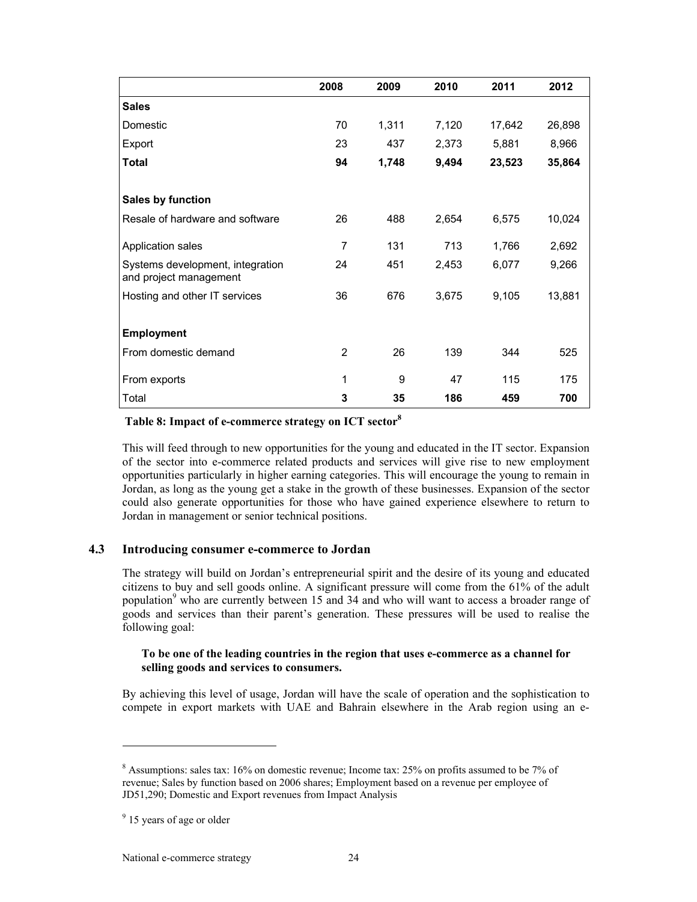|                                                            | 2008 | 2009  | 2010  | 2011   | 2012   |
|------------------------------------------------------------|------|-------|-------|--------|--------|
| <b>Sales</b>                                               |      |       |       |        |        |
| Domestic                                                   | 70   | 1,311 | 7,120 | 17,642 | 26,898 |
| Export                                                     | 23   | 437   | 2,373 | 5,881  | 8,966  |
| <b>Total</b>                                               | 94   | 1,748 | 9,494 | 23,523 | 35,864 |
|                                                            |      |       |       |        |        |
| Sales by function                                          |      |       |       |        |        |
| Resale of hardware and software                            | 26   | 488   | 2,654 | 6,575  | 10,024 |
| Application sales                                          | 7    | 131   | 713   | 1,766  | 2,692  |
| Systems development, integration<br>and project management | 24   | 451   | 2,453 | 6,077  | 9,266  |
| Hosting and other IT services                              | 36   | 676   | 3,675 | 9,105  | 13,881 |
|                                                            |      |       |       |        |        |
| <b>Employment</b>                                          |      |       |       |        |        |
| From domestic demand                                       | 2    | 26    | 139   | 344    | 525    |
| From exports                                               | 1    | 9     | 47    | 115    | 175    |
| Total                                                      | 3    | 35    | 186   | 459    | 700    |

# **Table 8: Impact of e-commerce strategy on ICT sector<sup>8</sup>**

This will feed through to new opportunities for the young and educated in the IT sector. Expansion of the sector into e-commerce related products and services will give rise to new employment opportunities particularly in higher earning categories. This will encourage the young to remain in Jordan, as long as the young get a stake in the growth of these businesses. Expansion of the sector could also generate opportunities for those who have gained experience elsewhere to return to Jordan in management or senior technical positions.

# **4.3 Introducing consumer e-commerce to Jordan**

The strategy will build on Jordan's entrepreneurial spirit and the desire of its young and educated citizens to buy and sell goods online. A significant pressure will come from the 61% of the adult population<sup>9</sup> who are currently between 15 and 34 and who will want to access a broader range of goods and services than their parent's generation. These pressures will be used to realise the following goal:

## **To be one of the leading countries in the region that uses e-commerce as a channel for selling goods and services to consumers.**

By achieving this level of usage, Jordan will have the scale of operation and the sophistication to compete in export markets with UAE and Bahrain elsewhere in the Arab region using an e-

l

<sup>&</sup>lt;sup>8</sup> Assumptions: sales tax: 16% on domestic revenue; Income tax: 25% on profits assumed to be 7% of revenue; Sales by function based on 2006 shares; Employment based on a revenue per employee of JD51,290; Domestic and Export revenues from Impact Analysis

<sup>&</sup>lt;sup>9</sup> 15 years of age or older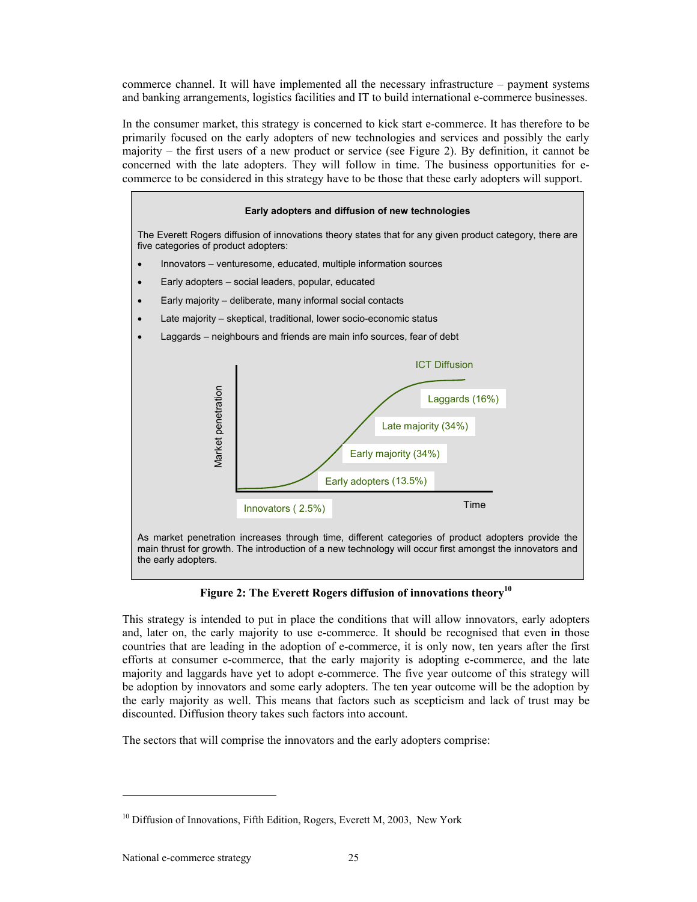commerce channel. It will have implemented all the necessary infrastructure – payment systems and banking arrangements, logistics facilities and IT to build international e-commerce businesses.

In the consumer market, this strategy is concerned to kick start e-commerce. It has therefore to be primarily focused on the early adopters of new technologies and services and possibly the early majority – the first users of a new product or service (see Figure 2). By definition, it cannot be concerned with the late adopters. They will follow in time. The business opportunities for ecommerce to be considered in this strategy have to be those that these early adopters will support.



**Figure 2: The Everett Rogers diffusion of innovations theory<sup>10</sup>**

This strategy is intended to put in place the conditions that will allow innovators, early adopters and, later on, the early majority to use e-commerce. It should be recognised that even in those countries that are leading in the adoption of e-commerce, it is only now, ten years after the first efforts at consumer e-commerce, that the early majority is adopting e-commerce, and the late majority and laggards have yet to adopt e-commerce. The five year outcome of this strategy will be adoption by innovators and some early adopters. The ten year outcome will be the adoption by the early majority as well. This means that factors such as scepticism and lack of trust may be discounted. Diffusion theory takes such factors into account.

The sectors that will comprise the innovators and the early adopters comprise:

 $\overline{a}$ 

 $10$  Diffusion of Innovations, Fifth Edition, Rogers, Everett M, 2003, New York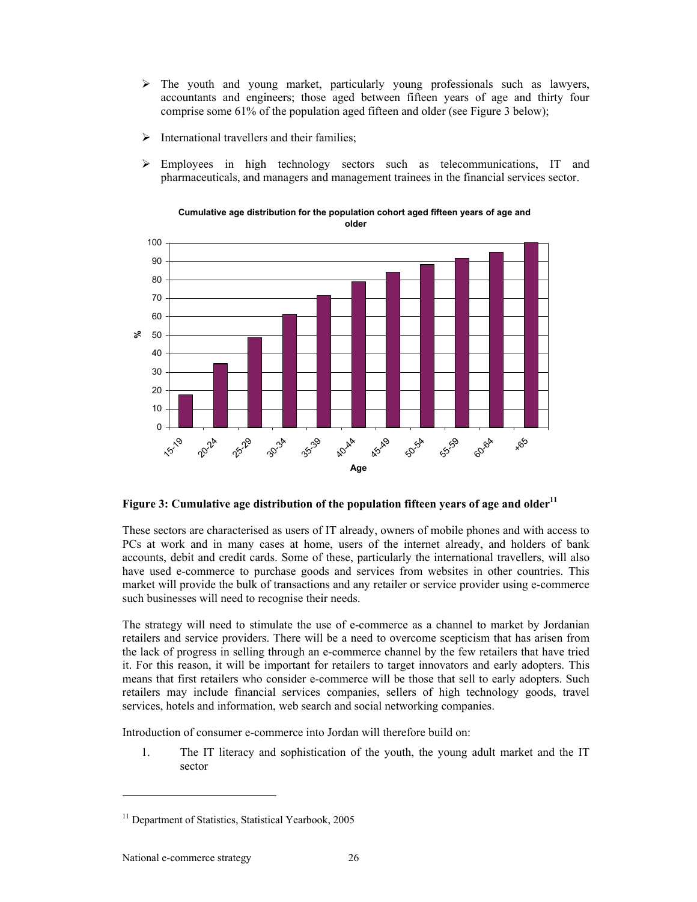- $\triangleright$  The youth and young market, particularly young professionals such as lawyers, accountants and engineers; those aged between fifteen years of age and thirty four comprise some 61% of the population aged fifteen and older (see Figure 3 below);
- $\triangleright$  International travellers and their families;
- $\triangleright$  Employees in high technology sectors such as telecommunications, IT and pharmaceuticals, and managers and management trainees in the financial services sector.



**Cumulative age distribution for the population cohort aged fifteen years of age and older** 

# Figure 3: Cumulative age distribution of the population fifteen years of age and older<sup>11</sup>

These sectors are characterised as users of IT already, owners of mobile phones and with access to PCs at work and in many cases at home, users of the internet already, and holders of bank accounts, debit and credit cards. Some of these, particularly the international travellers, will also have used e-commerce to purchase goods and services from websites in other countries. This market will provide the bulk of transactions and any retailer or service provider using e-commerce such businesses will need to recognise their needs.

The strategy will need to stimulate the use of e-commerce as a channel to market by Jordanian retailers and service providers. There will be a need to overcome scepticism that has arisen from the lack of progress in selling through an e-commerce channel by the few retailers that have tried it. For this reason, it will be important for retailers to target innovators and early adopters. This means that first retailers who consider e-commerce will be those that sell to early adopters. Such retailers may include financial services companies, sellers of high technology goods, travel services, hotels and information, web search and social networking companies.

Introduction of consumer e-commerce into Jordan will therefore build on:

1. The IT literacy and sophistication of the youth, the young adult market and the IT sector

 $\overline{a}$ 

<sup>&</sup>lt;sup>11</sup> Department of Statistics, Statistical Yearbook, 2005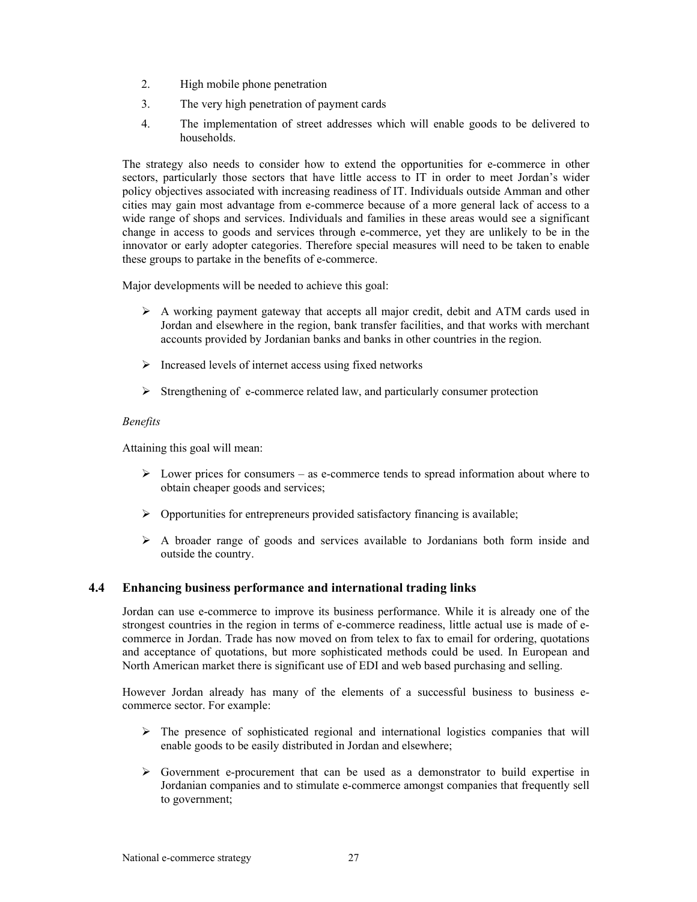- 2. High mobile phone penetration
- 3. The very high penetration of payment cards
- 4. The implementation of street addresses which will enable goods to be delivered to households.

The strategy also needs to consider how to extend the opportunities for e-commerce in other sectors, particularly those sectors that have little access to IT in order to meet Jordan's wider policy objectives associated with increasing readiness of IT. Individuals outside Amman and other cities may gain most advantage from e-commerce because of a more general lack of access to a wide range of shops and services. Individuals and families in these areas would see a significant change in access to goods and services through e-commerce, yet they are unlikely to be in the innovator or early adopter categories. Therefore special measures will need to be taken to enable these groups to partake in the benefits of e-commerce.

Major developments will be needed to achieve this goal:

- $\triangleright$  A working payment gateway that accepts all major credit, debit and ATM cards used in Jordan and elsewhere in the region, bank transfer facilities, and that works with merchant accounts provided by Jordanian banks and banks in other countries in the region.
- $\triangleright$  Increased levels of internet access using fixed networks
- $\triangleright$  Strengthening of e-commerce related law, and particularly consumer protection

## *Benefits*

Attaining this goal will mean:

- $\triangleright$  Lower prices for consumers as e-commerce tends to spread information about where to obtain cheaper goods and services;
- $\triangleright$  Opportunities for entrepreneurs provided satisfactory financing is available;
- $\triangleright$  A broader range of goods and services available to Jordanians both form inside and outside the country.

# **4.4 Enhancing business performance and international trading links**

Jordan can use e-commerce to improve its business performance. While it is already one of the strongest countries in the region in terms of e-commerce readiness, little actual use is made of ecommerce in Jordan. Trade has now moved on from telex to fax to email for ordering, quotations and acceptance of quotations, but more sophisticated methods could be used. In European and North American market there is significant use of EDI and web based purchasing and selling.

However Jordan already has many of the elements of a successful business to business ecommerce sector. For example:

- $\triangleright$  The presence of sophisticated regional and international logistics companies that will enable goods to be easily distributed in Jordan and elsewhere;
- $\triangleright$  Government e-procurement that can be used as a demonstrator to build expertise in Jordanian companies and to stimulate e-commerce amongst companies that frequently sell to government;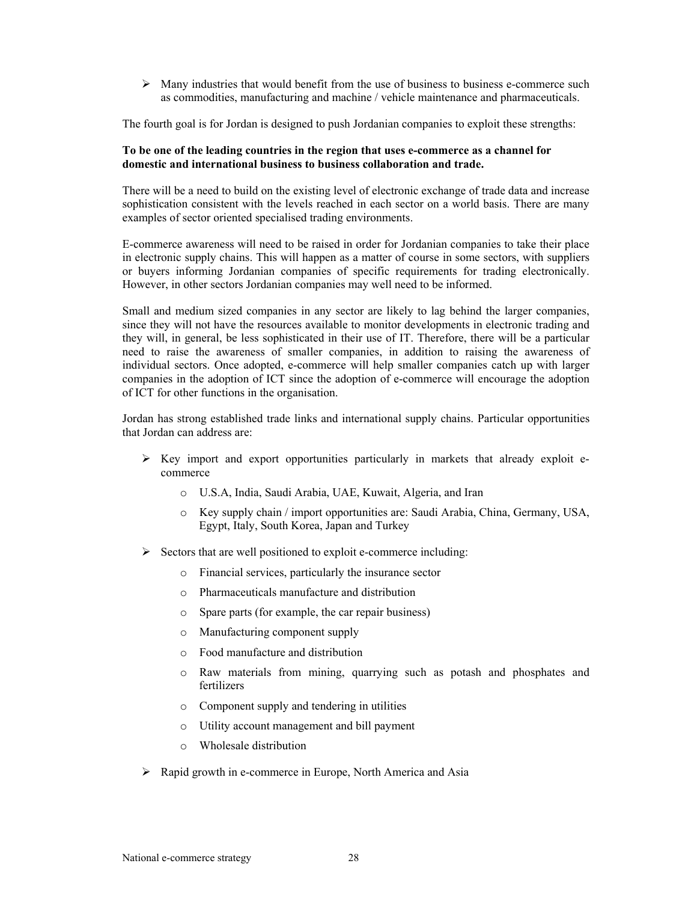$\triangleright$  Many industries that would benefit from the use of business to business e-commerce such as commodities, manufacturing and machine / vehicle maintenance and pharmaceuticals.

The fourth goal is for Jordan is designed to push Jordanian companies to exploit these strengths:

### **To be one of the leading countries in the region that uses e-commerce as a channel for domestic and international business to business collaboration and trade.**

There will be a need to build on the existing level of electronic exchange of trade data and increase sophistication consistent with the levels reached in each sector on a world basis. There are many examples of sector oriented specialised trading environments.

E-commerce awareness will need to be raised in order for Jordanian companies to take their place in electronic supply chains. This will happen as a matter of course in some sectors, with suppliers or buyers informing Jordanian companies of specific requirements for trading electronically. However, in other sectors Jordanian companies may well need to be informed.

Small and medium sized companies in any sector are likely to lag behind the larger companies, since they will not have the resources available to monitor developments in electronic trading and they will, in general, be less sophisticated in their use of IT. Therefore, there will be a particular need to raise the awareness of smaller companies, in addition to raising the awareness of individual sectors. Once adopted, e-commerce will help smaller companies catch up with larger companies in the adoption of ICT since the adoption of e-commerce will encourage the adoption of ICT for other functions in the organisation.

Jordan has strong established trade links and international supply chains. Particular opportunities that Jordan can address are:

- $\triangleright$  Key import and export opportunities particularly in markets that already exploit ecommerce
	- o U.S.A, India, Saudi Arabia, UAE, Kuwait, Algeria, and Iran
	- o Key supply chain / import opportunities are: Saudi Arabia, China, Germany, USA, Egypt, Italy, South Korea, Japan and Turkey
- $\triangleright$  Sectors that are well positioned to exploit e-commerce including:
	- o Financial services, particularly the insurance sector
	- o Pharmaceuticals manufacture and distribution
	- o Spare parts (for example, the car repair business)
	- o Manufacturing component supply
	- o Food manufacture and distribution
	- o Raw materials from mining, quarrying such as potash and phosphates and fertilizers
	- o Component supply and tendering in utilities
	- o Utility account management and bill payment
	- o Wholesale distribution
- $\triangleright$  Rapid growth in e-commerce in Europe, North America and Asia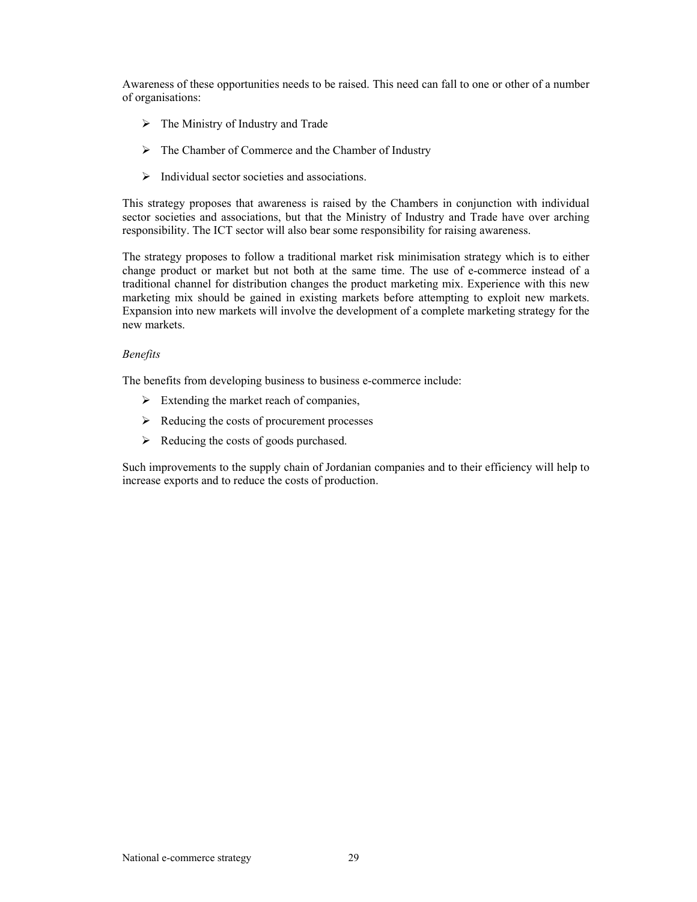Awareness of these opportunities needs to be raised. This need can fall to one or other of a number of organisations:

- $\triangleright$  The Ministry of Industry and Trade
- $\triangleright$  The Chamber of Commerce and the Chamber of Industry
- $\triangleright$  Individual sector societies and associations.

This strategy proposes that awareness is raised by the Chambers in conjunction with individual sector societies and associations, but that the Ministry of Industry and Trade have over arching responsibility. The ICT sector will also bear some responsibility for raising awareness.

The strategy proposes to follow a traditional market risk minimisation strategy which is to either change product or market but not both at the same time. The use of e-commerce instead of a traditional channel for distribution changes the product marketing mix. Experience with this new marketing mix should be gained in existing markets before attempting to exploit new markets. Expansion into new markets will involve the development of a complete marketing strategy for the new markets.

## *Benefits*

The benefits from developing business to business e-commerce include:

- $\triangleright$  Extending the market reach of companies,
- $\triangleright$  Reducing the costs of procurement processes
- $\triangleright$  Reducing the costs of goods purchased.

Such improvements to the supply chain of Jordanian companies and to their efficiency will help to increase exports and to reduce the costs of production.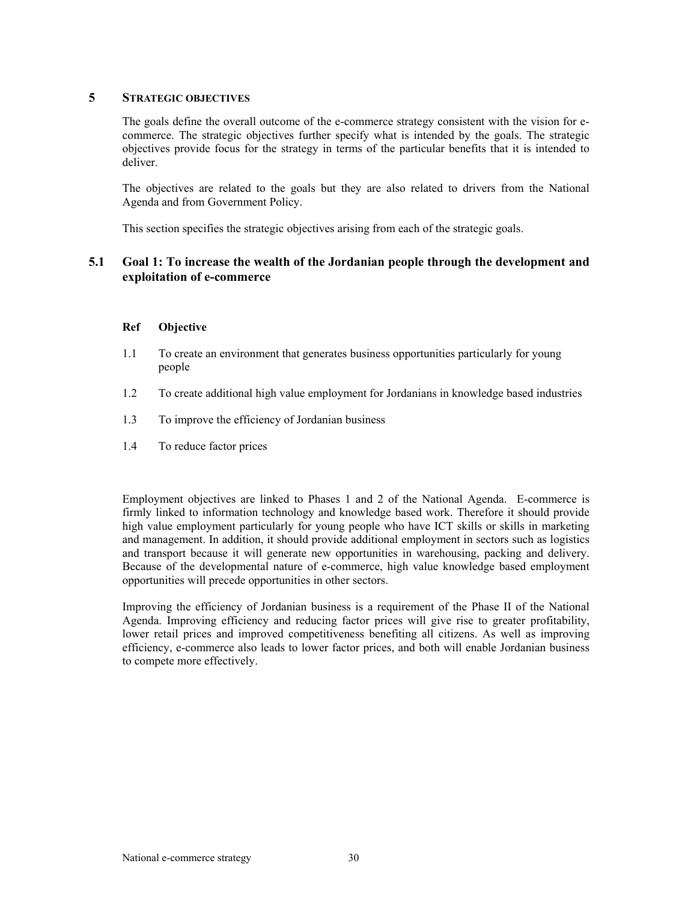# **5 STRATEGIC OBJECTIVES**

The goals define the overall outcome of the e-commerce strategy consistent with the vision for ecommerce. The strategic objectives further specify what is intended by the goals. The strategic objectives provide focus for the strategy in terms of the particular benefits that it is intended to deliver.

The objectives are related to the goals but they are also related to drivers from the National Agenda and from Government Policy.

This section specifies the strategic objectives arising from each of the strategic goals.

# **5.1 Goal 1: To increase the wealth of the Jordanian people through the development and exploitation of e-commerce**

# **Ref Objective**

- 1.1 To create an environment that generates business opportunities particularly for young people
- 1.2 To create additional high value employment for Jordanians in knowledge based industries
- 1.3 To improve the efficiency of Jordanian business
- 1.4 To reduce factor prices

Employment objectives are linked to Phases 1 and 2 of the National Agenda. E-commerce is firmly linked to information technology and knowledge based work. Therefore it should provide high value employment particularly for young people who have ICT skills or skills in marketing and management. In addition, it should provide additional employment in sectors such as logistics and transport because it will generate new opportunities in warehousing, packing and delivery. Because of the developmental nature of e-commerce, high value knowledge based employment opportunities will precede opportunities in other sectors.

Improving the efficiency of Jordanian business is a requirement of the Phase II of the National Agenda. Improving efficiency and reducing factor prices will give rise to greater profitability, lower retail prices and improved competitiveness benefiting all citizens. As well as improving efficiency, e-commerce also leads to lower factor prices, and both will enable Jordanian business to compete more effectively.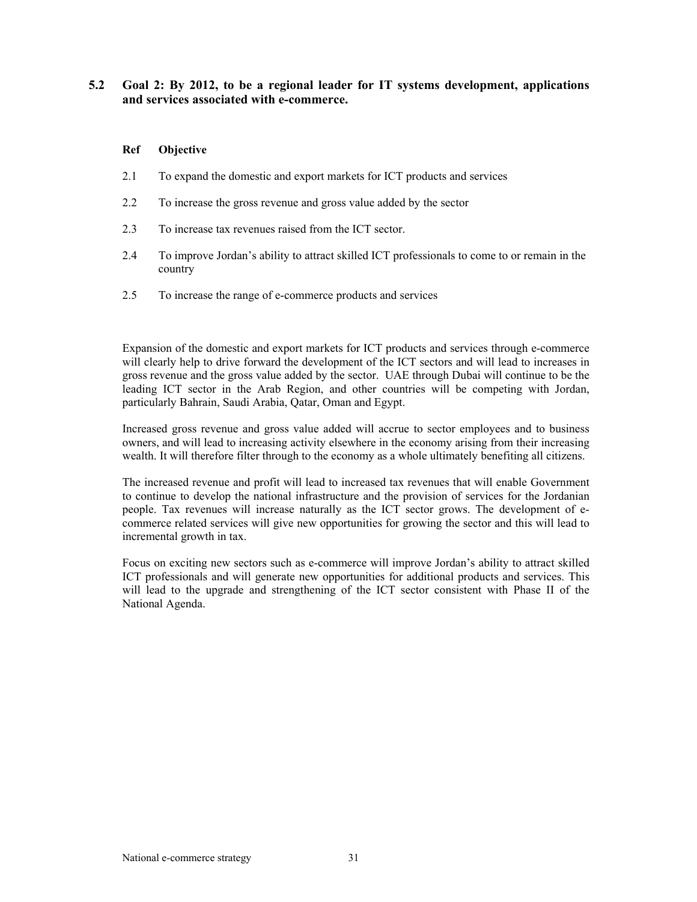# **5.2 Goal 2: By 2012, to be a regional leader for IT systems development, applications and services associated with e-commerce.**

### **Ref Objective**

- 2.1 To expand the domestic and export markets for ICT products and services
- 2.2 To increase the gross revenue and gross value added by the sector
- 2.3 To increase tax revenues raised from the ICT sector.
- 2.4 To improve Jordan's ability to attract skilled ICT professionals to come to or remain in the country
- 2.5 To increase the range of e-commerce products and services

Expansion of the domestic and export markets for ICT products and services through e-commerce will clearly help to drive forward the development of the ICT sectors and will lead to increases in gross revenue and the gross value added by the sector. UAE through Dubai will continue to be the leading ICT sector in the Arab Region, and other countries will be competing with Jordan, particularly Bahrain, Saudi Arabia, Qatar, Oman and Egypt.

Increased gross revenue and gross value added will accrue to sector employees and to business owners, and will lead to increasing activity elsewhere in the economy arising from their increasing wealth. It will therefore filter through to the economy as a whole ultimately benefiting all citizens.

The increased revenue and profit will lead to increased tax revenues that will enable Government to continue to develop the national infrastructure and the provision of services for the Jordanian people. Tax revenues will increase naturally as the ICT sector grows. The development of ecommerce related services will give new opportunities for growing the sector and this will lead to incremental growth in tax.

Focus on exciting new sectors such as e-commerce will improve Jordan's ability to attract skilled ICT professionals and will generate new opportunities for additional products and services. This will lead to the upgrade and strengthening of the ICT sector consistent with Phase II of the National Agenda.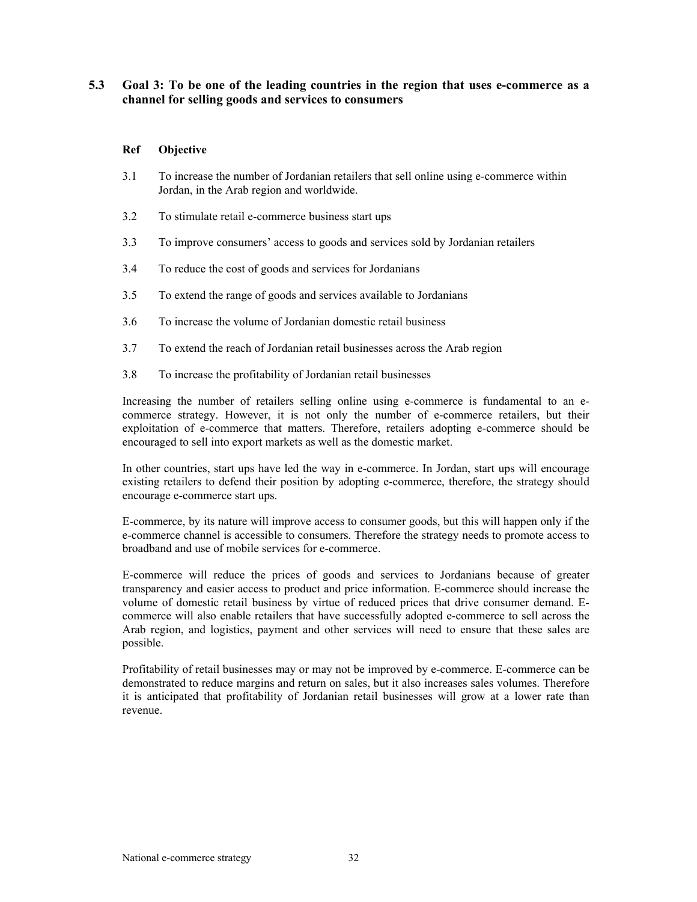# **5.3 Goal 3: To be one of the leading countries in the region that uses e-commerce as a channel for selling goods and services to consumers**

# **Ref Objective**

- 3.1 To increase the number of Jordanian retailers that sell online using e-commerce within Jordan, in the Arab region and worldwide.
- 3.2 To stimulate retail e-commerce business start ups
- 3.3 To improve consumers' access to goods and services sold by Jordanian retailers
- 3.4 To reduce the cost of goods and services for Jordanians
- 3.5 To extend the range of goods and services available to Jordanians
- 3.6 To increase the volume of Jordanian domestic retail business
- 3.7 To extend the reach of Jordanian retail businesses across the Arab region
- 3.8 To increase the profitability of Jordanian retail businesses

Increasing the number of retailers selling online using e-commerce is fundamental to an ecommerce strategy. However, it is not only the number of e-commerce retailers, but their exploitation of e-commerce that matters. Therefore, retailers adopting e-commerce should be encouraged to sell into export markets as well as the domestic market.

In other countries, start ups have led the way in e-commerce. In Jordan, start ups will encourage existing retailers to defend their position by adopting e-commerce, therefore, the strategy should encourage e-commerce start ups.

E-commerce, by its nature will improve access to consumer goods, but this will happen only if the e-commerce channel is accessible to consumers. Therefore the strategy needs to promote access to broadband and use of mobile services for e-commerce.

E-commerce will reduce the prices of goods and services to Jordanians because of greater transparency and easier access to product and price information. E-commerce should increase the volume of domestic retail business by virtue of reduced prices that drive consumer demand. Ecommerce will also enable retailers that have successfully adopted e-commerce to sell across the Arab region, and logistics, payment and other services will need to ensure that these sales are possible.

Profitability of retail businesses may or may not be improved by e-commerce. E-commerce can be demonstrated to reduce margins and return on sales, but it also increases sales volumes. Therefore it is anticipated that profitability of Jordanian retail businesses will grow at a lower rate than revenue.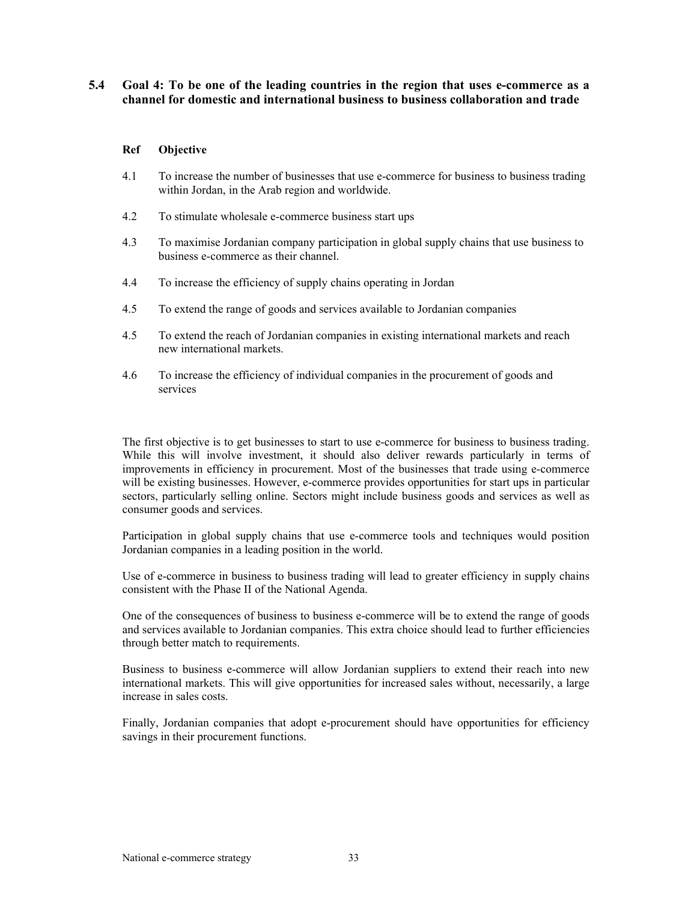# **5.4 Goal 4: To be one of the leading countries in the region that uses e-commerce as a channel for domestic and international business to business collaboration and trade**

## **Ref Objective**

- 4.1 To increase the number of businesses that use e-commerce for business to business trading within Jordan, in the Arab region and worldwide.
- 4.2 To stimulate wholesale e-commerce business start ups
- 4.3 To maximise Jordanian company participation in global supply chains that use business to business e-commerce as their channel.
- 4.4 To increase the efficiency of supply chains operating in Jordan
- 4.5 To extend the range of goods and services available to Jordanian companies
- 4.5 To extend the reach of Jordanian companies in existing international markets and reach new international markets.
- 4.6 To increase the efficiency of individual companies in the procurement of goods and services

The first objective is to get businesses to start to use e-commerce for business to business trading. While this will involve investment, it should also deliver rewards particularly in terms of improvements in efficiency in procurement. Most of the businesses that trade using e-commerce will be existing businesses. However, e-commerce provides opportunities for start ups in particular sectors, particularly selling online. Sectors might include business goods and services as well as consumer goods and services.

Participation in global supply chains that use e-commerce tools and techniques would position Jordanian companies in a leading position in the world.

Use of e-commerce in business to business trading will lead to greater efficiency in supply chains consistent with the Phase II of the National Agenda.

One of the consequences of business to business e-commerce will be to extend the range of goods and services available to Jordanian companies. This extra choice should lead to further efficiencies through better match to requirements.

Business to business e-commerce will allow Jordanian suppliers to extend their reach into new international markets. This will give opportunities for increased sales without, necessarily, a large increase in sales costs.

Finally, Jordanian companies that adopt e-procurement should have opportunities for efficiency savings in their procurement functions.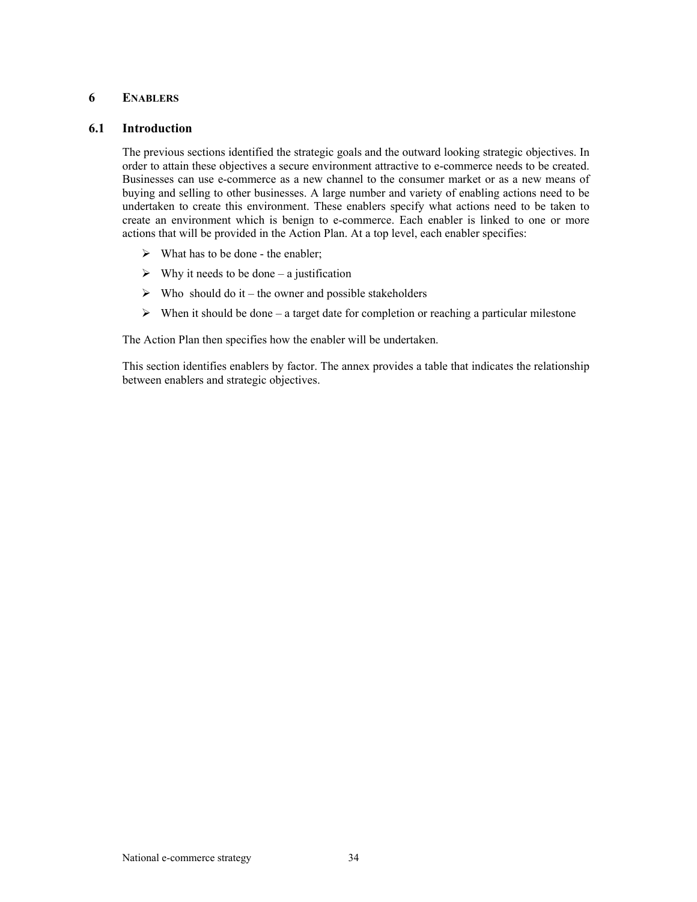# **6 ENABLERS**

# **6.1 Introduction**

The previous sections identified the strategic goals and the outward looking strategic objectives. In order to attain these objectives a secure environment attractive to e-commerce needs to be created. Businesses can use e-commerce as a new channel to the consumer market or as a new means of buying and selling to other businesses. A large number and variety of enabling actions need to be undertaken to create this environment. These enablers specify what actions need to be taken to create an environment which is benign to e-commerce. Each enabler is linked to one or more actions that will be provided in the Action Plan. At a top level, each enabler specifies:

- $\triangleright$  What has to be done the enabler;
- $\triangleright$  Why it needs to be done a justification
- $\triangleright$  Who should do it the owner and possible stakeholders
- $\triangleright$  When it should be done a target date for completion or reaching a particular milestone

The Action Plan then specifies how the enabler will be undertaken.

This section identifies enablers by factor. The annex provides a table that indicates the relationship between enablers and strategic objectives.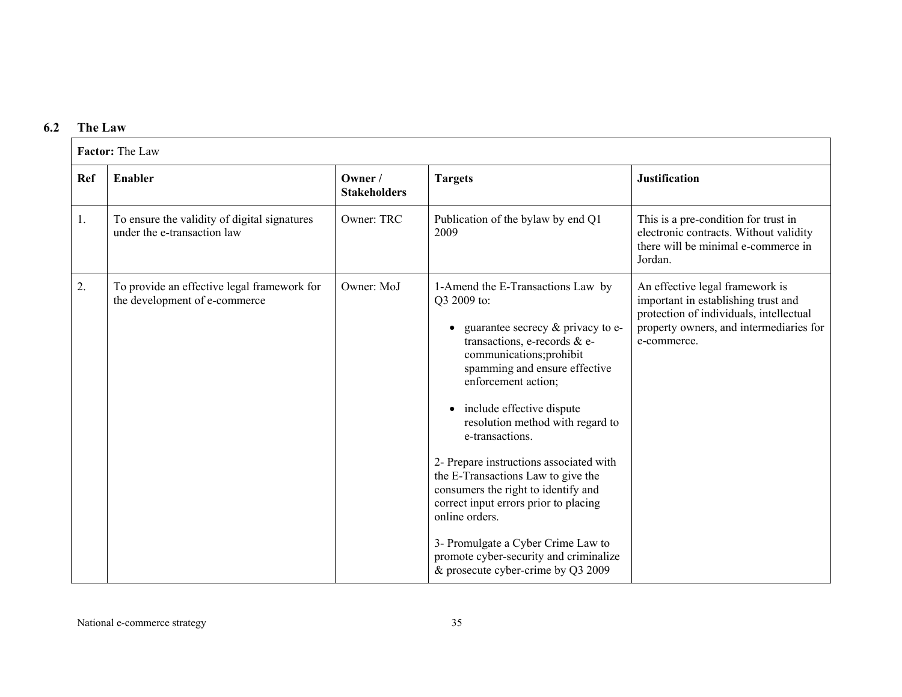# **6.2 The Law**

|            | Factor: The Law                                                              |                                |                                                                                                                                                                                                                                                                                                                                                                                                                                                                                                                                                                                                          |                                                                                                                                                                             |  |
|------------|------------------------------------------------------------------------------|--------------------------------|----------------------------------------------------------------------------------------------------------------------------------------------------------------------------------------------------------------------------------------------------------------------------------------------------------------------------------------------------------------------------------------------------------------------------------------------------------------------------------------------------------------------------------------------------------------------------------------------------------|-----------------------------------------------------------------------------------------------------------------------------------------------------------------------------|--|
| <b>Ref</b> | <b>Enabler</b>                                                               | Owner /<br><b>Stakeholders</b> | <b>Targets</b>                                                                                                                                                                                                                                                                                                                                                                                                                                                                                                                                                                                           | <b>Justification</b>                                                                                                                                                        |  |
| 1.         | To ensure the validity of digital signatures<br>under the e-transaction law  | Owner: TRC                     | Publication of the bylaw by end Q1<br>2009                                                                                                                                                                                                                                                                                                                                                                                                                                                                                                                                                               | This is a pre-condition for trust in<br>electronic contracts. Without validity<br>there will be minimal e-commerce in<br>Jordan.                                            |  |
| 2.         | To provide an effective legal framework for<br>the development of e-commerce | Owner: MoJ                     | 1-Amend the E-Transactions Law by<br>Q3 2009 to:<br>guarantee secrecy $\&$ privacy to e-<br>transactions, e-records & e-<br>communications;prohibit<br>spamming and ensure effective<br>enforcement action;<br>include effective dispute<br>resolution method with regard to<br>e-transactions.<br>2- Prepare instructions associated with<br>the E-Transactions Law to give the<br>consumers the right to identify and<br>correct input errors prior to placing<br>online orders.<br>3- Promulgate a Cyber Crime Law to<br>promote cyber-security and criminalize<br>& prosecute cyber-crime by Q3 2009 | An effective legal framework is<br>important in establishing trust and<br>protection of individuals, intellectual<br>property owners, and intermediaries for<br>e-commerce. |  |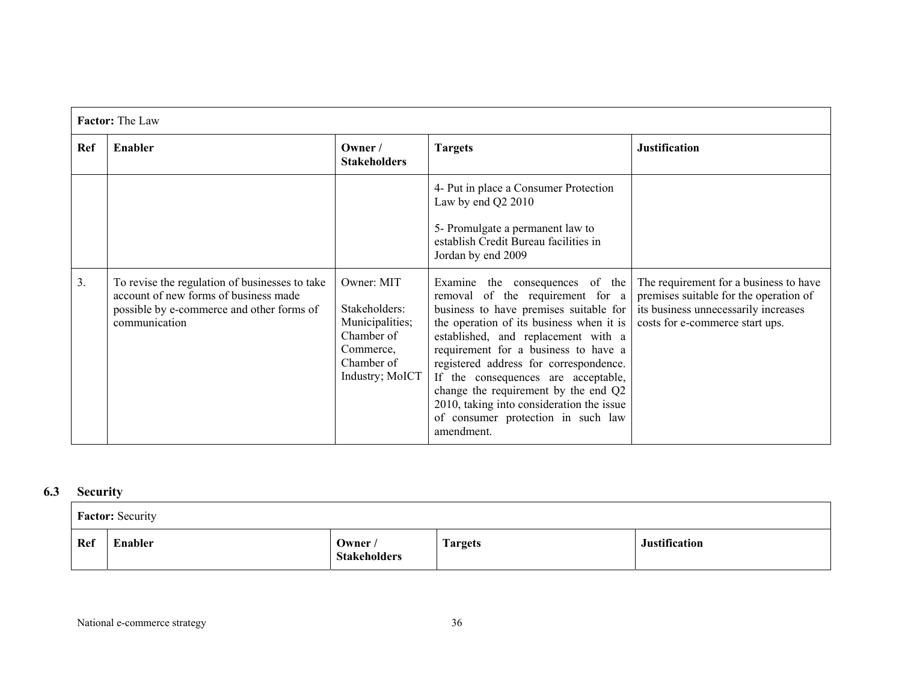|            | <b>Factor:</b> The Law                                                                                                                                |                                                                                                            |                                                                                                                                                                                                                                                                                                                                                                                                                                                                    |                                                                                                                                                             |  |
|------------|-------------------------------------------------------------------------------------------------------------------------------------------------------|------------------------------------------------------------------------------------------------------------|--------------------------------------------------------------------------------------------------------------------------------------------------------------------------------------------------------------------------------------------------------------------------------------------------------------------------------------------------------------------------------------------------------------------------------------------------------------------|-------------------------------------------------------------------------------------------------------------------------------------------------------------|--|
| <b>Ref</b> | Enabler                                                                                                                                               | Owner /<br><b>Stakeholders</b>                                                                             | <b>Targets</b>                                                                                                                                                                                                                                                                                                                                                                                                                                                     | <b>Justification</b>                                                                                                                                        |  |
|            |                                                                                                                                                       |                                                                                                            | 4- Put in place a Consumer Protection<br>Law by end Q2 2010<br>5- Promulgate a permanent law to<br>establish Credit Bureau facilities in<br>Jordan by end 2009                                                                                                                                                                                                                                                                                                     |                                                                                                                                                             |  |
| 3.         | To revise the regulation of businesses to take<br>account of new forms of business made<br>possible by e-commerce and other forms of<br>communication | Owner: MIT<br>Stakeholders:<br>Municipalities;<br>Chamber of<br>Commerce,<br>Chamber of<br>Industry; MoICT | Examine the consequences of the<br>removal of the requirement for a<br>business to have premises suitable for<br>the operation of its business when it is<br>established, and replacement with a<br>requirement for a business to have a<br>registered address for correspondence.<br>If the consequences are acceptable,<br>change the requirement by the end Q2<br>2010, taking into consideration the issue<br>of consumer protection in such law<br>amendment. | The requirement for a business to have<br>premises suitable for the operation of<br>its business unnecessarily increases<br>costs for e-commerce start ups. |  |

#### **6.3Security**

|     | <b>Factor:</b> Security |                                |                |                      |  |
|-----|-------------------------|--------------------------------|----------------|----------------------|--|
| Ref | Enabler                 | Owner /<br><b>Stakeholders</b> | <b>Targets</b> | <b>Justification</b> |  |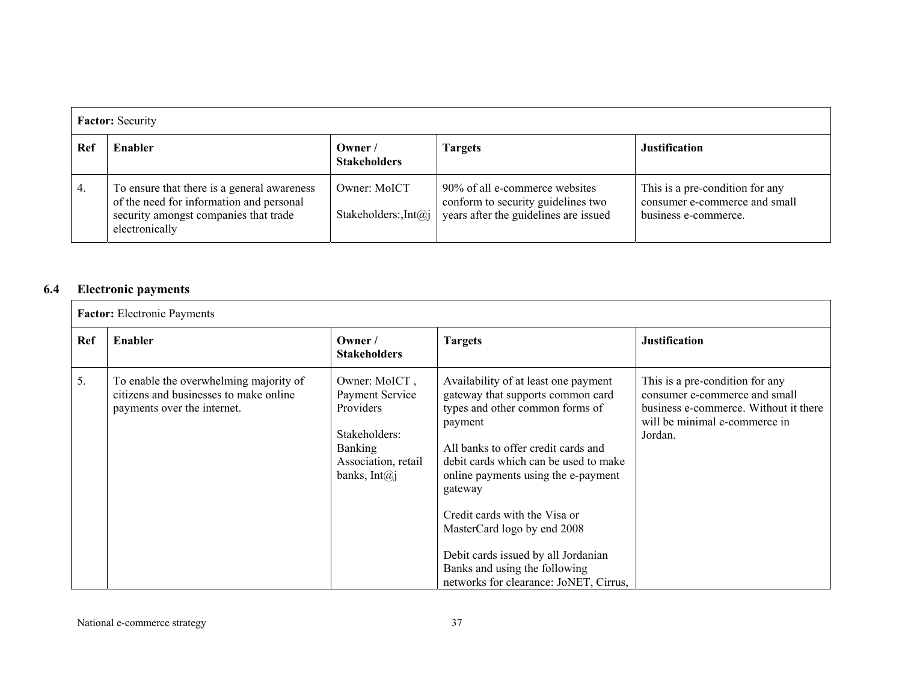|     | <b>Factor:</b> Security                                                                                                                            |                                       |                                                                                                               |                                                                                          |  |
|-----|----------------------------------------------------------------------------------------------------------------------------------------------------|---------------------------------------|---------------------------------------------------------------------------------------------------------------|------------------------------------------------------------------------------------------|--|
| Ref | Enabler                                                                                                                                            | Owner/<br><b>Stakeholders</b>         | <b>Targets</b>                                                                                                | <b>Justification</b>                                                                     |  |
| 4.  | To ensure that there is a general awareness<br>of the need for information and personal<br>security amongst companies that trade<br>electronically | Owner: MoICT<br>Stakeholders: $Int@i$ | 90% of all e-commerce websites<br>conform to security guidelines two<br>years after the guidelines are issued | This is a pre-condition for any<br>consumer e-commerce and small<br>business e-commerce. |  |

#### **6.4Electronic payments**

|     | <b>Factor:</b> Electronic Payments                                                                              |                                                                                                                               |                                                                                                                                                                                                                                                                                                                                                                                                                                             |                                                                                                                                                       |  |  |
|-----|-----------------------------------------------------------------------------------------------------------------|-------------------------------------------------------------------------------------------------------------------------------|---------------------------------------------------------------------------------------------------------------------------------------------------------------------------------------------------------------------------------------------------------------------------------------------------------------------------------------------------------------------------------------------------------------------------------------------|-------------------------------------------------------------------------------------------------------------------------------------------------------|--|--|
| Ref | Enabler                                                                                                         | Owner /<br><b>Stakeholders</b>                                                                                                | <b>Targets</b>                                                                                                                                                                                                                                                                                                                                                                                                                              | <b>Justification</b>                                                                                                                                  |  |  |
| 5.  | To enable the overwhelming majority of<br>citizens and businesses to make online<br>payments over the internet. | Owner: MoICT,<br>Payment Service<br>Providers<br>Stakeholders:<br><b>Banking</b><br>Association, retail<br>banks, Int $(a)$ j | Availability of at least one payment<br>gateway that supports common card<br>types and other common forms of<br>payment<br>All banks to offer credit cards and<br>debit cards which can be used to make<br>online payments using the e-payment<br>gateway<br>Credit cards with the Visa or<br>MasterCard logo by end 2008<br>Debit cards issued by all Jordanian<br>Banks and using the following<br>networks for clearance: JoNET, Cirrus, | This is a pre-condition for any<br>consumer e-commerce and small<br>business e-commerce. Without it there<br>will be minimal e-commerce in<br>Jordan. |  |  |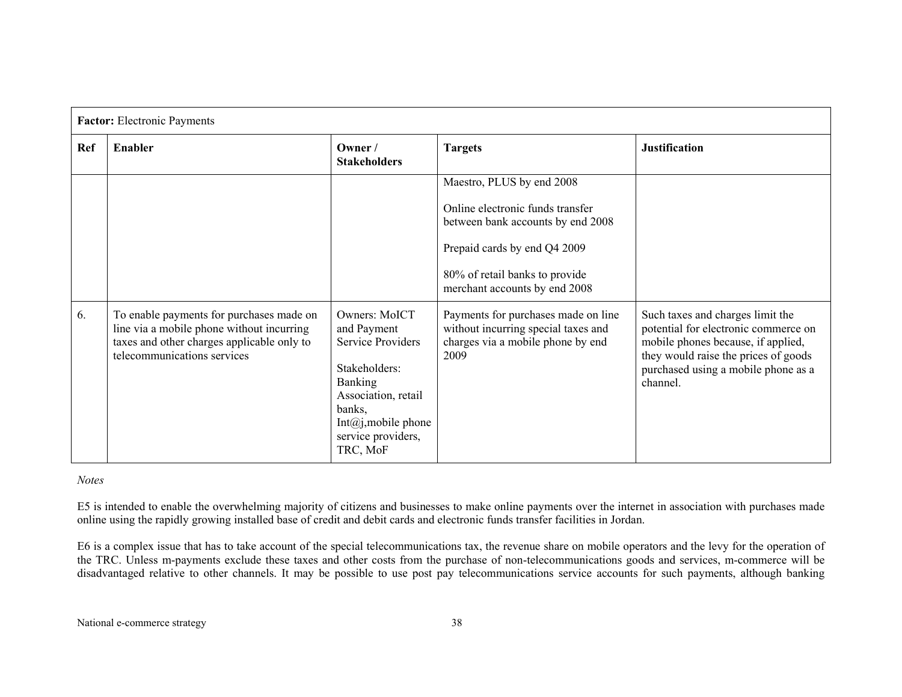|     | <b>Factor:</b> Electronic Payments                                                                                                                                 |                                                                                                                                                                                             |                                                                                                                                                                                                       |                                                                                                                                                                                                           |  |
|-----|--------------------------------------------------------------------------------------------------------------------------------------------------------------------|---------------------------------------------------------------------------------------------------------------------------------------------------------------------------------------------|-------------------------------------------------------------------------------------------------------------------------------------------------------------------------------------------------------|-----------------------------------------------------------------------------------------------------------------------------------------------------------------------------------------------------------|--|
| Ref | <b>Enabler</b>                                                                                                                                                     | Owner /<br><b>Stakeholders</b>                                                                                                                                                              | <b>Targets</b>                                                                                                                                                                                        | <b>Justification</b>                                                                                                                                                                                      |  |
|     |                                                                                                                                                                    |                                                                                                                                                                                             | Maestro, PLUS by end 2008<br>Online electronic funds transfer<br>between bank accounts by end 2008<br>Prepaid cards by end Q4 2009<br>80% of retail banks to provide<br>merchant accounts by end 2008 |                                                                                                                                                                                                           |  |
| 6.  | To enable payments for purchases made on<br>line via a mobile phone without incurring<br>taxes and other charges applicable only to<br>telecommunications services | Owners: MoICT<br>and Payment<br><b>Service Providers</b><br>Stakeholders:<br><b>Banking</b><br>Association, retail<br>banks,<br>Int $(a)$ j, mobile phone<br>service providers,<br>TRC, MoF | Payments for purchases made on line<br>without incurring special taxes and<br>charges via a mobile phone by end<br>2009                                                                               | Such taxes and charges limit the<br>potential for electronic commerce on<br>mobile phones because, if applied,<br>they would raise the prices of goods<br>purchased using a mobile phone as a<br>channel. |  |

# *Notes*

E5 is intended to enable the overwhelming majority of citizens and businesses to make online payments over the internet in association with purchases made online using the rapidly growing installed base of credit and debit cards and electronic funds transfer facilities in Jordan.

E6 is a complex issue that has to take account of the special telecommunications tax, the revenue share on mobile operators and the levy for the operation of the TRC. Unless m-payments exclude these taxes and other costs from the purchase of non-telecommunications goods and services, m-commerce will be disadvantaged relative to other channels. It may be possible to use post pay telecommunications service accounts for such payments, although banking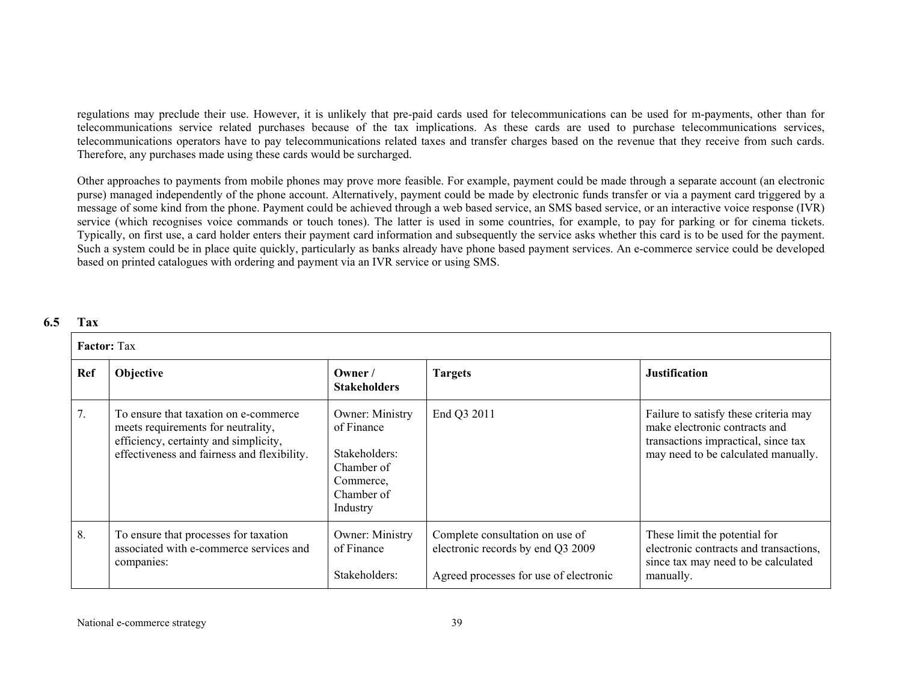regulations may preclude their use. However, it is unlikely that pre-paid cards used for telecommunications can be used for m-payments, other than for telecommunications service related purchases because of the tax implications. As these cards are used to purchase telecommunications services, telecommunications operators have to pay telecommunications related taxes and transfer charges based on the revenue that they receive from such cards. Therefore, any purchases made using these cards would be surcharged.

Other approaches to payments from mobile phones may prove more feasible. For example, payment could be made through a separate account (an electronic purse) managed independently of the phone account. Alternatively, payment could be made by electronic funds transfer or via a payment card triggered by a message of some kind from the phone. Payment could be achieved through a web based service, an SMS based service, or an interactive voice response (IVR) service (which recognises voice commands or touch tones). The latter is used in some countries, for example, to pay for parking or for cinema tickets. Typically, on first use, a card holder enters their payment card information and subsequently the service asks whether this card is to be used for the payment. Such a system could be in place quite quickly, particularly as banks already have phone based payment services. An e-commerce service could be developed based on printed catalogues with ordering and payment via an IVR service or using SMS.

#### **6.5Tax**

|            | <b>Factor:</b> Tax                                                                                                                                                  |                                                                                                            |                                                                                                                |                                                                                                                                                      |  |  |
|------------|---------------------------------------------------------------------------------------------------------------------------------------------------------------------|------------------------------------------------------------------------------------------------------------|----------------------------------------------------------------------------------------------------------------|------------------------------------------------------------------------------------------------------------------------------------------------------|--|--|
| <b>Ref</b> | <b>Objective</b>                                                                                                                                                    | Owner /<br><b>Stakeholders</b>                                                                             | <b>Targets</b>                                                                                                 | <b>Justification</b>                                                                                                                                 |  |  |
| 7.         | To ensure that taxation on e-commerce<br>meets requirements for neutrality,<br>efficiency, certainty and simplicity,<br>effectiveness and fairness and flexibility. | <b>Owner:</b> Ministry<br>of Finance<br>Stakeholders:<br>Chamber of<br>Commerce,<br>Chamber of<br>Industry | End Q3 2011                                                                                                    | Failure to satisfy these criteria may<br>make electronic contracts and<br>transactions impractical, since tax<br>may need to be calculated manually. |  |  |
| 8.         | To ensure that processes for taxation<br>associated with e-commerce services and<br>companies:                                                                      | <b>Owner:</b> Ministry<br>of Finance<br>Stakeholders:                                                      | Complete consultation on use of<br>electronic records by end Q3 2009<br>Agreed processes for use of electronic | These limit the potential for<br>electronic contracts and transactions,<br>since tax may need to be calculated<br>manually.                          |  |  |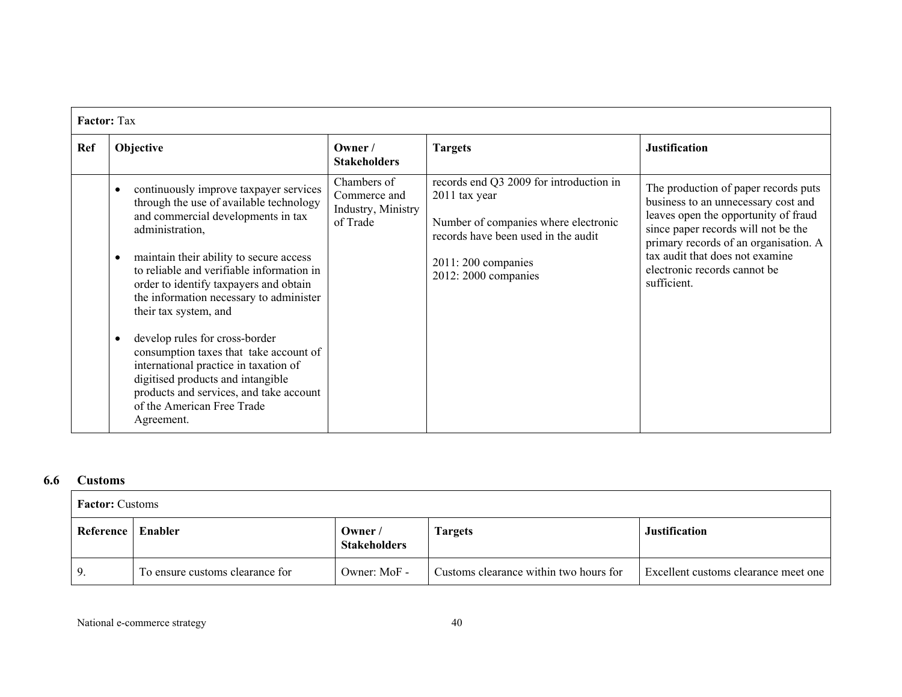|     | <b>Factor: Tax</b>                                                                                                                                                                                                                                                                                                                                                                                                                                                                                                                                                                                                          |                                                               |                                                                                                                                                                                         |                                                                                                                                                                                                                                                                                       |  |  |
|-----|-----------------------------------------------------------------------------------------------------------------------------------------------------------------------------------------------------------------------------------------------------------------------------------------------------------------------------------------------------------------------------------------------------------------------------------------------------------------------------------------------------------------------------------------------------------------------------------------------------------------------------|---------------------------------------------------------------|-----------------------------------------------------------------------------------------------------------------------------------------------------------------------------------------|---------------------------------------------------------------------------------------------------------------------------------------------------------------------------------------------------------------------------------------------------------------------------------------|--|--|
| Ref | Objective                                                                                                                                                                                                                                                                                                                                                                                                                                                                                                                                                                                                                   | Owner /<br><b>Stakeholders</b>                                | <b>Targets</b>                                                                                                                                                                          | <b>Justification</b>                                                                                                                                                                                                                                                                  |  |  |
|     | continuously improve taxpayer services<br>$\bullet$<br>through the use of available technology<br>and commercial developments in tax<br>administration,<br>maintain their ability to secure access<br>$\bullet$<br>to reliable and verifiable information in<br>order to identify taxpayers and obtain<br>the information necessary to administer<br>their tax system, and<br>develop rules for cross-border<br>consumption taxes that take account of<br>international practice in taxation of<br>digitised products and intangible<br>products and services, and take account<br>of the American Free Trade<br>Agreement. | Chambers of<br>Commerce and<br>Industry, Ministry<br>of Trade | records end Q3 2009 for introduction in<br>2011 tax year<br>Number of companies where electronic<br>records have been used in the audit<br>$2011:200$ companies<br>2012: 2000 companies | The production of paper records puts<br>business to an unnecessary cost and<br>leaves open the opportunity of fraud<br>since paper records will not be the<br>primary records of an organisation. A<br>tax audit that does not examine<br>electronic records cannot be<br>sufficient. |  |  |

#### **6.6Customs**

|           | <b>Factor:</b> Customs          |                               |                                        |                                      |  |  |
|-----------|---------------------------------|-------------------------------|----------------------------------------|--------------------------------------|--|--|
| Reference | Enabler                         | Owner/<br><b>Stakeholders</b> | Fargets                                | <b>Justification</b>                 |  |  |
|           | To ensure customs clearance for | Owner: MoF -                  | Customs clearance within two hours for | Excellent customs clearance meet one |  |  |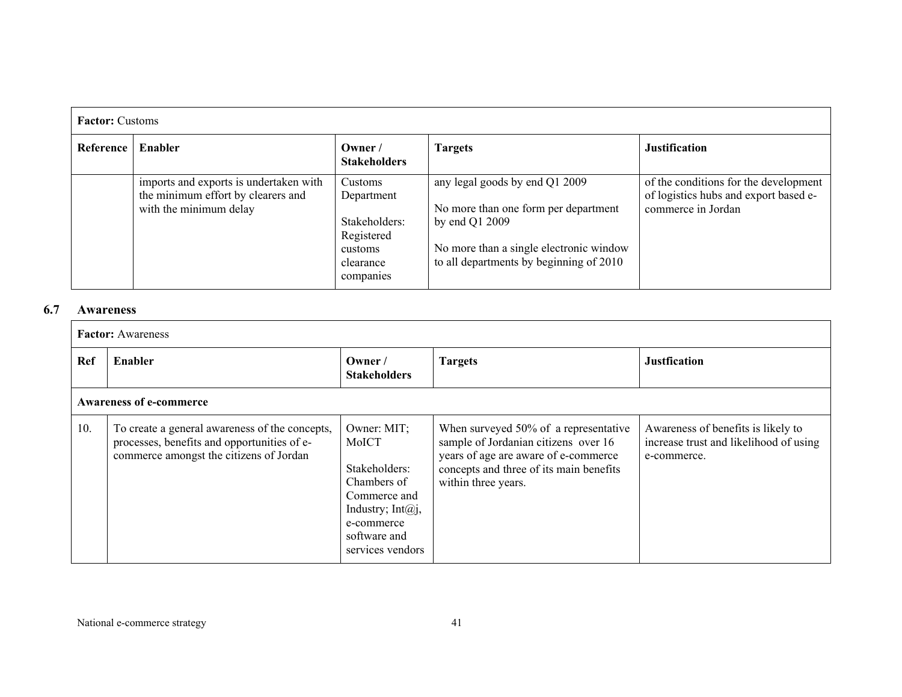| <b>Factor:</b> Customs |                                                                                                        |                                                                                           |                                                                                                                                                                                |                                                                                                      |  |
|------------------------|--------------------------------------------------------------------------------------------------------|-------------------------------------------------------------------------------------------|--------------------------------------------------------------------------------------------------------------------------------------------------------------------------------|------------------------------------------------------------------------------------------------------|--|
| Reference              | Enabler                                                                                                | Owner /<br><b>Stakeholders</b>                                                            | <b>Targets</b>                                                                                                                                                                 | <b>Justification</b>                                                                                 |  |
|                        | imports and exports is undertaken with<br>the minimum effort by clearers and<br>with the minimum delay | Customs<br>Department<br>Stakeholders:<br>Registered<br>customs<br>clearance<br>companies | any legal goods by end Q1 2009<br>No more than one form per department<br>by end Q1 2009<br>No more than a single electronic window<br>to all departments by beginning of 2010 | of the conditions for the development<br>of logistics hubs and export based e-<br>commerce in Jordan |  |

#### **6.7Awareness**

|            | <b>Factor:</b> Awareness                                                                                                                 |                                                                                                                                                  |                                                                                                                                                                                         |                                                                                             |  |  |
|------------|------------------------------------------------------------------------------------------------------------------------------------------|--------------------------------------------------------------------------------------------------------------------------------------------------|-----------------------------------------------------------------------------------------------------------------------------------------------------------------------------------------|---------------------------------------------------------------------------------------------|--|--|
| <b>Ref</b> | Enabler                                                                                                                                  | Owner /<br><b>Stakeholders</b>                                                                                                                   | <b>Targets</b>                                                                                                                                                                          | <b>Justfication</b>                                                                         |  |  |
|            | <b>Awareness of e-commerce</b>                                                                                                           |                                                                                                                                                  |                                                                                                                                                                                         |                                                                                             |  |  |
| 10.        | To create a general awareness of the concepts,<br>processes, benefits and opportunities of e-<br>commerce amongst the citizens of Jordan | Owner: MIT;<br>MoICT<br>Stakeholders:<br>Chambers of<br>Commerce and<br>Industry; Int $(a)$ j,<br>e-commerce<br>software and<br>services vendors | When surveyed 50% of a representative<br>sample of Jordanian citizens over 16<br>years of age are aware of e-commerce<br>concepts and three of its main benefits<br>within three years. | Awareness of benefits is likely to<br>increase trust and likelihood of using<br>e-commerce. |  |  |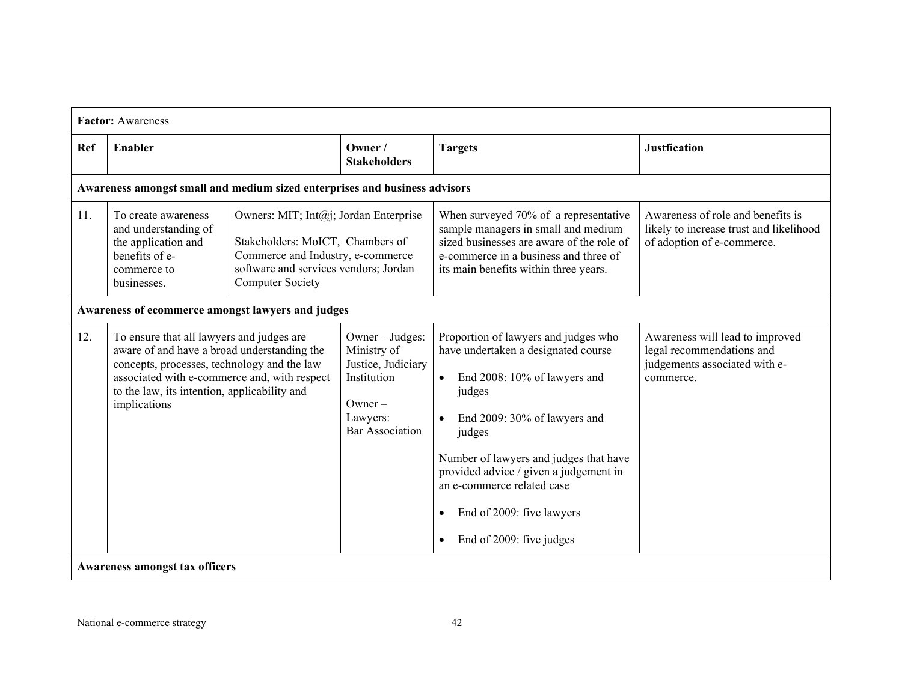|     | <b>Factor:</b> Awareness                                                                                                                                                                                                                                |                                                                                                                                                                                    |                                                                                                                         |                                                                                                                                                                                                                                                                                                                                            |                                                                                                            |
|-----|---------------------------------------------------------------------------------------------------------------------------------------------------------------------------------------------------------------------------------------------------------|------------------------------------------------------------------------------------------------------------------------------------------------------------------------------------|-------------------------------------------------------------------------------------------------------------------------|--------------------------------------------------------------------------------------------------------------------------------------------------------------------------------------------------------------------------------------------------------------------------------------------------------------------------------------------|------------------------------------------------------------------------------------------------------------|
| Ref | Enabler                                                                                                                                                                                                                                                 |                                                                                                                                                                                    | Owner /<br><b>Stakeholders</b>                                                                                          | <b>Targets</b>                                                                                                                                                                                                                                                                                                                             | <b>Justfication</b>                                                                                        |
|     | Awareness amongst small and medium sized enterprises and business advisors                                                                                                                                                                              |                                                                                                                                                                                    |                                                                                                                         |                                                                                                                                                                                                                                                                                                                                            |                                                                                                            |
| 11. | To create awareness<br>and understanding of<br>the application and<br>benefits of e-<br>commerce to<br>businesses.                                                                                                                                      | Owners: MIT; Int@j; Jordan Enterprise<br>Stakeholders: MoICT, Chambers of<br>Commerce and Industry, e-commerce<br>software and services vendors; Jordan<br><b>Computer Society</b> |                                                                                                                         | When surveyed 70% of a representative<br>sample managers in small and medium<br>sized businesses are aware of the role of<br>e-commerce in a business and three of<br>its main benefits within three years.                                                                                                                                | Awareness of role and benefits is<br>likely to increase trust and likelihood<br>of adoption of e-commerce. |
|     | Awareness of ecommerce amongst lawyers and judges                                                                                                                                                                                                       |                                                                                                                                                                                    |                                                                                                                         |                                                                                                                                                                                                                                                                                                                                            |                                                                                                            |
| 12. | To ensure that all lawyers and judges are<br>aware of and have a broad understanding the<br>concepts, processes, technology and the law<br>associated with e-commerce and, with respect<br>to the law, its intention, applicability and<br>implications |                                                                                                                                                                                    | Owner - Judges:<br>Ministry of<br>Justice, Judiciary<br>Institution<br>$O$ wner –<br>Lawyers:<br><b>Bar Association</b> | Proportion of lawyers and judges who<br>have undertaken a designated course<br>End 2008: 10% of lawyers and<br>judges<br>End 2009: 30% of lawyers and<br>judges<br>Number of lawyers and judges that have<br>provided advice / given a judgement in<br>an e-commerce related case<br>End of 2009: five lawyers<br>End of 2009: five judges | Awareness will lead to improved<br>legal recommendations and<br>judgements associated with e-<br>commerce. |
|     | <b>Awareness amongst tax officers</b>                                                                                                                                                                                                                   |                                                                                                                                                                                    |                                                                                                                         |                                                                                                                                                                                                                                                                                                                                            |                                                                                                            |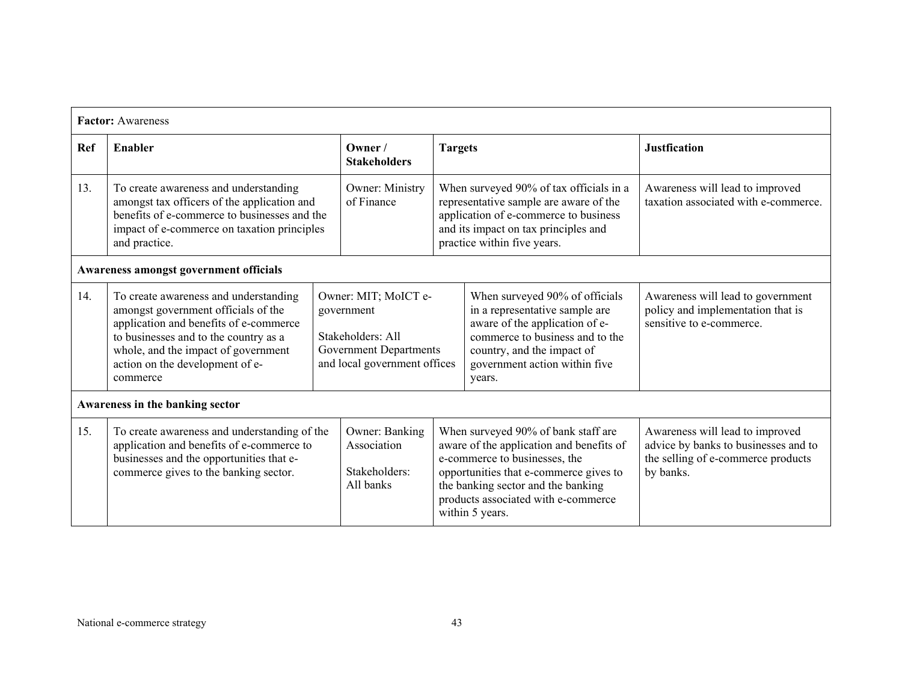|                                        | <b>Factor:</b> Awareness                                                                                                                                                                                                                              |                                                                                                                   |                                                             |                |                                                                                                                                                                                                                                                            |                                                                                                                            |
|----------------------------------------|-------------------------------------------------------------------------------------------------------------------------------------------------------------------------------------------------------------------------------------------------------|-------------------------------------------------------------------------------------------------------------------|-------------------------------------------------------------|----------------|------------------------------------------------------------------------------------------------------------------------------------------------------------------------------------------------------------------------------------------------------------|----------------------------------------------------------------------------------------------------------------------------|
| Ref                                    | Enabler                                                                                                                                                                                                                                               |                                                                                                                   | Owner /<br><b>Stakeholders</b>                              | <b>Targets</b> |                                                                                                                                                                                                                                                            | <b>Justfication</b>                                                                                                        |
| 13.                                    | To create awareness and understanding<br>amongst tax officers of the application and<br>benefits of e-commerce to businesses and the<br>impact of e-commerce on taxation principles<br>and practice.                                                  |                                                                                                                   | Owner: Ministry<br>of Finance                               |                | When surveyed 90% of tax officials in a<br>representative sample are aware of the<br>application of e-commerce to business<br>and its impact on tax principles and<br>practice within five years.                                                          | Awareness will lead to improved<br>taxation associated with e-commerce.                                                    |
| Awareness amongst government officials |                                                                                                                                                                                                                                                       |                                                                                                                   |                                                             |                |                                                                                                                                                                                                                                                            |                                                                                                                            |
| 14.                                    | To create awareness and understanding<br>amongst government officials of the<br>application and benefits of e-commerce<br>to businesses and to the country as a<br>whole, and the impact of government<br>action on the development of e-<br>commerce | Owner: MIT; MoICT e-<br>government<br>Stakeholders: All<br>Government Departments<br>and local government offices |                                                             |                | When surveyed 90% of officials<br>in a representative sample are<br>aware of the application of e-<br>commerce to business and to the<br>country, and the impact of<br>government action within five<br>years.                                             | Awareness will lead to government<br>policy and implementation that is<br>sensitive to e-commerce.                         |
|                                        | Awareness in the banking sector                                                                                                                                                                                                                       |                                                                                                                   |                                                             |                |                                                                                                                                                                                                                                                            |                                                                                                                            |
| 15.                                    | To create awareness and understanding of the<br>application and benefits of e-commerce to<br>businesses and the opportunities that e-<br>commerce gives to the banking sector.                                                                        |                                                                                                                   | Owner: Banking<br>Association<br>Stakeholders:<br>All banks |                | When surveyed 90% of bank staff are<br>aware of the application and benefits of<br>e-commerce to businesses, the<br>opportunities that e-commerce gives to<br>the banking sector and the banking<br>products associated with e-commerce<br>within 5 years. | Awareness will lead to improved<br>advice by banks to businesses and to<br>the selling of e-commerce products<br>by banks. |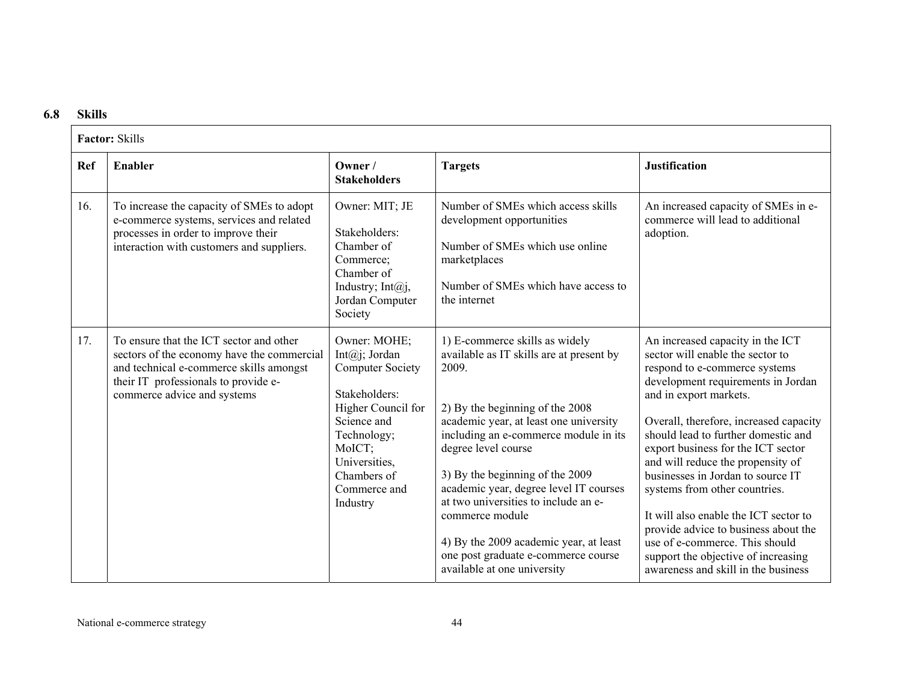#### **6.8Skills**

|            | <b>Factor: Skills</b>                                                                                                                                                                                   |                                                                                                                                                                                                           |                                                                                                                                                                                                                                                                                                                                                                                                                                                                                          |                                                                                                                                                                                                                                                                                                                                                                                                                                                                                                                                                                                                          |  |  |
|------------|---------------------------------------------------------------------------------------------------------------------------------------------------------------------------------------------------------|-----------------------------------------------------------------------------------------------------------------------------------------------------------------------------------------------------------|------------------------------------------------------------------------------------------------------------------------------------------------------------------------------------------------------------------------------------------------------------------------------------------------------------------------------------------------------------------------------------------------------------------------------------------------------------------------------------------|----------------------------------------------------------------------------------------------------------------------------------------------------------------------------------------------------------------------------------------------------------------------------------------------------------------------------------------------------------------------------------------------------------------------------------------------------------------------------------------------------------------------------------------------------------------------------------------------------------|--|--|
| <b>Ref</b> | Enabler                                                                                                                                                                                                 | Owner /<br><b>Stakeholders</b>                                                                                                                                                                            | <b>Targets</b>                                                                                                                                                                                                                                                                                                                                                                                                                                                                           | <b>Justification</b>                                                                                                                                                                                                                                                                                                                                                                                                                                                                                                                                                                                     |  |  |
| 16.        | To increase the capacity of SMEs to adopt<br>e-commerce systems, services and related<br>processes in order to improve their<br>interaction with customers and suppliers.                               | Owner: MIT; JE<br>Stakeholders:<br>Chamber of<br>Commerce;<br>Chamber of<br>Industry; Int $(a)$ j,<br>Jordan Computer<br>Society                                                                          | Number of SMEs which access skills<br>development opportunities<br>Number of SMEs which use online<br>marketplaces<br>Number of SMEs which have access to<br>the internet                                                                                                                                                                                                                                                                                                                | An increased capacity of SMEs in e-<br>commerce will lead to additional<br>adoption.                                                                                                                                                                                                                                                                                                                                                                                                                                                                                                                     |  |  |
| 17.        | To ensure that the ICT sector and other<br>sectors of the economy have the commercial<br>and technical e-commerce skills amongst<br>their IT professionals to provide e-<br>commerce advice and systems | Owner: MOHE;<br>Int $(a)$ j; Jordan<br><b>Computer Society</b><br>Stakeholders:<br>Higher Council for<br>Science and<br>Technology;<br>MoICT;<br>Universities,<br>Chambers of<br>Commerce and<br>Industry | 1) E-commerce skills as widely<br>available as IT skills are at present by<br>2009.<br>2) By the beginning of the 2008<br>academic year, at least one university<br>including an e-commerce module in its<br>degree level course<br>3) By the beginning of the 2009<br>academic year, degree level IT courses<br>at two universities to include an e-<br>commerce module<br>4) By the 2009 academic year, at least<br>one post graduate e-commerce course<br>available at one university | An increased capacity in the ICT<br>sector will enable the sector to<br>respond to e-commerce systems<br>development requirements in Jordan<br>and in export markets.<br>Overall, therefore, increased capacity<br>should lead to further domestic and<br>export business for the ICT sector<br>and will reduce the propensity of<br>businesses in Jordan to source IT<br>systems from other countries.<br>It will also enable the ICT sector to<br>provide advice to business about the<br>use of e-commerce. This should<br>support the objective of increasing<br>awareness and skill in the business |  |  |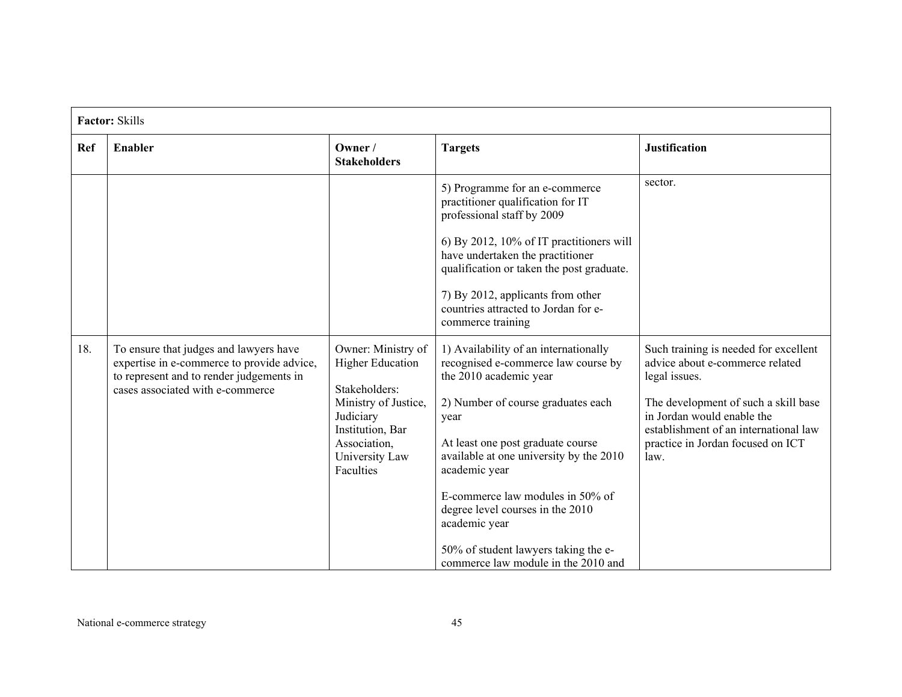|            | <b>Factor: Skills</b>                                                                                                                                                |                                                                                                                                                                        |                                                                                                                                                                                                                                                                                                                                                                                                                               |                                                                                                                                                                                                                                                       |  |
|------------|----------------------------------------------------------------------------------------------------------------------------------------------------------------------|------------------------------------------------------------------------------------------------------------------------------------------------------------------------|-------------------------------------------------------------------------------------------------------------------------------------------------------------------------------------------------------------------------------------------------------------------------------------------------------------------------------------------------------------------------------------------------------------------------------|-------------------------------------------------------------------------------------------------------------------------------------------------------------------------------------------------------------------------------------------------------|--|
| <b>Ref</b> | Enabler                                                                                                                                                              | Owner /<br><b>Stakeholders</b>                                                                                                                                         | <b>Targets</b>                                                                                                                                                                                                                                                                                                                                                                                                                | <b>Justification</b>                                                                                                                                                                                                                                  |  |
|            |                                                                                                                                                                      |                                                                                                                                                                        | 5) Programme for an e-commerce<br>practitioner qualification for IT<br>professional staff by 2009<br>6) By 2012, 10% of IT practitioners will<br>have undertaken the practitioner<br>qualification or taken the post graduate.<br>7) By 2012, applicants from other<br>countries attracted to Jordan for e-<br>commerce training                                                                                              | sector.                                                                                                                                                                                                                                               |  |
| 18.        | To ensure that judges and lawyers have<br>expertise in e-commerce to provide advice,<br>to represent and to render judgements in<br>cases associated with e-commerce | Owner: Ministry of<br><b>Higher Education</b><br>Stakeholders:<br>Ministry of Justice,<br>Judiciary<br>Institution, Bar<br>Association,<br>University Law<br>Faculties | 1) Availability of an internationally<br>recognised e-commerce law course by<br>the 2010 academic year<br>2) Number of course graduates each<br>year<br>At least one post graduate course<br>available at one university by the 2010<br>academic year<br>E-commerce law modules in 50% of<br>degree level courses in the 2010<br>academic year<br>50% of student lawyers taking the e-<br>commerce law module in the 2010 and | Such training is needed for excellent<br>advice about e-commerce related<br>legal issues.<br>The development of such a skill base<br>in Jordan would enable the<br>establishment of an international law<br>practice in Jordan focused on ICT<br>law. |  |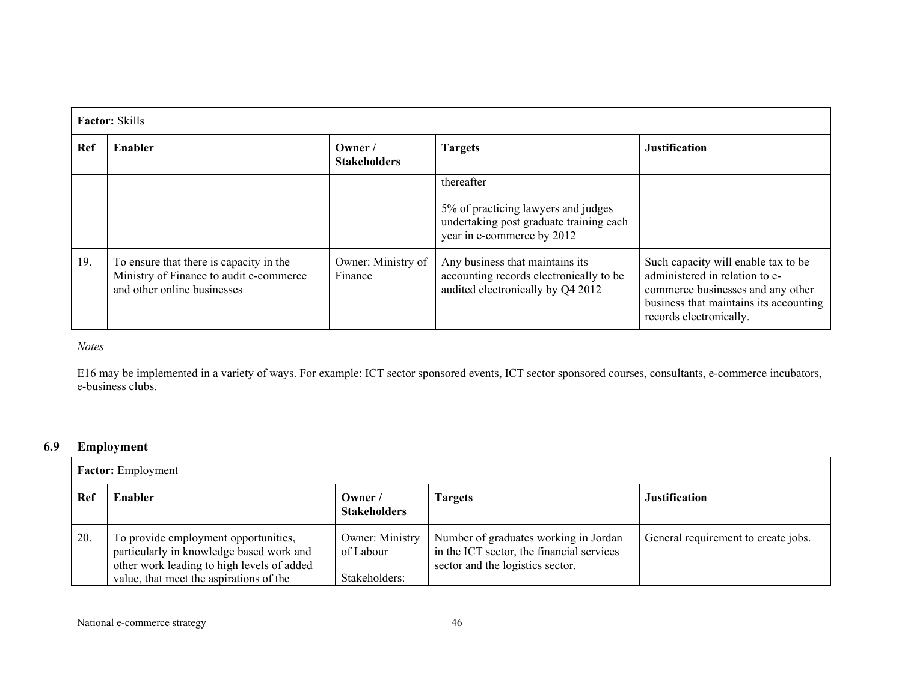|     | <b>Factor:</b> Skills                                                                                             |                               |                                                                                                                            |                                                                                                                                                                                 |  |  |
|-----|-------------------------------------------------------------------------------------------------------------------|-------------------------------|----------------------------------------------------------------------------------------------------------------------------|---------------------------------------------------------------------------------------------------------------------------------------------------------------------------------|--|--|
| Ref | Enabler                                                                                                           | Owner/<br><b>Stakeholders</b> | <b>Targets</b>                                                                                                             | <b>Justification</b>                                                                                                                                                            |  |  |
|     |                                                                                                                   |                               | thereafter<br>5% of practicing lawyers and judges<br>undertaking post graduate training each<br>year in e-commerce by 2012 |                                                                                                                                                                                 |  |  |
| 19. | To ensure that there is capacity in the<br>Ministry of Finance to audit e-commerce<br>and other online businesses | Owner: Ministry of<br>Finance | Any business that maintains its<br>accounting records electronically to be<br>audited electronically by Q4 2012            | Such capacity will enable tax to be<br>administered in relation to e-<br>commerce businesses and any other<br>business that maintains its accounting<br>records electronically. |  |  |

*Notes* 

E16 may be implemented in a variety of ways. For example: ICT sector sponsored events, ICT sector sponsored courses, consultants, e-commerce incubators, e-business clubs.

#### **6.9Employment**

|     | <b>Factor:</b> Employment                                                                                                                                                 |                                                      |                                                                                                                        |                                     |  |  |
|-----|---------------------------------------------------------------------------------------------------------------------------------------------------------------------------|------------------------------------------------------|------------------------------------------------------------------------------------------------------------------------|-------------------------------------|--|--|
| Ref | Enabler                                                                                                                                                                   | Owner/<br><b>Stakeholders</b>                        | <b>Fargets</b>                                                                                                         | <b>Justification</b>                |  |  |
| 20. | To provide employment opportunities,<br>particularly in knowledge based work and<br>other work leading to high levels of added<br>value, that meet the aspirations of the | <b>Owner: Ministry</b><br>of Labour<br>Stakeholders: | Number of graduates working in Jordan<br>in the ICT sector, the financial services<br>sector and the logistics sector. | General requirement to create jobs. |  |  |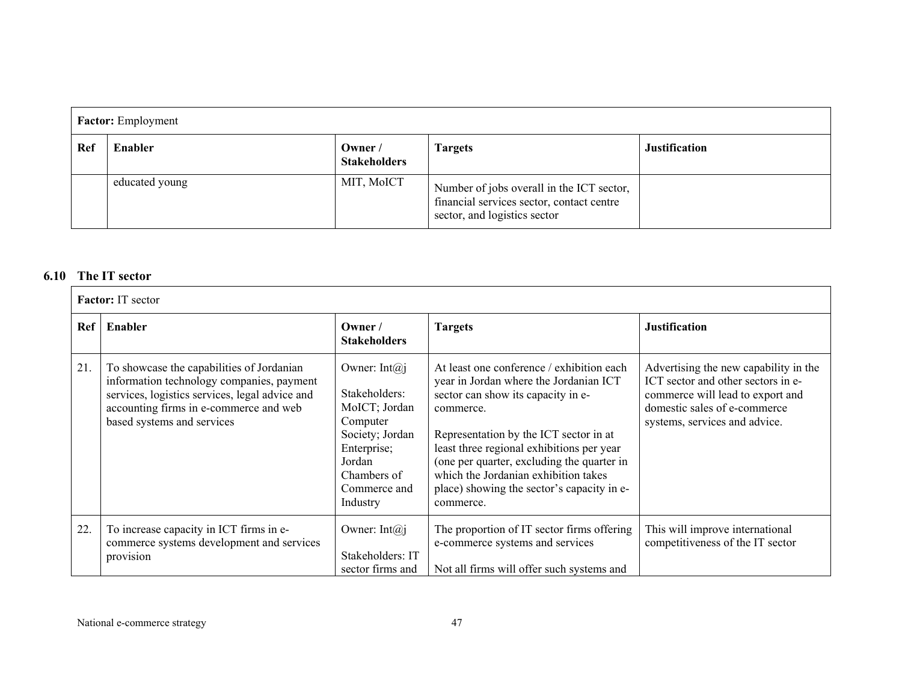| <b>Factor:</b> Employment |                |                                |                                                                                                                        |                      |  |
|---------------------------|----------------|--------------------------------|------------------------------------------------------------------------------------------------------------------------|----------------------|--|
| Ref                       | Enabler        | Owner /<br><b>Stakeholders</b> | <b>Targets</b>                                                                                                         | <b>Justification</b> |  |
|                           | educated young | MIT, MoICT                     | Number of jobs overall in the ICT sector,<br>financial services sector, contact centre<br>sector, and logistics sector |                      |  |

### **6.10 The IT sector**

|     | <b>Factor:</b> IT sector                                                                                                                                                                                         |                                                                                                                                                         |                                                                                                                                                                                                                                                                                                                                                                                |                                                                                                                                                                                  |  |  |  |
|-----|------------------------------------------------------------------------------------------------------------------------------------------------------------------------------------------------------------------|---------------------------------------------------------------------------------------------------------------------------------------------------------|--------------------------------------------------------------------------------------------------------------------------------------------------------------------------------------------------------------------------------------------------------------------------------------------------------------------------------------------------------------------------------|----------------------------------------------------------------------------------------------------------------------------------------------------------------------------------|--|--|--|
| Ref | Enabler                                                                                                                                                                                                          | Owner $/$<br><b>Stakeholders</b>                                                                                                                        | <b>Targets</b>                                                                                                                                                                                                                                                                                                                                                                 | <b>Justification</b>                                                                                                                                                             |  |  |  |
| 21. | To showcase the capabilities of Jordanian<br>information technology companies, payment<br>services, logistics services, legal advice and<br>accounting firms in e-commerce and web<br>based systems and services | Owner: Int $(a)$ j<br>Stakeholders:<br>MoICT; Jordan<br>Computer<br>Society; Jordan<br>Enterprise;<br>Jordan<br>Chambers of<br>Commerce and<br>Industry | At least one conference / exhibition each<br>year in Jordan where the Jordanian ICT<br>sector can show its capacity in e-<br>commerce.<br>Representation by the ICT sector in at<br>least three regional exhibitions per year<br>(one per quarter, excluding the quarter in<br>which the Jordanian exhibition takes<br>place) showing the sector's capacity in e-<br>commerce. | Advertising the new capability in the<br>ICT sector and other sectors in e-<br>commerce will lead to export and<br>domestic sales of e-commerce<br>systems, services and advice. |  |  |  |
| 22. | To increase capacity in ICT firms in e-<br>commerce systems development and services<br>provision                                                                                                                | Owner: Int $(a)$ j<br>Stakeholders: IT<br>sector firms and                                                                                              | The proportion of IT sector firms offering<br>e-commerce systems and services<br>Not all firms will offer such systems and                                                                                                                                                                                                                                                     | This will improve international<br>competitiveness of the IT sector                                                                                                              |  |  |  |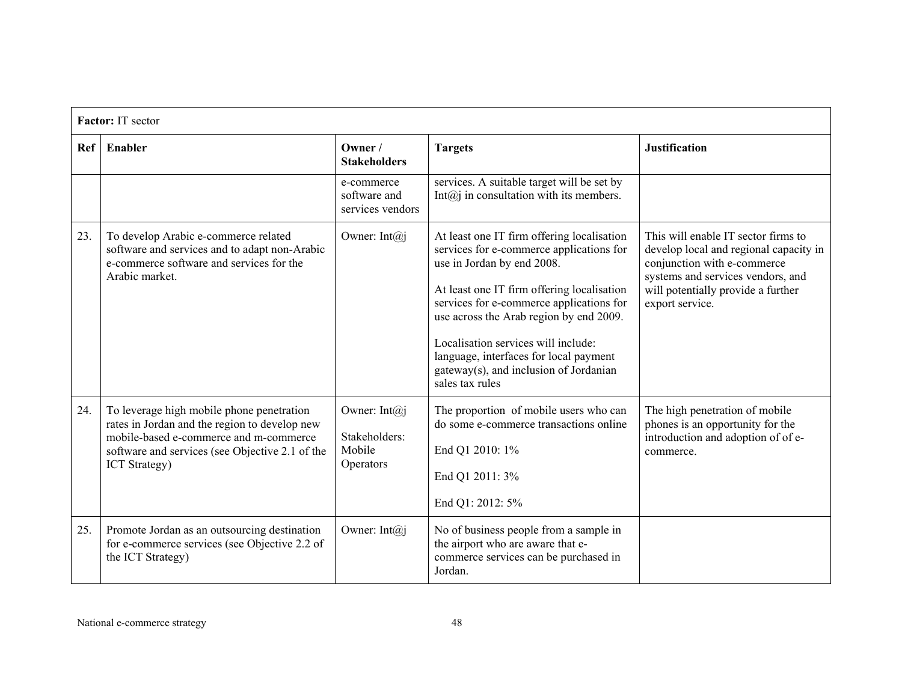|     | Factor: IT sector                                                                                                                                                                                               |                                                            |                                                                                                                                                                                                                                                                                                                                                                                                         |                                                                                                                                                                                                            |  |  |
|-----|-----------------------------------------------------------------------------------------------------------------------------------------------------------------------------------------------------------------|------------------------------------------------------------|---------------------------------------------------------------------------------------------------------------------------------------------------------------------------------------------------------------------------------------------------------------------------------------------------------------------------------------------------------------------------------------------------------|------------------------------------------------------------------------------------------------------------------------------------------------------------------------------------------------------------|--|--|
|     | Ref   Enabler                                                                                                                                                                                                   | $O$ wner /<br><b>Stakeholders</b>                          | <b>Targets</b>                                                                                                                                                                                                                                                                                                                                                                                          | <b>Justification</b>                                                                                                                                                                                       |  |  |
|     |                                                                                                                                                                                                                 | e-commerce<br>software and<br>services vendors             | services. A suitable target will be set by<br>Int $(a)$ in consultation with its members.                                                                                                                                                                                                                                                                                                               |                                                                                                                                                                                                            |  |  |
| 23. | To develop Arabic e-commerce related<br>software and services and to adapt non-Arabic<br>e-commerce software and services for the<br>Arabic market.                                                             | Owner: Int $(a)$ j                                         | At least one IT firm offering localisation<br>services for e-commerce applications for<br>use in Jordan by end 2008.<br>At least one IT firm offering localisation<br>services for e-commerce applications for<br>use across the Arab region by end 2009.<br>Localisation services will include:<br>language, interfaces for local payment<br>gateway(s), and inclusion of Jordanian<br>sales tax rules | This will enable IT sector firms to<br>develop local and regional capacity in<br>conjunction with e-commerce<br>systems and services vendors, and<br>will potentially provide a further<br>export service. |  |  |
| 24. | To leverage high mobile phone penetration<br>rates in Jordan and the region to develop new<br>mobile-based e-commerce and m-commerce<br>software and services (see Objective 2.1 of the<br><b>ICT</b> Strategy) | Owner: Int $(a)$ j<br>Stakeholders:<br>Mobile<br>Operators | The proportion of mobile users who can<br>do some e-commerce transactions online<br>End Q1 2010: 1%<br>End Q1 2011: 3%<br>End Q1: 2012: 5%                                                                                                                                                                                                                                                              | The high penetration of mobile<br>phones is an opportunity for the<br>introduction and adoption of of e-<br>commerce.                                                                                      |  |  |
| 25. | Promote Jordan as an outsourcing destination<br>for e-commerce services (see Objective 2.2 of<br>the ICT Strategy)                                                                                              | Owner: Int $(a)$ j                                         | No of business people from a sample in<br>the airport who are aware that e-<br>commerce services can be purchased in<br>Jordan.                                                                                                                                                                                                                                                                         |                                                                                                                                                                                                            |  |  |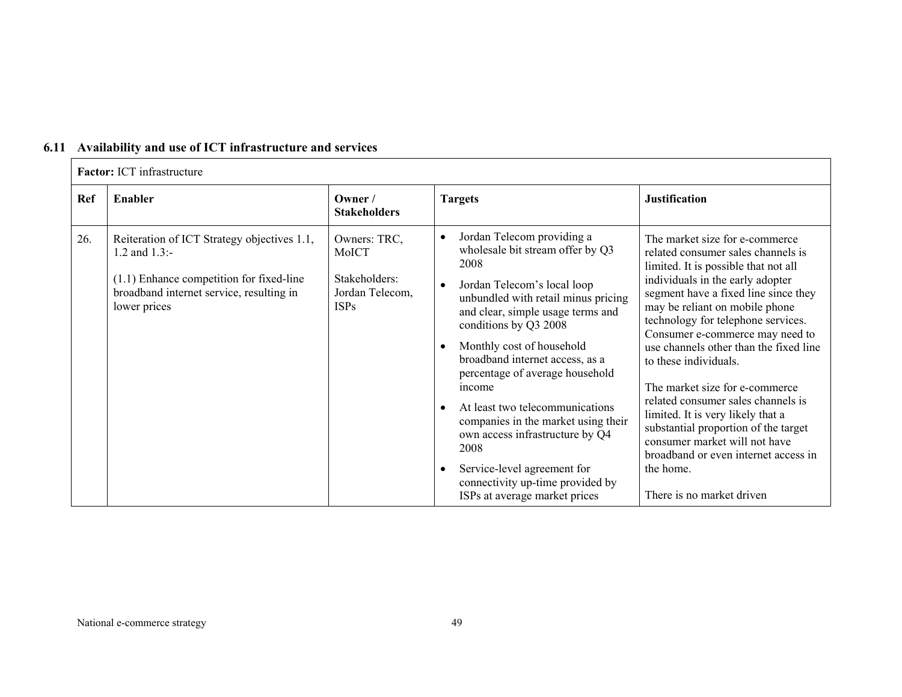| 6.11 Availability and use of ICT infrastructure and services |
|--------------------------------------------------------------|
|--------------------------------------------------------------|

|            | Factor: ICT infrastructure                                                                                                                                                |                                                                          |                                                                                                                                                                                                                                                                                                                                                                                                                                                                                                                                                  |                                                                                                                                                                                                                                                                                                                                                                                                                                                                                                                                                                                                                                                |  |  |  |
|------------|---------------------------------------------------------------------------------------------------------------------------------------------------------------------------|--------------------------------------------------------------------------|--------------------------------------------------------------------------------------------------------------------------------------------------------------------------------------------------------------------------------------------------------------------------------------------------------------------------------------------------------------------------------------------------------------------------------------------------------------------------------------------------------------------------------------------------|------------------------------------------------------------------------------------------------------------------------------------------------------------------------------------------------------------------------------------------------------------------------------------------------------------------------------------------------------------------------------------------------------------------------------------------------------------------------------------------------------------------------------------------------------------------------------------------------------------------------------------------------|--|--|--|
| <b>Ref</b> | <b>Enabler</b>                                                                                                                                                            | Owner /<br><b>Stakeholders</b>                                           | <b>Targets</b>                                                                                                                                                                                                                                                                                                                                                                                                                                                                                                                                   | <b>Justification</b>                                                                                                                                                                                                                                                                                                                                                                                                                                                                                                                                                                                                                           |  |  |  |
| 26.        | Reiteration of ICT Strategy objectives 1.1,<br>1.2 and $1.3$ :-<br>$(1.1)$ Enhance competition for fixed-line<br>broadband internet service, resulting in<br>lower prices | Owners: TRC,<br>MoICT<br>Stakeholders:<br>Jordan Telecom,<br><b>ISPs</b> | Jordan Telecom providing a<br>wholesale bit stream offer by Q3<br>2008<br>Jordan Telecom's local loop<br>unbundled with retail minus pricing<br>and clear, simple usage terms and<br>conditions by Q3 2008<br>Monthly cost of household<br>broadband internet access, as a<br>percentage of average household<br>income<br>At least two telecommunications<br>companies in the market using their<br>own access infrastructure by Q4<br>2008<br>Service-level agreement for<br>connectivity up-time provided by<br>ISPs at average market prices | The market size for e-commerce<br>related consumer sales channels is<br>limited. It is possible that not all<br>individuals in the early adopter<br>segment have a fixed line since they<br>may be reliant on mobile phone<br>technology for telephone services.<br>Consumer e-commerce may need to<br>use channels other than the fixed line<br>to these individuals.<br>The market size for e-commerce<br>related consumer sales channels is<br>limited. It is very likely that a<br>substantial proportion of the target<br>consumer market will not have<br>broadband or even internet access in<br>the home.<br>There is no market driven |  |  |  |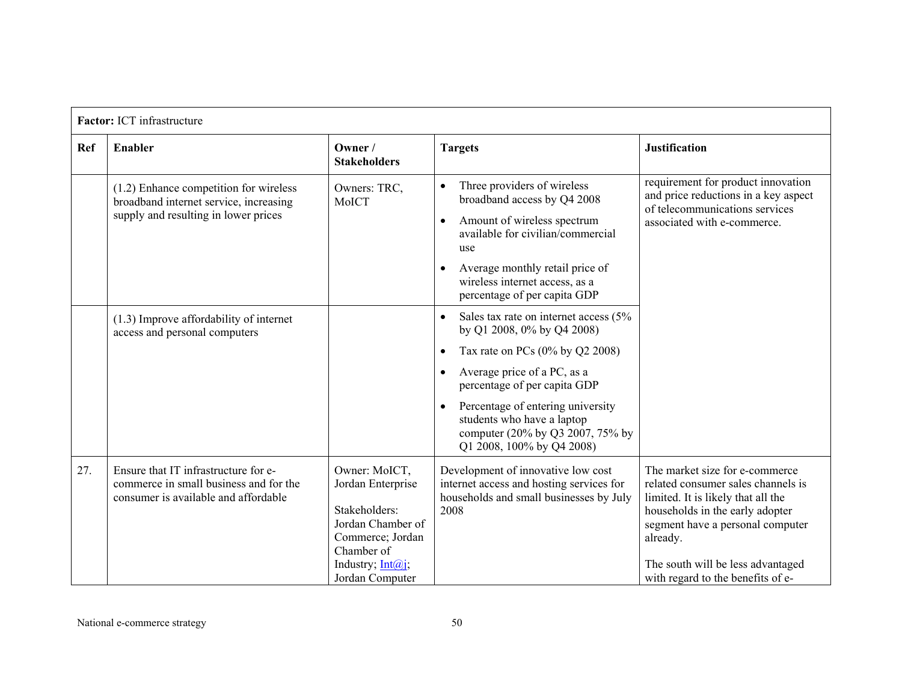|            | Factor: ICT infrastructure                                                                                                 |                                                                                                                                                   |                                                                                                                                                                                                                                                                                                                                                                  |                                                                                                                                                                                                                                                                         |  |
|------------|----------------------------------------------------------------------------------------------------------------------------|---------------------------------------------------------------------------------------------------------------------------------------------------|------------------------------------------------------------------------------------------------------------------------------------------------------------------------------------------------------------------------------------------------------------------------------------------------------------------------------------------------------------------|-------------------------------------------------------------------------------------------------------------------------------------------------------------------------------------------------------------------------------------------------------------------------|--|
| <b>Ref</b> | <b>Enabler</b>                                                                                                             | Owner /<br><b>Stakeholders</b>                                                                                                                    | <b>Targets</b>                                                                                                                                                                                                                                                                                                                                                   | <b>Justification</b>                                                                                                                                                                                                                                                    |  |
|            | $(1.2)$ Enhance competition for wireless<br>broadband internet service, increasing<br>supply and resulting in lower prices | Owners: TRC,<br>MoICT                                                                                                                             | Three providers of wireless<br>$\bullet$<br>broadband access by Q4 2008<br>Amount of wireless spectrum<br>$\bullet$<br>available for civilian/commercial<br>use<br>Average monthly retail price of<br>wireless internet access, as a<br>percentage of per capita GDP                                                                                             | requirement for product innovation<br>and price reductions in a key aspect<br>of telecommunications services<br>associated with e-commerce.                                                                                                                             |  |
|            | $(1.3)$ Improve affordability of internet<br>access and personal computers                                                 |                                                                                                                                                   | Sales tax rate on internet access (5%<br>$\bullet$<br>by Q1 2008, 0% by Q4 2008)<br>Tax rate on PCs $(0\%$ by Q2 2008)<br>$\bullet$<br>Average price of a PC, as a<br>$\bullet$<br>percentage of per capita GDP<br>Percentage of entering university<br>$\bullet$<br>students who have a laptop<br>computer (20% by Q3 2007, 75% by<br>Q1 2008, 100% by Q4 2008) |                                                                                                                                                                                                                                                                         |  |
| 27.        | Ensure that IT infrastructure for e-<br>commerce in small business and for the<br>consumer is available and affordable     | Owner: MoICT,<br>Jordan Enterprise<br>Stakeholders:<br>Jordan Chamber of<br>Commerce; Jordan<br>Chamber of<br>Industry, Int@i,<br>Jordan Computer | Development of innovative low cost<br>internet access and hosting services for<br>households and small businesses by July<br>2008                                                                                                                                                                                                                                | The market size for e-commerce<br>related consumer sales channels is<br>limited. It is likely that all the<br>households in the early adopter<br>segment have a personal computer<br>already.<br>The south will be less advantaged<br>with regard to the benefits of e- |  |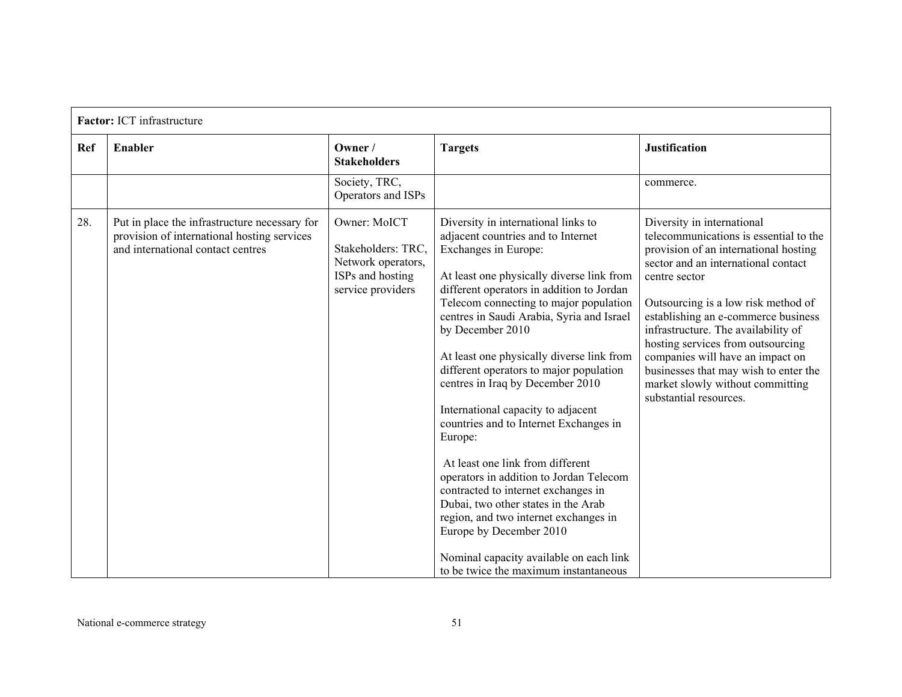|            | Factor: ICT infrastructure                                                                                                        |                                                                                                   |                                                                                                                                                                                                                                                                                                                                                                                                                                                                                                                                                                                                                                                                                                                                                                                                                                                    |                                                                                                                                                                                                                                                                                                                                                                                                                                                                            |  |  |
|------------|-----------------------------------------------------------------------------------------------------------------------------------|---------------------------------------------------------------------------------------------------|----------------------------------------------------------------------------------------------------------------------------------------------------------------------------------------------------------------------------------------------------------------------------------------------------------------------------------------------------------------------------------------------------------------------------------------------------------------------------------------------------------------------------------------------------------------------------------------------------------------------------------------------------------------------------------------------------------------------------------------------------------------------------------------------------------------------------------------------------|----------------------------------------------------------------------------------------------------------------------------------------------------------------------------------------------------------------------------------------------------------------------------------------------------------------------------------------------------------------------------------------------------------------------------------------------------------------------------|--|--|
| <b>Ref</b> | Enabler                                                                                                                           | Owner /<br><b>Stakeholders</b>                                                                    | <b>Targets</b>                                                                                                                                                                                                                                                                                                                                                                                                                                                                                                                                                                                                                                                                                                                                                                                                                                     | <b>Justification</b>                                                                                                                                                                                                                                                                                                                                                                                                                                                       |  |  |
|            |                                                                                                                                   | Society, TRC,<br>Operators and ISPs                                                               |                                                                                                                                                                                                                                                                                                                                                                                                                                                                                                                                                                                                                                                                                                                                                                                                                                                    | commerce.                                                                                                                                                                                                                                                                                                                                                                                                                                                                  |  |  |
| 28.        | Put in place the infrastructure necessary for<br>provision of international hosting services<br>and international contact centres | Owner: MoICT<br>Stakeholders: TRC,<br>Network operators,<br>ISPs and hosting<br>service providers | Diversity in international links to<br>adjacent countries and to Internet<br>Exchanges in Europe:<br>At least one physically diverse link from<br>different operators in addition to Jordan<br>Telecom connecting to major population<br>centres in Saudi Arabia, Syria and Israel<br>by December 2010<br>At least one physically diverse link from<br>different operators to major population<br>centres in Iraq by December 2010<br>International capacity to adjacent<br>countries and to Internet Exchanges in<br>Europe:<br>At least one link from different<br>operators in addition to Jordan Telecom<br>contracted to internet exchanges in<br>Dubai, two other states in the Arab<br>region, and two internet exchanges in<br>Europe by December 2010<br>Nominal capacity available on each link<br>to be twice the maximum instantaneous | Diversity in international<br>telecommunications is essential to the<br>provision of an international hosting<br>sector and an international contact<br>centre sector<br>Outsourcing is a low risk method of<br>establishing an e-commerce business<br>infrastructure. The availability of<br>hosting services from outsourcing<br>companies will have an impact on<br>businesses that may wish to enter the<br>market slowly without committing<br>substantial resources. |  |  |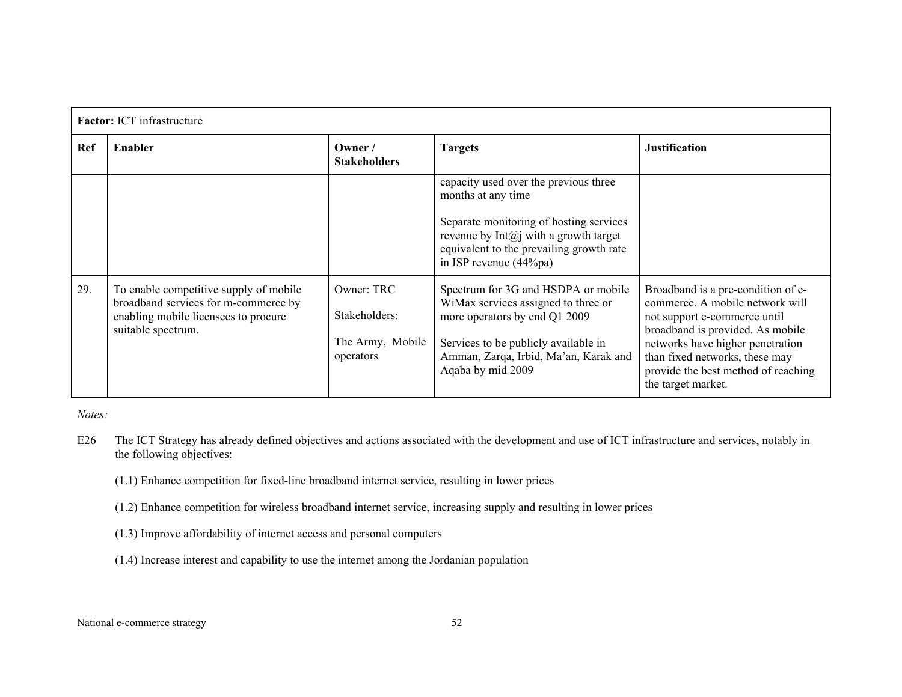|            | <b>Factor:</b> ICT infrastructure                                                                                                            |                                                              |                                                                                                                                                                                                                          |                                                                                                                                                                                                                                                                              |  |
|------------|----------------------------------------------------------------------------------------------------------------------------------------------|--------------------------------------------------------------|--------------------------------------------------------------------------------------------------------------------------------------------------------------------------------------------------------------------------|------------------------------------------------------------------------------------------------------------------------------------------------------------------------------------------------------------------------------------------------------------------------------|--|
| <b>Ref</b> | Enabler<br>Owner /<br><b>Targets</b><br><b>Stakeholders</b>                                                                                  |                                                              | <b>Justification</b>                                                                                                                                                                                                     |                                                                                                                                                                                                                                                                              |  |
|            |                                                                                                                                              |                                                              | capacity used over the previous three<br>months at any time<br>Separate monitoring of hosting services<br>revenue by $Int(a)$ with a growth target<br>equivalent to the prevailing growth rate<br>in ISP revenue (44%pa) |                                                                                                                                                                                                                                                                              |  |
| 29.        | To enable competitive supply of mobile<br>broadband services for m-commerce by<br>enabling mobile licensees to procure<br>suitable spectrum. | Owner: TRC<br>Stakeholders:<br>The Army, Mobile<br>operators | Spectrum for 3G and HSDPA or mobile<br>WiMax services assigned to three or<br>more operators by end Q1 2009<br>Services to be publicly available in<br>Amman, Zarqa, Irbid, Ma'an, Karak and<br>Aqaba by mid 2009        | Broadband is a pre-condition of e-<br>commerce. A mobile network will<br>not support e-commerce until<br>broadband is provided. As mobile<br>networks have higher penetration<br>than fixed networks, these may<br>provide the best method of reaching<br>the target market. |  |

*Notes:* 

- E26 The ICT Strategy has already defined objectives and actions associated with the development and use of ICT infrastructure and services, notably in the following objectives:
	- (1.1) Enhance competition for fixed-line broadband internet service, resulting in lower prices
	- (1.2) Enhance competition for wireless broadband internet service, increasing supply and resulting in lower prices
	- (1.3) Improve affordability of internet access and personal computers
	- (1.4) Increase interest and capability to use the internet among the Jordanian population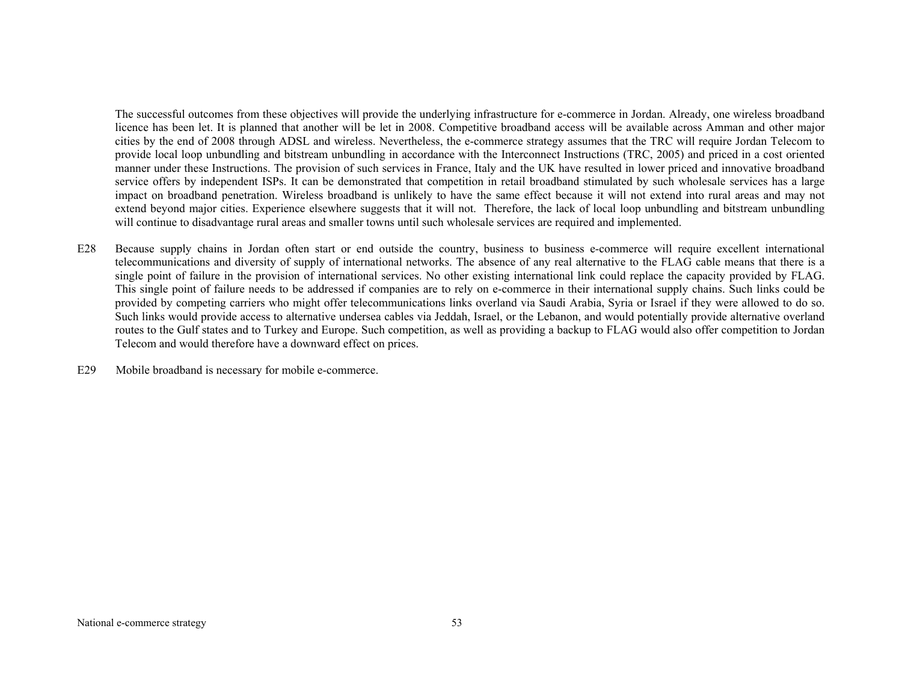The successful outcomes from these objectives will provide the underlying infrastructure for e-commerce in Jordan. Already, one wireless broadband licence has been let. It is planned that another will be let in 2008. Competitive broadband access will be available across Amman and other major cities by the end of 2008 through ADSL and wireless. Nevertheless, the e-commerce strategy assumes that the TRC will require Jordan Telecom to provide local loop unbundling and bitstream unbundling in accordance with the Interconnect Instructions (TRC, 2005) and priced in a cost oriented manner under these Instructions. The provision of such services in France, Italy and the UK have resulted in lower priced and innovative broadband service offers by independent ISPs. It can be demonstrated that competition in retail broadband stimulated by such wholesale services has a large impact on broadband penetration. Wireless broadband is unlikely to have the same effect because it will not extend into rural areas and may not extend beyond major cities. Experience elsewhere suggests that it will not. Therefore, the lack of local loop unbundling and bitstream unbundling will continue to disadvantage rural areas and smaller towns until such wholesale services are required and implemented.

E28 Because supply chains in Jordan often start or end outside the country, business to business e-commerce will require excellent international telecommunications and diversity of supply of international networks. The absence of any real alternative to the FLAG cable means that there is a single point of failure in the provision of international services. No other existing international link could replace the capacity provided by FLAG. This single point of failure needs to be addressed if companies are to rely on e-commerce in their international supply chains. Such links could be provided by competing carriers who might offer telecommunications links overland via Saudi Arabia, Syria or Israel if they were allowed to do so. Such links would provide access to alternative undersea cables via Jeddah, Israel, or the Lebanon, and would potentially provide alternative overland routes to the Gulf states and to Turkey and Europe. Such competition, as well as providing a backup to FLAG would also offer competition to Jordan Telecom and would therefore have a downward effect on prices.

E29 Mobile broadband is necessary for mobile e-commerce.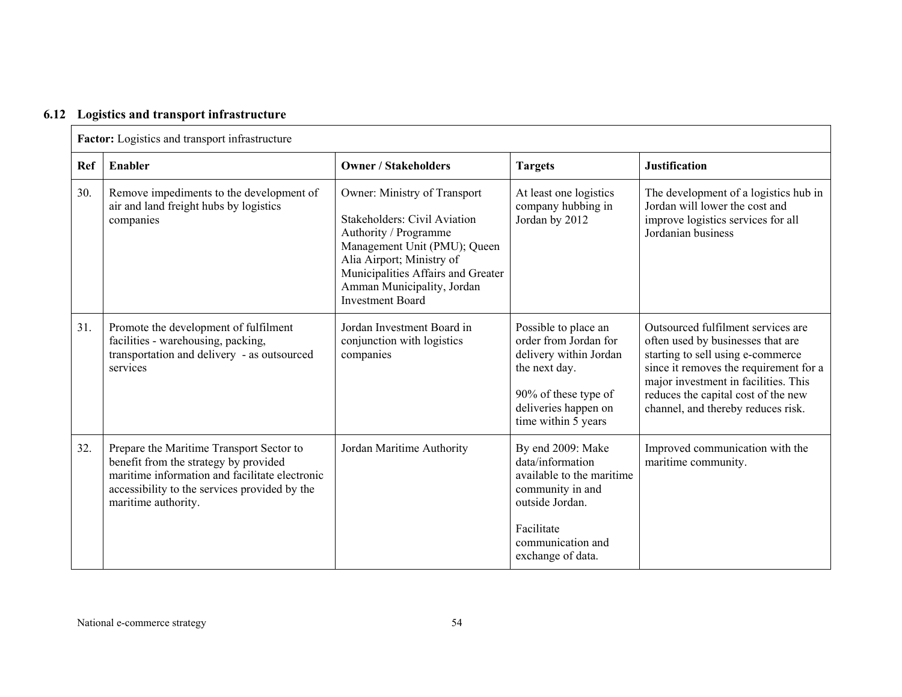|  |  | 6.12 Logistics and transport infrastructure |
|--|--|---------------------------------------------|
|  |  |                                             |

| Factor: Logistics and transport infrastructure |                                                                                                                                                                                                             |                                                                                                                                                                                                                                                          |                                                                                                                                                                   |                                                                                                                                                                                                                                                                             |  |  |
|------------------------------------------------|-------------------------------------------------------------------------------------------------------------------------------------------------------------------------------------------------------------|----------------------------------------------------------------------------------------------------------------------------------------------------------------------------------------------------------------------------------------------------------|-------------------------------------------------------------------------------------------------------------------------------------------------------------------|-----------------------------------------------------------------------------------------------------------------------------------------------------------------------------------------------------------------------------------------------------------------------------|--|--|
| Ref                                            | <b>Enabler</b>                                                                                                                                                                                              | <b>Owner / Stakeholders</b>                                                                                                                                                                                                                              | <b>Targets</b>                                                                                                                                                    | <b>Justification</b>                                                                                                                                                                                                                                                        |  |  |
| 30.                                            | Remove impediments to the development of<br>air and land freight hubs by logistics<br>companies                                                                                                             | Owner: Ministry of Transport<br><b>Stakeholders: Civil Aviation</b><br>Authority / Programme<br>Management Unit (PMU); Queen<br>Alia Airport; Ministry of<br>Municipalities Affairs and Greater<br>Amman Municipality, Jordan<br><b>Investment Board</b> | At least one logistics<br>company hubbing in<br>Jordan by 2012                                                                                                    | The development of a logistics hub in<br>Jordan will lower the cost and<br>improve logistics services for all<br>Jordanian business                                                                                                                                         |  |  |
| 31.                                            | Promote the development of fulfilment<br>facilities - warehousing, packing,<br>transportation and delivery - as outsourced<br>services                                                                      | Jordan Investment Board in<br>conjunction with logistics<br>companies                                                                                                                                                                                    | Possible to place an<br>order from Jordan for<br>delivery within Jordan<br>the next day.<br>90% of these type of<br>deliveries happen on<br>time within 5 years   | Outsourced fulfilment services are<br>often used by businesses that are<br>starting to sell using e-commerce<br>since it removes the requirement for a<br>major investment in facilities. This<br>reduces the capital cost of the new<br>channel, and thereby reduces risk. |  |  |
| 32.                                            | Prepare the Maritime Transport Sector to<br>benefit from the strategy by provided<br>maritime information and facilitate electronic<br>accessibility to the services provided by the<br>maritime authority. | Jordan Maritime Authority                                                                                                                                                                                                                                | By end 2009: Make<br>data/information<br>available to the maritime<br>community in and<br>outside Jordan.<br>Facilitate<br>communication and<br>exchange of data. | Improved communication with the<br>maritime community.                                                                                                                                                                                                                      |  |  |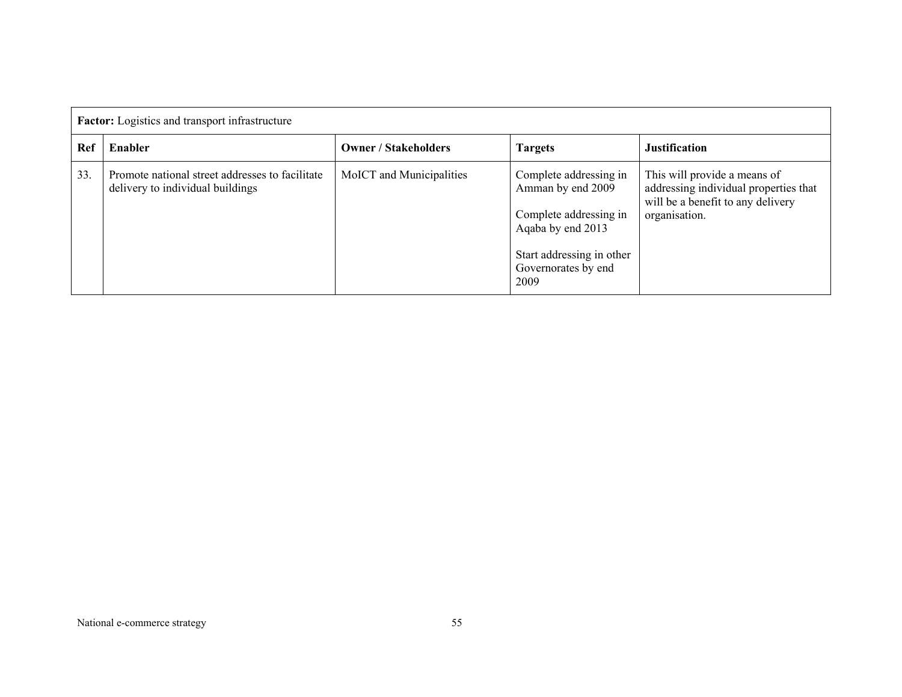|     | <b>Factor:</b> Logistics and transport infrastructure                               |                             |                                                                                                                                                        |                                                                                                                             |  |  |  |
|-----|-------------------------------------------------------------------------------------|-----------------------------|--------------------------------------------------------------------------------------------------------------------------------------------------------|-----------------------------------------------------------------------------------------------------------------------------|--|--|--|
| Ref | Enabler                                                                             | <b>Owner / Stakeholders</b> | <b>Targets</b>                                                                                                                                         | <b>Justification</b>                                                                                                        |  |  |  |
| 33. | Promote national street addresses to facilitate<br>delivery to individual buildings | MoICT and Municipalities    | Complete addressing in<br>Amman by end 2009<br>Complete addressing in<br>Agaba by end 2013<br>Start addressing in other<br>Governorates by end<br>2009 | This will provide a means of<br>addressing individual properties that<br>will be a benefit to any delivery<br>organisation. |  |  |  |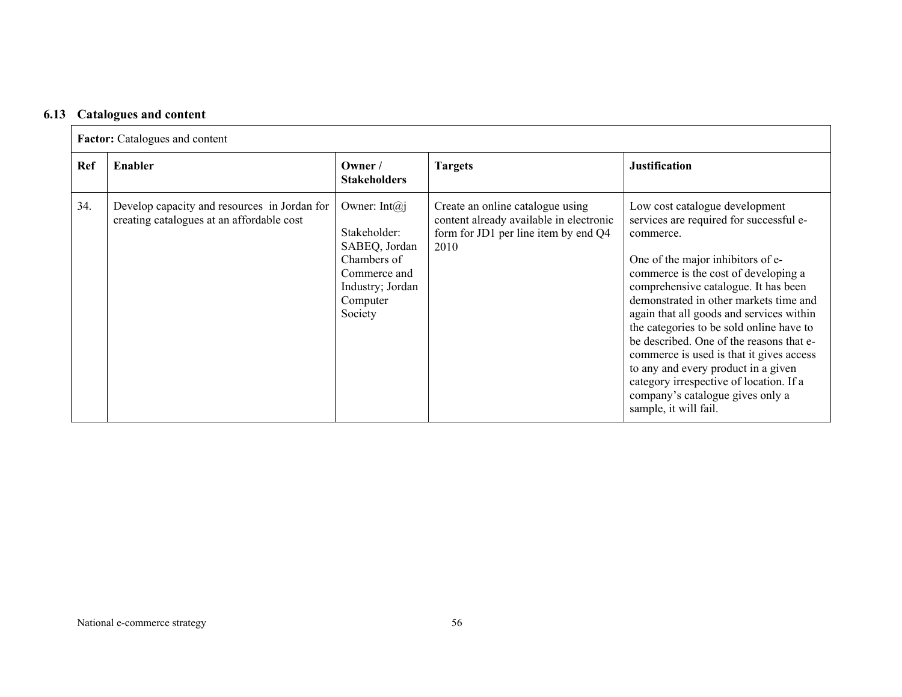### **6.13 Catalogues and content**

|     | <b>Factor:</b> Catalogues and content                                                     |                                                                                                                               |                                                                                                                             |                                                                                                                                                                                                                                                                                                                                                                                                                                                                                                                                                                                      |  |  |
|-----|-------------------------------------------------------------------------------------------|-------------------------------------------------------------------------------------------------------------------------------|-----------------------------------------------------------------------------------------------------------------------------|--------------------------------------------------------------------------------------------------------------------------------------------------------------------------------------------------------------------------------------------------------------------------------------------------------------------------------------------------------------------------------------------------------------------------------------------------------------------------------------------------------------------------------------------------------------------------------------|--|--|
| Ref | Enabler                                                                                   | Owner $/$<br><b>Stakeholders</b>                                                                                              | <b>Targets</b>                                                                                                              | <b>Justification</b>                                                                                                                                                                                                                                                                                                                                                                                                                                                                                                                                                                 |  |  |
| 34. | Develop capacity and resources in Jordan for<br>creating catalogues at an affordable cost | Owner: Int $(a)$ j<br>Stakeholder:<br>SABEQ, Jordan<br>Chambers of<br>Commerce and<br>Industry; Jordan<br>Computer<br>Society | Create an online catalogue using<br>content already available in electronic<br>form for JD1 per line item by end Q4<br>2010 | Low cost catalogue development<br>services are required for successful e-<br>commerce.<br>One of the major inhibitors of e-<br>commerce is the cost of developing a<br>comprehensive catalogue. It has been<br>demonstrated in other markets time and<br>again that all goods and services within<br>the categories to be sold online have to<br>be described. One of the reasons that e-<br>commerce is used is that it gives access<br>to any and every product in a given<br>category irrespective of location. If a<br>company's catalogue gives only a<br>sample, it will fail. |  |  |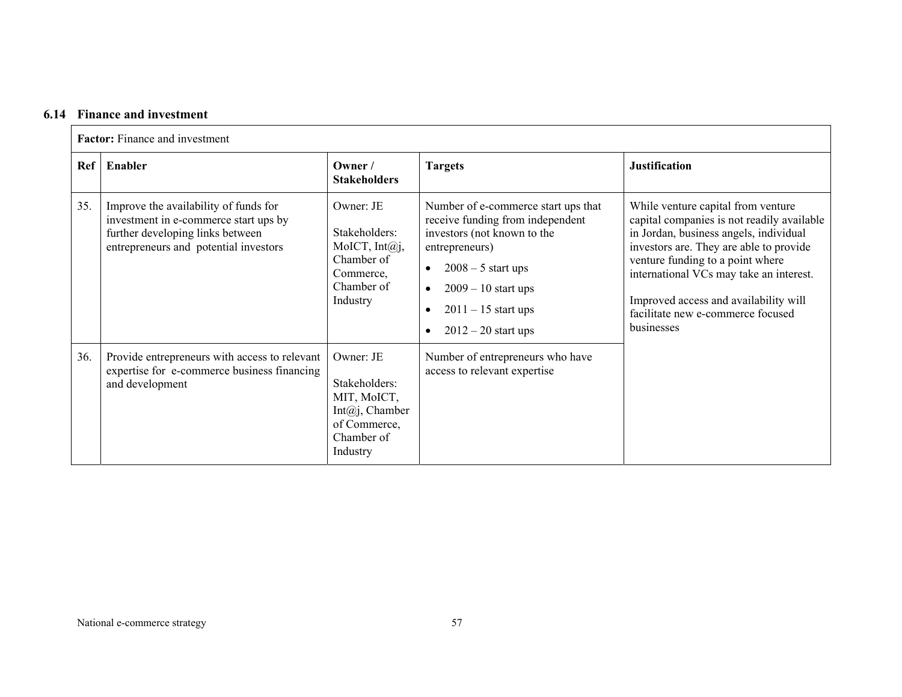## **6.14 Finance and investment**

|     | Factor: Finance and investment                                                                                                                              |                                                                                                             |                                                                                                                                                                                                                                                                                 |                                                                                                                                                                                                                                                                                                                                                  |  |
|-----|-------------------------------------------------------------------------------------------------------------------------------------------------------------|-------------------------------------------------------------------------------------------------------------|---------------------------------------------------------------------------------------------------------------------------------------------------------------------------------------------------------------------------------------------------------------------------------|--------------------------------------------------------------------------------------------------------------------------------------------------------------------------------------------------------------------------------------------------------------------------------------------------------------------------------------------------|--|
| Ref | Enabler                                                                                                                                                     | Owner /<br><b>Stakeholders</b>                                                                              | <b>Targets</b>                                                                                                                                                                                                                                                                  | <b>Justification</b>                                                                                                                                                                                                                                                                                                                             |  |
| 35. | Improve the availability of funds for<br>investment in e-commerce start ups by<br>further developing links between<br>entrepreneurs and potential investors | Owner: JE<br>Stakeholders:<br>MoICT, $Int@j,$<br>Chamber of<br>Commerce,<br>Chamber of<br>Industry          | Number of e-commerce start ups that<br>receive funding from independent<br>investors (not known to the<br>entrepreneurs)<br>$2008 - 5$ start ups<br>$\bullet$<br>$2009 - 10$ start ups<br>$\bullet$<br>$2011 - 15$ start ups<br>$\bullet$<br>$2012 - 20$ start ups<br>$\bullet$ | While venture capital from venture<br>capital companies is not readily available<br>in Jordan, business angels, individual<br>investors are. They are able to provide<br>venture funding to a point where<br>international VCs may take an interest.<br>Improved access and availability will<br>facilitate new e-commerce focused<br>businesses |  |
| 36. | Provide entrepreneurs with access to relevant<br>expertise for e-commerce business financing<br>and development                                             | Owner: JE<br>Stakeholders:<br>MIT, MoICT,<br>Int $(a)$ j, Chamber<br>of Commerce,<br>Chamber of<br>Industry | Number of entrepreneurs who have<br>access to relevant expertise                                                                                                                                                                                                                |                                                                                                                                                                                                                                                                                                                                                  |  |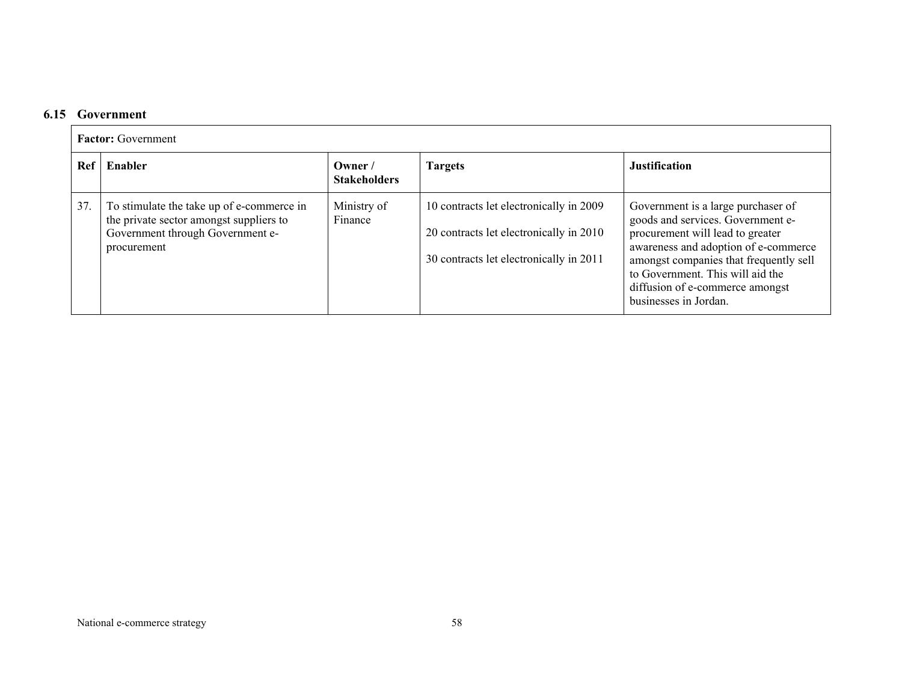### **6.15 Government**

|     | <b>Factor:</b> Government                                                                                                               |                               |                                                                                                                               |                                                                                                                                                                                                                                                                                               |  |  |
|-----|-----------------------------------------------------------------------------------------------------------------------------------------|-------------------------------|-------------------------------------------------------------------------------------------------------------------------------|-----------------------------------------------------------------------------------------------------------------------------------------------------------------------------------------------------------------------------------------------------------------------------------------------|--|--|
| Ref | Enabler                                                                                                                                 | Owner/<br><b>Stakeholders</b> | <b>Targets</b>                                                                                                                | <b>Justification</b>                                                                                                                                                                                                                                                                          |  |  |
| 37. | To stimulate the take up of e-commerce in<br>the private sector amongst suppliers to<br>Government through Government e-<br>procurement | Ministry of<br>Finance        | 10 contracts let electronically in 2009<br>20 contracts let electronically in 2010<br>30 contracts let electronically in 2011 | Government is a large purchaser of<br>goods and services. Government e-<br>procurement will lead to greater<br>awareness and adoption of e-commerce<br>amongst companies that frequently sell<br>to Government. This will aid the<br>diffusion of e-commerce amongst<br>businesses in Jordan. |  |  |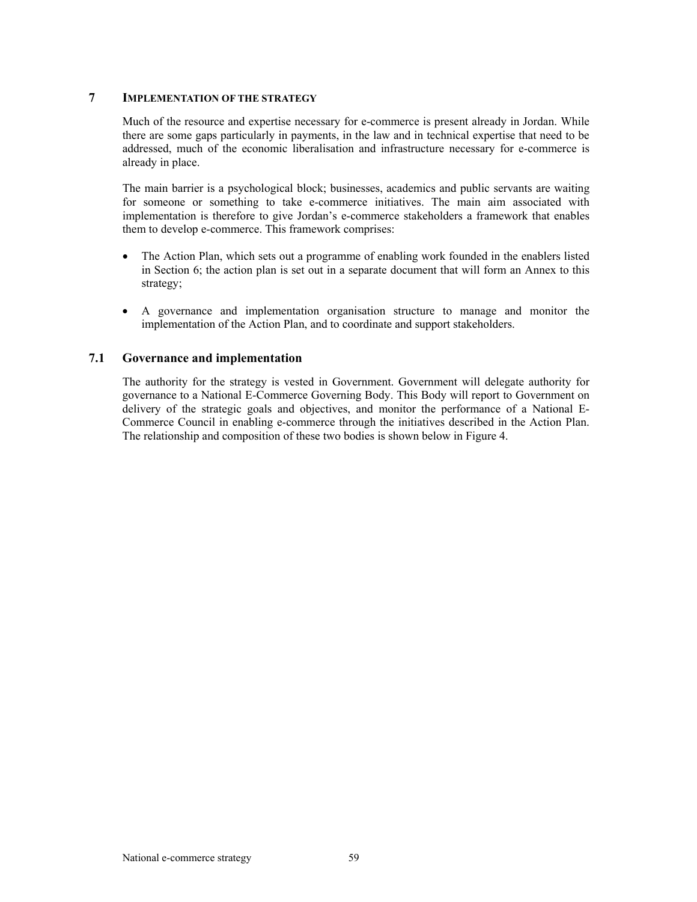## **7 IMPLEMENTATION OF THE STRATEGY**

Much of the resource and expertise necessary for e-commerce is present already in Jordan. While there are some gaps particularly in payments, in the law and in technical expertise that need to be addressed, much of the economic liberalisation and infrastructure necessary for e-commerce is already in place.

The main barrier is a psychological block; businesses, academics and public servants are waiting for someone or something to take e-commerce initiatives. The main aim associated with implementation is therefore to give Jordan's e-commerce stakeholders a framework that enables them to develop e-commerce. This framework comprises:

- The Action Plan, which sets out a programme of enabling work founded in the enablers listed in Section 6; the action plan is set out in a separate document that will form an Annex to this strategy;
- A governance and implementation organisation structure to manage and monitor the implementation of the Action Plan, and to coordinate and support stakeholders.

# **7.1 Governance and implementation**

The authority for the strategy is vested in Government. Government will delegate authority for governance to a National E-Commerce Governing Body. This Body will report to Government on delivery of the strategic goals and objectives, and monitor the performance of a National E-Commerce Council in enabling e-commerce through the initiatives described in the Action Plan. The relationship and composition of these two bodies is shown below in Figure 4.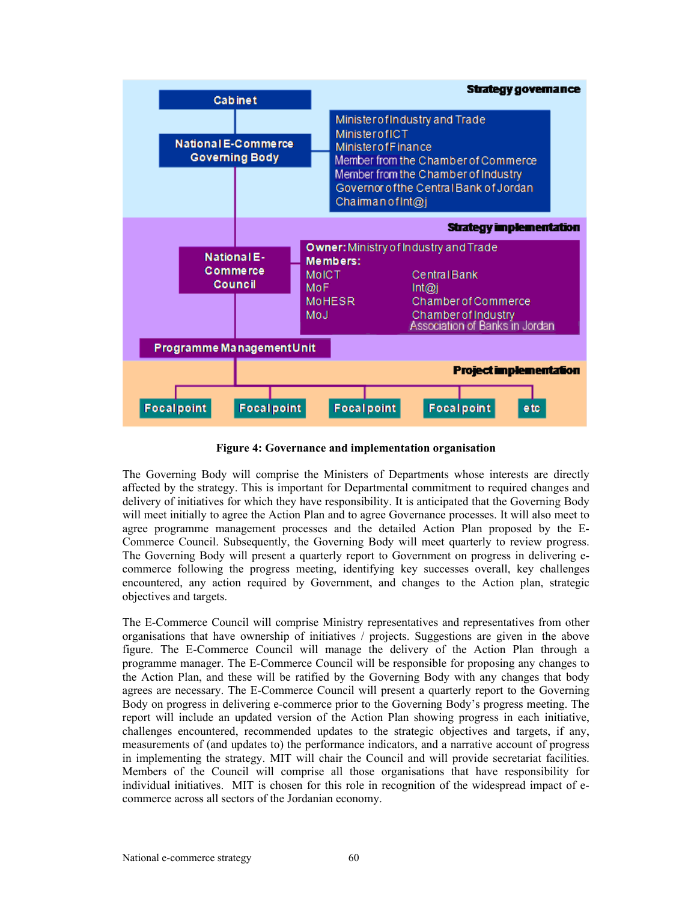

**Figure 4: Governance and implementation organisation** 

The Governing Body will comprise the Ministers of Departments whose interests are directly affected by the strategy. This is important for Departmental commitment to required changes and delivery of initiatives for which they have responsibility. It is anticipated that the Governing Body will meet initially to agree the Action Plan and to agree Governance processes. It will also meet to agree programme management processes and the detailed Action Plan proposed by the E-Commerce Council. Subsequently, the Governing Body will meet quarterly to review progress. The Governing Body will present a quarterly report to Government on progress in delivering ecommerce following the progress meeting, identifying key successes overall, key challenges encountered, any action required by Government, and changes to the Action plan, strategic objectives and targets.

The E-Commerce Council will comprise Ministry representatives and representatives from other organisations that have ownership of initiatives / projects. Suggestions are given in the above figure. The E-Commerce Council will manage the delivery of the Action Plan through a programme manager. The E-Commerce Council will be responsible for proposing any changes to the Action Plan, and these will be ratified by the Governing Body with any changes that body agrees are necessary. The E-Commerce Council will present a quarterly report to the Governing Body on progress in delivering e-commerce prior to the Governing Body's progress meeting. The report will include an updated version of the Action Plan showing progress in each initiative, challenges encountered, recommended updates to the strategic objectives and targets, if any, measurements of (and updates to) the performance indicators, and a narrative account of progress in implementing the strategy. MIT will chair the Council and will provide secretariat facilities. Members of the Council will comprise all those organisations that have responsibility for individual initiatives. MIT is chosen for this role in recognition of the widespread impact of ecommerce across all sectors of the Jordanian economy.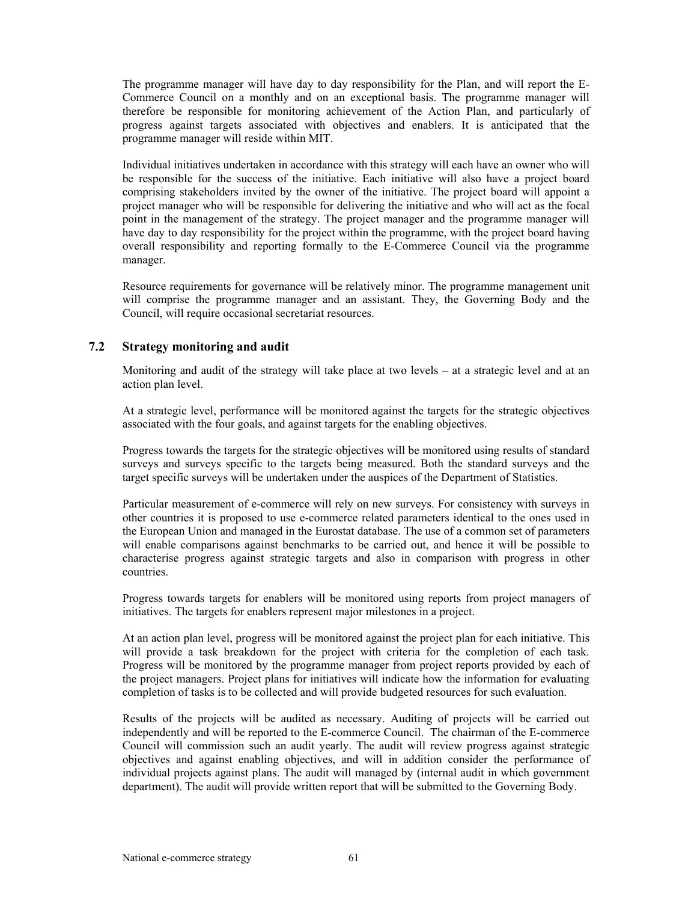The programme manager will have day to day responsibility for the Plan, and will report the E-Commerce Council on a monthly and on an exceptional basis. The programme manager will therefore be responsible for monitoring achievement of the Action Plan, and particularly of progress against targets associated with objectives and enablers. It is anticipated that the programme manager will reside within MIT.

Individual initiatives undertaken in accordance with this strategy will each have an owner who will be responsible for the success of the initiative. Each initiative will also have a project board comprising stakeholders invited by the owner of the initiative. The project board will appoint a project manager who will be responsible for delivering the initiative and who will act as the focal point in the management of the strategy. The project manager and the programme manager will have day to day responsibility for the project within the programme, with the project board having overall responsibility and reporting formally to the E-Commerce Council via the programme manager.

Resource requirements for governance will be relatively minor. The programme management unit will comprise the programme manager and an assistant. They, the Governing Body and the Council, will require occasional secretariat resources.

# **7.2 Strategy monitoring and audit**

Monitoring and audit of the strategy will take place at two levels – at a strategic level and at an action plan level.

At a strategic level, performance will be monitored against the targets for the strategic objectives associated with the four goals, and against targets for the enabling objectives.

Progress towards the targets for the strategic objectives will be monitored using results of standard surveys and surveys specific to the targets being measured. Both the standard surveys and the target specific surveys will be undertaken under the auspices of the Department of Statistics.

Particular measurement of e-commerce will rely on new surveys. For consistency with surveys in other countries it is proposed to use e-commerce related parameters identical to the ones used in the European Union and managed in the Eurostat database. The use of a common set of parameters will enable comparisons against benchmarks to be carried out, and hence it will be possible to characterise progress against strategic targets and also in comparison with progress in other countries.

Progress towards targets for enablers will be monitored using reports from project managers of initiatives. The targets for enablers represent major milestones in a project.

At an action plan level, progress will be monitored against the project plan for each initiative. This will provide a task breakdown for the project with criteria for the completion of each task. Progress will be monitored by the programme manager from project reports provided by each of the project managers. Project plans for initiatives will indicate how the information for evaluating completion of tasks is to be collected and will provide budgeted resources for such evaluation.

Results of the projects will be audited as necessary. Auditing of projects will be carried out independently and will be reported to the E-commerce Council. The chairman of the E-commerce Council will commission such an audit yearly. The audit will review progress against strategic objectives and against enabling objectives, and will in addition consider the performance of individual projects against plans. The audit will managed by (internal audit in which government department). The audit will provide written report that will be submitted to the Governing Body.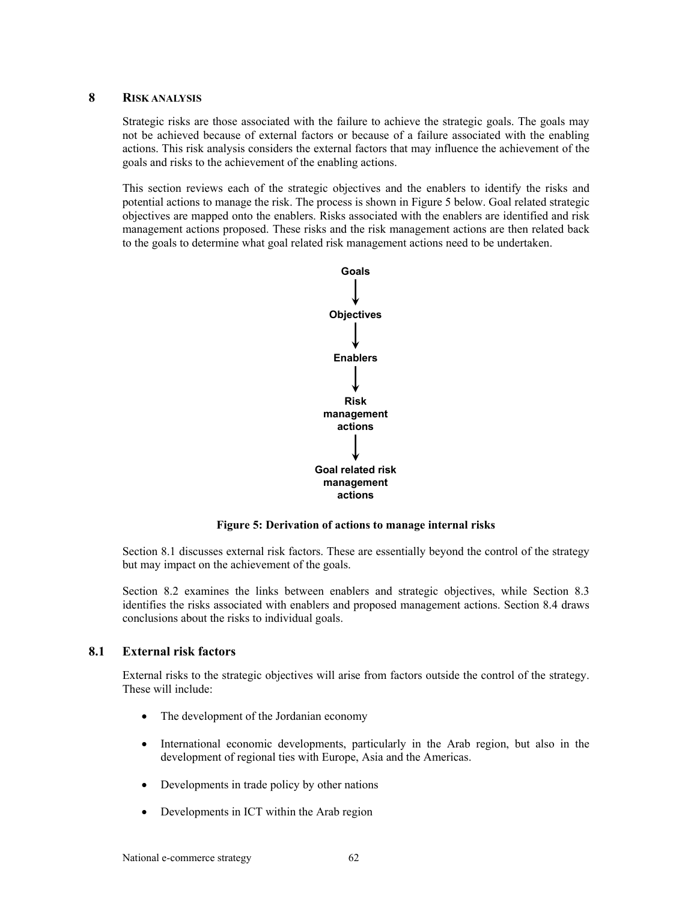## **8 RISK ANALYSIS**

Strategic risks are those associated with the failure to achieve the strategic goals. The goals may not be achieved because of external factors or because of a failure associated with the enabling actions. This risk analysis considers the external factors that may influence the achievement of the goals and risks to the achievement of the enabling actions.

This section reviews each of the strategic objectives and the enablers to identify the risks and potential actions to manage the risk. The process is shown in Figure 5 below. Goal related strategic objectives are mapped onto the enablers. Risks associated with the enablers are identified and risk management actions proposed. These risks and the risk management actions are then related back to the goals to determine what goal related risk management actions need to be undertaken.



**Figure 5: Derivation of actions to manage internal risks** 

Section 8.1 discusses external risk factors. These are essentially beyond the control of the strategy but may impact on the achievement of the goals.

Section 8.2 examines the links between enablers and strategic objectives, while Section 8.3 identifies the risks associated with enablers and proposed management actions. Section 8.4 draws conclusions about the risks to individual goals.

# **8.1 External risk factors**

External risks to the strategic objectives will arise from factors outside the control of the strategy. These will include:

- The development of the Jordanian economy
- International economic developments, particularly in the Arab region, but also in the development of regional ties with Europe, Asia and the Americas.
- Developments in trade policy by other nations
- Developments in ICT within the Arab region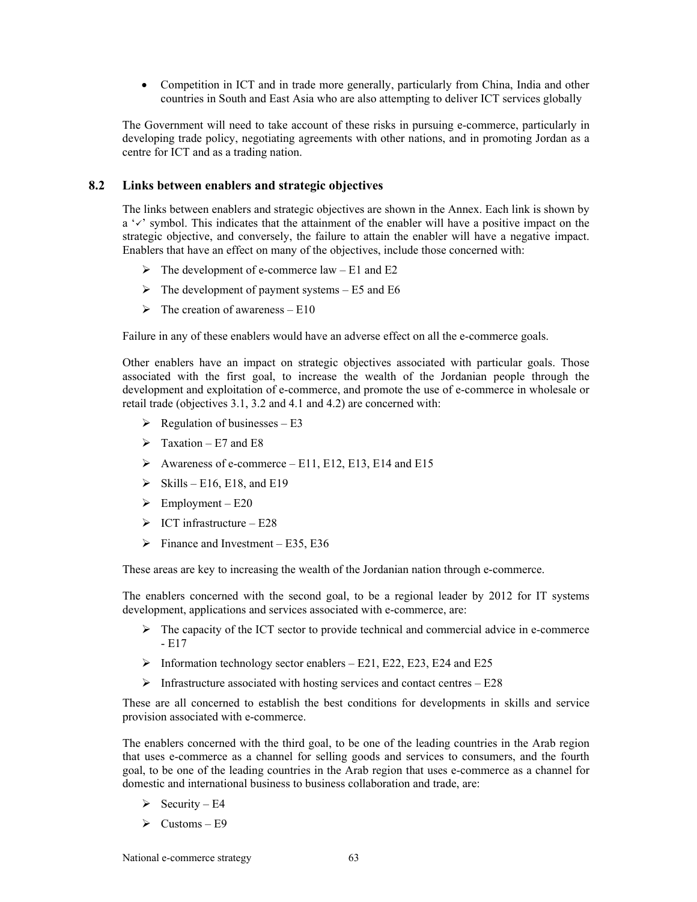• Competition in ICT and in trade more generally, particularly from China, India and other countries in South and East Asia who are also attempting to deliver ICT services globally

The Government will need to take account of these risks in pursuing e-commerce, particularly in developing trade policy, negotiating agreements with other nations, and in promoting Jordan as a centre for ICT and as a trading nation.

# **8.2 Links between enablers and strategic objectives**

The links between enablers and strategic objectives are shown in the Annex. Each link is shown by  $a'$  symbol. This indicates that the attainment of the enabler will have a positive impact on the strategic objective, and conversely, the failure to attain the enabler will have a negative impact. Enablers that have an effect on many of the objectives, include those concerned with:

- $\triangleright$  The development of e-commerce law E1 and E2
- $\triangleright$  The development of payment systems E5 and E6
- $\triangleright$  The creation of awareness E10

Failure in any of these enablers would have an adverse effect on all the e-commerce goals.

Other enablers have an impact on strategic objectives associated with particular goals. Those associated with the first goal, to increase the wealth of the Jordanian people through the development and exploitation of e-commerce, and promote the use of e-commerce in wholesale or retail trade (objectives 3.1, 3.2 and 4.1 and 4.2) are concerned with:

- $\triangleright$  Regulation of businesses E3
- $\triangleright$  Taxation E7 and E8
- $\blacktriangleright$  Awareness of e-commerce E11, E12, E13, E14 and E15
- $\triangleright$  Skills E16, E18, and E19
- $\triangleright$  Employment E20
- $\triangleright$  ICT infrastructure E28
- $\triangleright$  Finance and Investment E35, E36

These areas are key to increasing the wealth of the Jordanian nation through e-commerce.

The enablers concerned with the second goal, to be a regional leader by 2012 for IT systems development, applications and services associated with e-commerce, are:

- $\triangleright$  The capacity of the ICT sector to provide technical and commercial advice in e-commerce - E17
- $\triangleright$  Information technology sector enablers E21, E22, E23, E24 and E25
- $\triangleright$  Infrastructure associated with hosting services and contact centres E28

These are all concerned to establish the best conditions for developments in skills and service provision associated with e-commerce.

The enablers concerned with the third goal, to be one of the leading countries in the Arab region that uses e-commerce as a channel for selling goods and services to consumers, and the fourth goal, to be one of the leading countries in the Arab region that uses e-commerce as a channel for domestic and international business to business collaboration and trade, are:

- $\triangleright$  Security E4
- $\triangleright$  Customs E9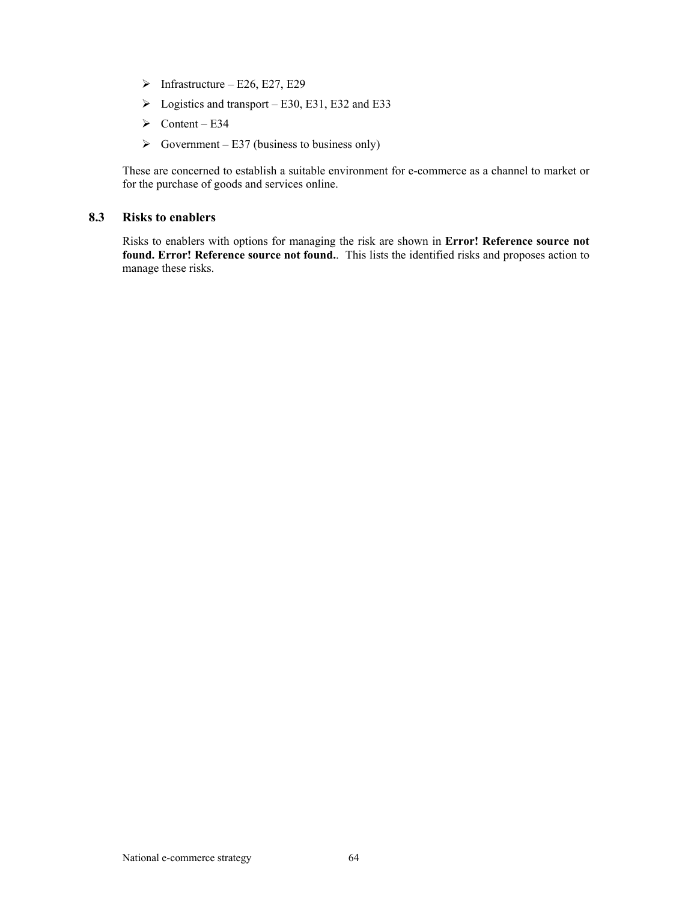- $\triangleright$  Infrastructure E26, E27, E29
- $\blacktriangleright$  Logistics and transport E30, E31, E32 and E33
- $\triangleright$  Content E34
- $\triangleright$  Government E37 (business to business only)

These are concerned to establish a suitable environment for e-commerce as a channel to market or for the purchase of goods and services online.

## **8.3 Risks to enablers**

Risks to enablers with options for managing the risk are shown in **Error! Reference source not found. Error! Reference source not found.**. This lists the identified risks and proposes action to manage these risks.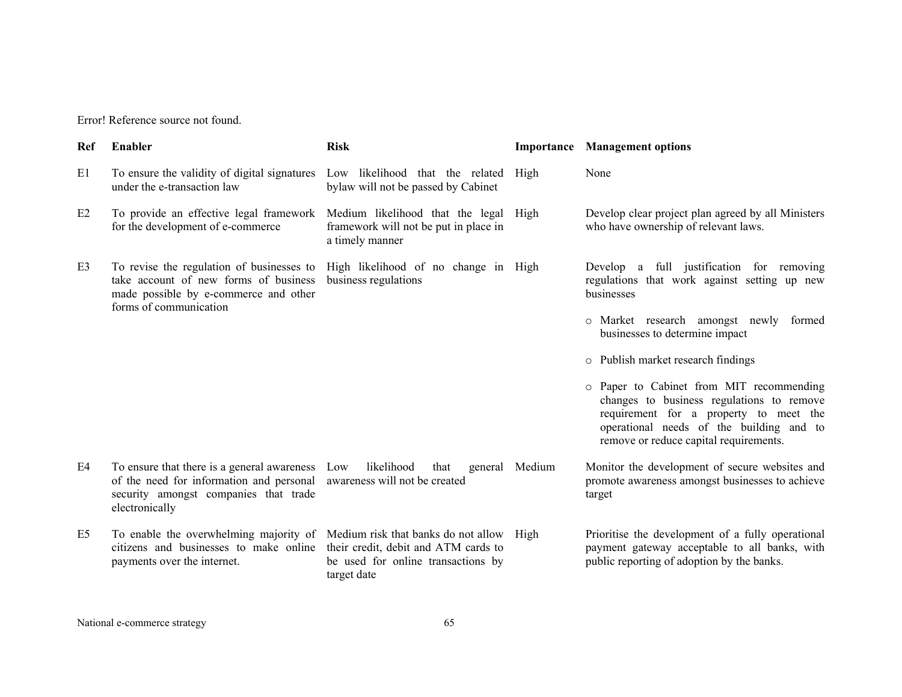| <b>Ref</b>     | Enabler                                                                                                                                                                                       | <b>Risk</b>                                                            |                | <b>Importance</b> Management options                                                                                                                                                                                  |
|----------------|-----------------------------------------------------------------------------------------------------------------------------------------------------------------------------------------------|------------------------------------------------------------------------|----------------|-----------------------------------------------------------------------------------------------------------------------------------------------------------------------------------------------------------------------|
| E1             | To ensure the validity of digital signatures<br>under the e-transaction law                                                                                                                   | Low likelihood that the related<br>bylaw will not be passed by Cabinet | High           | None                                                                                                                                                                                                                  |
| E2             | To provide an effective legal framework Medium likelihood that the legal<br>for the development of e-commerce                                                                                 | framework will not be put in place in<br>a timely manner               | High           | Develop clear project plan agreed by all Ministers<br>who have ownership of relevant laws.                                                                                                                            |
| E3             | To revise the regulation of businesses to<br>take account of new forms of business<br>made possible by e-commerce and other<br>forms of communication                                         | High likelihood of no change in High<br>business regulations           |                | Develop a full justification for removing<br>regulations that work against setting up new<br>businesses                                                                                                               |
|                |                                                                                                                                                                                               |                                                                        |                | o Market research amongst newly formed<br>businesses to determine impact                                                                                                                                              |
|                |                                                                                                                                                                                               |                                                                        |                | o Publish market research findings                                                                                                                                                                                    |
|                |                                                                                                                                                                                               |                                                                        |                | o Paper to Cabinet from MIT recommending<br>changes to business regulations to remove<br>requirement for a property to meet the<br>operational needs of the building and to<br>remove or reduce capital requirements. |
| E4             | To ensure that there is a general awareness Low<br>of the need for information and personal awareness will not be created<br>security amongst companies that trade<br>electronically          | likelihood<br>that                                                     | general Medium | Monitor the development of secure websites and<br>promote awareness amongst businesses to achieve<br>target                                                                                                           |
| E <sub>5</sub> | To enable the overwhelming majority of Medium risk that banks do not allow High<br>citizens and businesses to make online their credit, debit and ATM cards to<br>payments over the internet. | be used for online transactions by<br>target date                      |                | Prioritise the development of a fully operational<br>payment gateway acceptable to all banks, with<br>public reporting of adoption by the banks.                                                                      |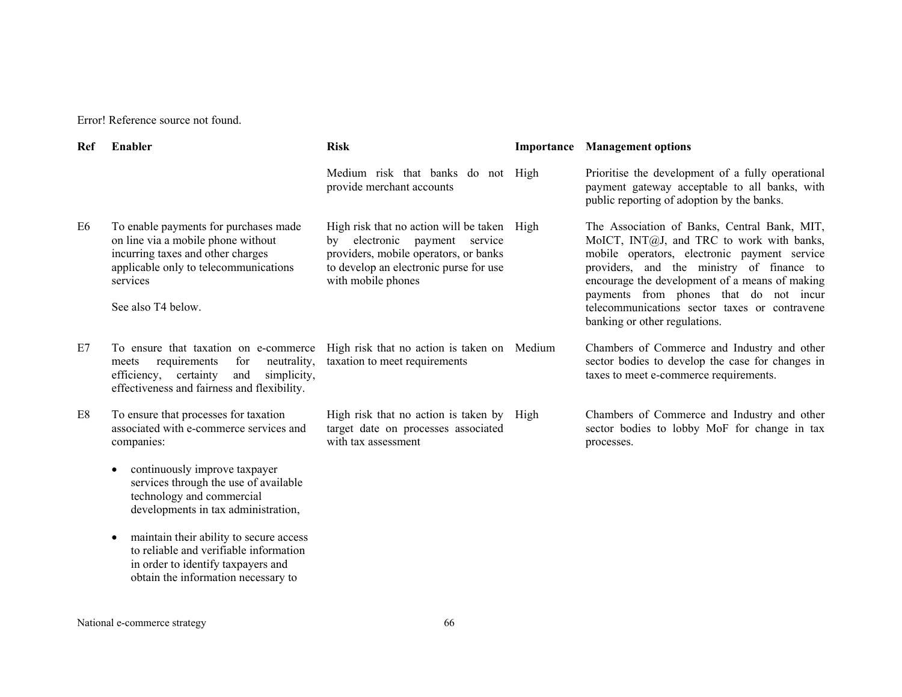| Ref | Enabler                                                                                                                                                                                     | <b>Risk</b>                                                                                                                                                                                 |      | <b>Importance</b> Management options                                                                                                                                                                                                                                                                                                                                 |
|-----|---------------------------------------------------------------------------------------------------------------------------------------------------------------------------------------------|---------------------------------------------------------------------------------------------------------------------------------------------------------------------------------------------|------|----------------------------------------------------------------------------------------------------------------------------------------------------------------------------------------------------------------------------------------------------------------------------------------------------------------------------------------------------------------------|
|     |                                                                                                                                                                                             | Medium risk that banks do not High<br>provide merchant accounts                                                                                                                             |      | Prioritise the development of a fully operational<br>payment gateway acceptable to all banks, with<br>public reporting of adoption by the banks.                                                                                                                                                                                                                     |
| E6  | To enable payments for purchases made<br>on line via a mobile phone without<br>incurring taxes and other charges<br>applicable only to telecommunications<br>services<br>See also T4 below. | High risk that no action will be taken High<br>electronic<br>payment service<br>bv<br>providers, mobile operators, or banks<br>to develop an electronic purse for use<br>with mobile phones |      | The Association of Banks, Central Bank, MIT,<br>MoICT, INT@J, and TRC to work with banks,<br>mobile operators, electronic payment service<br>providers, and the ministry of finance to<br>encourage the development of a means of making<br>payments from phones that do not incur<br>telecommunications sector taxes or contravene<br>banking or other regulations. |
| E7  | To ensure that taxation on e-commerce<br>for<br>neutrality,<br>requirements<br>meets<br>efficiency,<br>certainty<br>and<br>simplicity,<br>effectiveness and fairness and flexibility.       | High risk that no action is taken on Medium<br>taxation to meet requirements                                                                                                                |      | Chambers of Commerce and Industry and other<br>sector bodies to develop the case for changes in<br>taxes to meet e-commerce requirements.                                                                                                                                                                                                                            |
| E8  | To ensure that processes for taxation<br>associated with e-commerce services and<br>companies:                                                                                              | High risk that no action is taken by<br>target date on processes associated<br>with tax assessment                                                                                          | High | Chambers of Commerce and Industry and other<br>sector bodies to lobby MoF for change in tax<br>processes.                                                                                                                                                                                                                                                            |
|     | continuously improve taxpayer<br>$\bullet$<br>services through the use of available<br>technology and commercial<br>developments in tax administration,                                     |                                                                                                                                                                                             |      |                                                                                                                                                                                                                                                                                                                                                                      |
|     | maintain their ability to secure access<br>$\bullet$<br>to reliable and verifiable information<br>in order to identify taxpayers and<br>obtain the information necessary to                 |                                                                                                                                                                                             |      |                                                                                                                                                                                                                                                                                                                                                                      |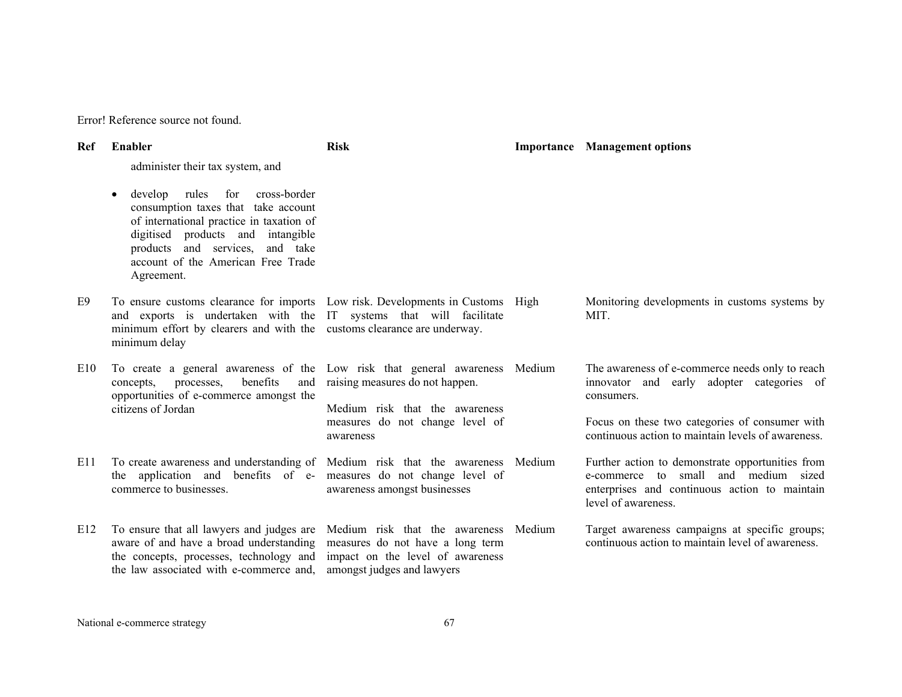| Ref | Enabler                                                                                                                                                                                                                                                | <b>Risk</b>                                                                                                                          |        | <b>Importance</b> Management options                                                                                                                             |
|-----|--------------------------------------------------------------------------------------------------------------------------------------------------------------------------------------------------------------------------------------------------------|--------------------------------------------------------------------------------------------------------------------------------------|--------|------------------------------------------------------------------------------------------------------------------------------------------------------------------|
|     | administer their tax system, and                                                                                                                                                                                                                       |                                                                                                                                      |        |                                                                                                                                                                  |
|     | develop rules<br>cross-border<br>for<br>consumption taxes that take account<br>of international practice in taxation of<br>digitised products and intangible<br>products and services,<br>and take<br>account of the American Free Trade<br>Agreement. |                                                                                                                                      |        |                                                                                                                                                                  |
| E9  | To ensure customs clearance for imports Low risk. Developments in Customs High<br>and exports is undertaken with the IT systems that will facilitate<br>minimum effort by clearers and with the customs clearance are underway.<br>minimum delay       |                                                                                                                                      |        | Monitoring developments in customs systems by<br>MIT.                                                                                                            |
| E10 | To create a general awareness of the Low risk that general awareness Medium<br>benefits<br>processes,<br>and<br>concepts,<br>opportunities of e-commerce amongst the<br>citizens of Jordan                                                             | raising measures do not happen.<br>Medium risk that the awareness                                                                    |        | The awareness of e-commerce needs only to reach<br>innovator and early adopter categories of<br>consumers.                                                       |
|     |                                                                                                                                                                                                                                                        | measures do not change level of<br>awareness                                                                                         |        | Focus on these two categories of consumer with<br>continuous action to maintain levels of awareness.                                                             |
| E11 | To create awareness and understanding of Medium risk that the awareness<br>the application and benefits of e- measures do not change level of<br>commerce to businesses.                                                                               | awareness amongst businesses                                                                                                         | Medium | Further action to demonstrate opportunities from<br>e-commerce to small and medium sized<br>enterprises and continuous action to maintain<br>level of awareness. |
| E12 | To ensure that all lawyers and judges are<br>aware of and have a broad understanding<br>the concepts, processes, technology and<br>the law associated with e-commerce and,                                                                             | Medium risk that the awareness<br>measures do not have a long term<br>impact on the level of awareness<br>amongst judges and lawyers | Medium | Target awareness campaigns at specific groups;<br>continuous action to maintain level of awareness.                                                              |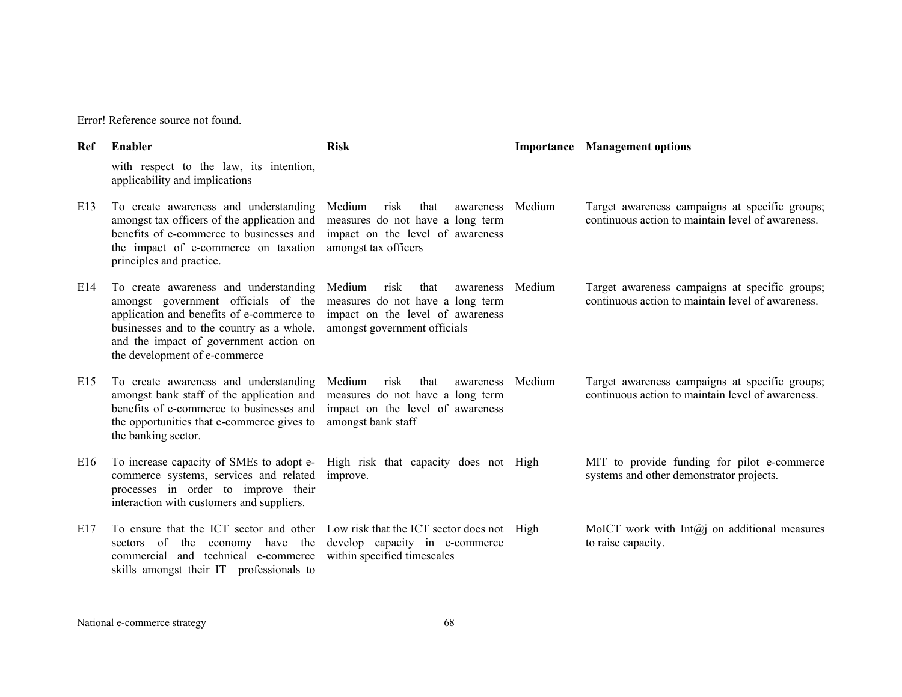| Ref | Enabler                                                                                                                                                                                                                                           | <b>Risk</b>                                                                                                                                 |        | <b>Importance</b> Management options                                                                |
|-----|---------------------------------------------------------------------------------------------------------------------------------------------------------------------------------------------------------------------------------------------------|---------------------------------------------------------------------------------------------------------------------------------------------|--------|-----------------------------------------------------------------------------------------------------|
|     | with respect to the law, its intention,<br>applicability and implications                                                                                                                                                                         |                                                                                                                                             |        |                                                                                                     |
| E13 | To create awareness and understanding<br>amongst tax officers of the application and<br>benefits of e-commerce to businesses and<br>the impact of e-commerce on taxation<br>principles and practice.                                              | Medium<br>risk<br>that<br>awareness<br>measures do not have a long term<br>impact on the level of awareness<br>amongst tax officers         | Medium | Target awareness campaigns at specific groups;<br>continuous action to maintain level of awareness. |
| E14 | To create awareness and understanding<br>amongst government officials of the<br>application and benefits of e-commerce to<br>businesses and to the country as a whole,<br>and the impact of government action on<br>the development of e-commerce | Medium<br>that<br>risk<br>awareness<br>measures do not have a long term<br>impact on the level of awareness<br>amongst government officials | Medium | Target awareness campaigns at specific groups;<br>continuous action to maintain level of awareness. |
| E15 | To create awareness and understanding<br>amongst bank staff of the application and<br>benefits of e-commerce to businesses and<br>the opportunities that e-commerce gives to<br>the banking sector.                                               | Medium<br>risk<br>that<br>awareness<br>measures do not have a long term<br>impact on the level of awareness<br>amongst bank staff           | Medium | Target awareness campaigns at specific groups;<br>continuous action to maintain level of awareness. |
| E16 | To increase capacity of SMEs to adopt e-<br>commerce systems, services and related<br>processes in order to improve their<br>interaction with customers and suppliers.                                                                            | High risk that capacity does not High<br>improve.                                                                                           |        | MIT to provide funding for pilot e-commerce<br>systems and other demonstrator projects.             |
| E17 | To ensure that the ICT sector and other Low risk that the ICT sector does not High<br>sectors of the economy have the<br>commercial and technical e-commerce<br>skills amongst their IT professionals to                                          | develop capacity in e-commerce<br>within specified timescales                                                                               |        | MoICT work with $Int(a)$ on additional measures<br>to raise capacity.                               |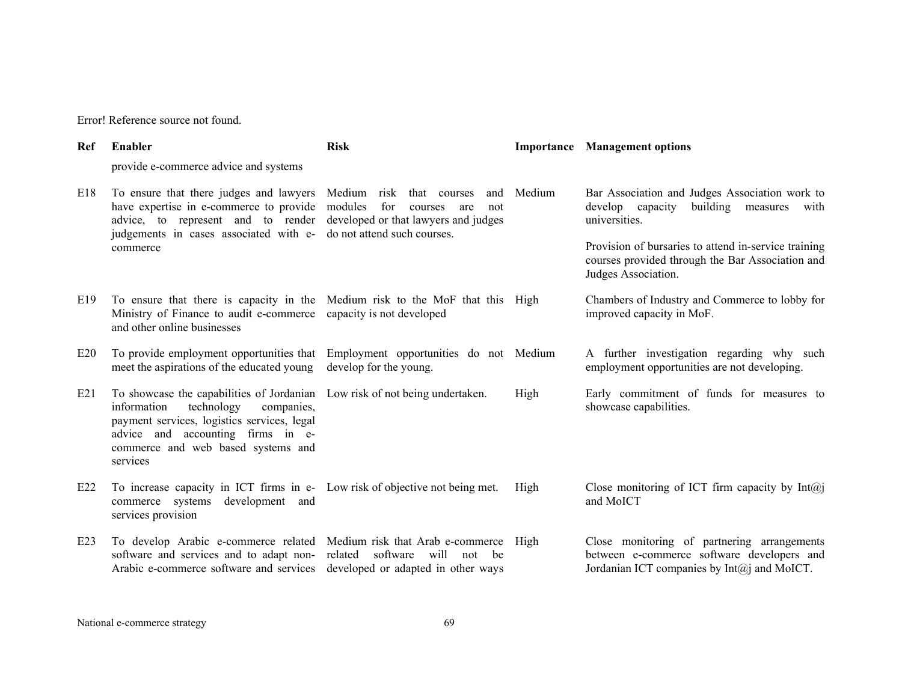| Ref | Enabler                                                                                                                                                                                                                                                                                                                          | <b>Risk</b>                        |                                                                                                                                                                          | <b>Importance</b> Management options                                                                                                        |
|-----|----------------------------------------------------------------------------------------------------------------------------------------------------------------------------------------------------------------------------------------------------------------------------------------------------------------------------------|------------------------------------|--------------------------------------------------------------------------------------------------------------------------------------------------------------------------|---------------------------------------------------------------------------------------------------------------------------------------------|
|     | provide e-commerce advice and systems                                                                                                                                                                                                                                                                                            |                                    |                                                                                                                                                                          |                                                                                                                                             |
| E18 | To ensure that there judges and lawyers Medium risk that courses<br>and<br>have expertise in e-commerce to provide<br>modules<br>for<br>courses<br>are<br>not<br>advice, to represent and to render<br>developed or that lawyers and judges<br>do not attend such courses.<br>judgements in cases associated with e-<br>commerce | Medium                             | Bar Association and Judges Association work to<br>develop capacity<br>building measures<br>with<br>universities.<br>Provision of bursaries to attend in-service training |                                                                                                                                             |
|     |                                                                                                                                                                                                                                                                                                                                  |                                    |                                                                                                                                                                          | courses provided through the Bar Association and<br>Judges Association.                                                                     |
| E19 | To ensure that there is capacity in the Medium risk to the MoF that this High<br>Ministry of Finance to audit e-commerce capacity is not developed<br>and other online businesses                                                                                                                                                |                                    |                                                                                                                                                                          | Chambers of Industry and Commerce to lobby for<br>improved capacity in MoF.                                                                 |
| E20 | To provide employment opportunities that Employment opportunities do not Medium<br>meet the aspirations of the educated young                                                                                                                                                                                                    | develop for the young.             |                                                                                                                                                                          | A further investigation regarding why such<br>employment opportunities are not developing.                                                  |
| E21 | To showcase the capabilities of Jordanian Low risk of not being undertaken.<br>information<br>technology<br>companies,<br>payment services, logistics services, legal<br>advice and accounting firms in e-<br>commerce and web based systems and<br>services                                                                     |                                    | High                                                                                                                                                                     | Early commitment of funds for measures to<br>showcase capabilities.                                                                         |
| E22 | To increase capacity in ICT firms in e- Low risk of objective not being met.<br>commerce systems<br>development and<br>services provision                                                                                                                                                                                        |                                    | High                                                                                                                                                                     | Close monitoring of ICT firm capacity by $Int(a)$<br>and MoICT                                                                              |
| E23 | To develop Arabic e-commerce related Medium risk that Arab e-commerce<br>software and services and to adapt non-<br>Arabic e-commerce software and services developed or adapted in other ways                                                                                                                                   | software will not<br>related<br>be | High                                                                                                                                                                     | Close monitoring of partnering arrangements<br>between e-commerce software developers and<br>Jordanian ICT companies by $Int(a)$ and MoICT. |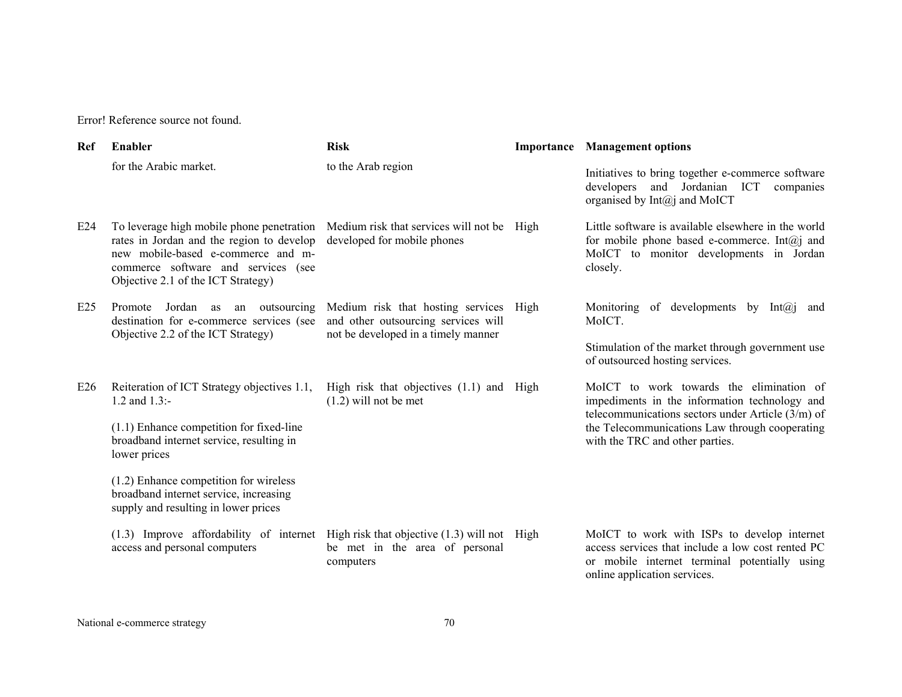| Ref | Enabler                                                                                                                                                                                                   | <b>Risk</b>                                                                                                          | <b>Importance</b> Management options                                                                                                                                              |
|-----|-----------------------------------------------------------------------------------------------------------------------------------------------------------------------------------------------------------|----------------------------------------------------------------------------------------------------------------------|-----------------------------------------------------------------------------------------------------------------------------------------------------------------------------------|
|     | for the Arabic market.                                                                                                                                                                                    | to the Arab region                                                                                                   | Initiatives to bring together e-commerce software<br>developers<br>and Jordanian ICT<br>companies<br>organised by $Int(a)$ and MoICT                                              |
| E24 | To leverage high mobile phone penetration<br>rates in Jordan and the region to develop<br>new mobile-based e-commerce and m-<br>commerce software and services (see<br>Objective 2.1 of the ICT Strategy) | Medium risk that services will not be High<br>developed for mobile phones                                            | Little software is available elsewhere in the world<br>for mobile phone based e-commerce. Int $(a)$ and<br>MoICT to monitor developments in Jordan<br>closely.                    |
| E25 | Promote<br>Jordan as<br>an outsourcing<br>destination for e-commerce services (see<br>Objective 2.2 of the ICT Strategy)                                                                                  | Medium risk that hosting services High<br>and other outsourcing services will<br>not be developed in a timely manner | Monitoring of developments by $Int(a)$<br>and<br>MoICT.                                                                                                                           |
|     |                                                                                                                                                                                                           |                                                                                                                      | Stimulation of the market through government use<br>of outsourced hosting services.                                                                                               |
| E26 | Reiteration of ICT Strategy objectives 1.1,<br>1.2 and $1.3$ :-                                                                                                                                           | High risk that objectives (1.1) and High<br>$(1.2)$ will not be met                                                  | MoICT to work towards the elimination of<br>impediments in the information technology and<br>telecommunications sectors under Article $(3/m)$ of                                  |
|     | $(1.1)$ Enhance competition for fixed-line<br>broadband internet service, resulting in<br>lower prices                                                                                                    |                                                                                                                      | the Telecommunications Law through cooperating<br>with the TRC and other parties.                                                                                                 |
|     | $(1.2)$ Enhance competition for wireless<br>broadband internet service, increasing<br>supply and resulting in lower prices                                                                                |                                                                                                                      |                                                                                                                                                                                   |
|     | $(1.3)$ Improve affordability of internet High risk that objective $(1.3)$ will not High<br>access and personal computers                                                                                 | be met in the area of personal<br>computers                                                                          | MoICT to work with ISPs to develop internet<br>access services that include a low cost rented PC<br>or mobile internet terminal potentially using<br>online application services. |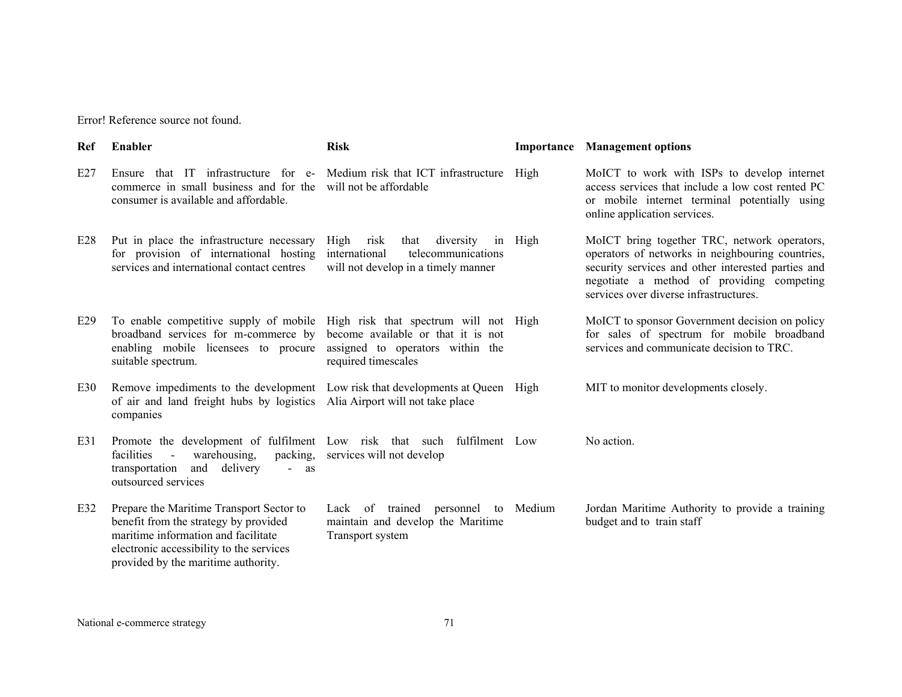| Ref | Enabler                                                                                                                                                                                                     | <b>Risk</b>                                                                                                                            |           | <b>Importance</b> Management options                                                                                                                                                                                                          |
|-----|-------------------------------------------------------------------------------------------------------------------------------------------------------------------------------------------------------------|----------------------------------------------------------------------------------------------------------------------------------------|-----------|-----------------------------------------------------------------------------------------------------------------------------------------------------------------------------------------------------------------------------------------------|
| E27 | Ensure that IT infrastructure for e-<br>commerce in small business and for the<br>consumer is available and affordable.                                                                                     | Medium risk that ICT infrastructure<br>will not be affordable                                                                          | High      | MoICT to work with ISPs to develop internet<br>access services that include a low cost rented PC<br>or mobile internet terminal potentially using<br>online application services.                                                             |
| E28 | Put in place the infrastructure necessary<br>for provision of international hosting<br>services and international contact centres                                                                           | High<br>risk<br>diversity<br>that<br>international<br>telecommunications<br>will not develop in a timely manner                        | in High   | MoICT bring together TRC, network operators,<br>operators of networks in neighbouring countries,<br>security services and other interested parties and<br>negotiate a method of providing competing<br>services over diverse infrastructures. |
| E29 | To enable competitive supply of mobile<br>broadband services for m-commerce by<br>enabling mobile licensees to procure<br>suitable spectrum.                                                                | High risk that spectrum will not High<br>become available or that it is not<br>assigned to operators within the<br>required timescales |           | MoICT to sponsor Government decision on policy<br>for sales of spectrum for mobile broadband<br>services and communicate decision to TRC.                                                                                                     |
| E30 | Remove impediments to the development<br>of air and land freight hubs by logistics<br>companies                                                                                                             | Low risk that developments at Queen High<br>Alia Airport will not take place                                                           |           | MIT to monitor developments closely.                                                                                                                                                                                                          |
| E31 | Promote the development of fulfilment Low risk that such fulfilment Low<br>warehousing,<br>packing,<br>facilities<br>delivery<br>transportation<br>and<br>$\sim$ $-$<br>as<br>outsourced services           | services will not develop                                                                                                              |           | No action.                                                                                                                                                                                                                                    |
| E32 | Prepare the Maritime Transport Sector to<br>benefit from the strategy by provided<br>maritime information and facilitate<br>electronic accessibility to the services<br>provided by the maritime authority. | Lack of trained<br>personnel<br>maintain and develop the Maritime<br>Transport system                                                  | to Medium | Jordan Maritime Authority to provide a training<br>budget and to train staff                                                                                                                                                                  |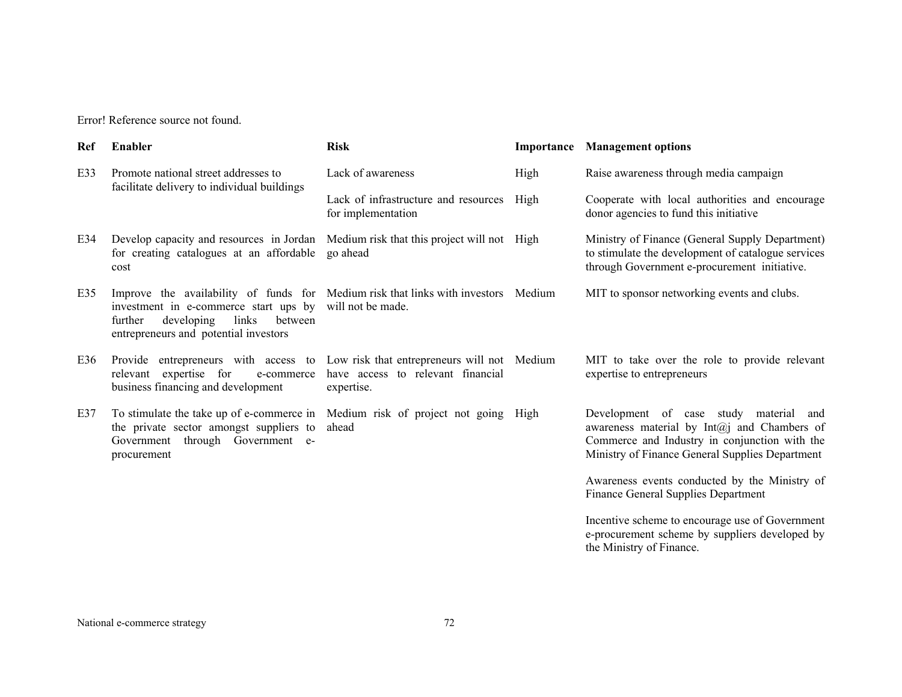| Ref | Enabler                                                                                                                                                                                                           | <b>Risk</b>                                                                                    | Importance | <b>Management options</b>                                                                                                                                                                 |
|-----|-------------------------------------------------------------------------------------------------------------------------------------------------------------------------------------------------------------------|------------------------------------------------------------------------------------------------|------------|-------------------------------------------------------------------------------------------------------------------------------------------------------------------------------------------|
| E33 | Promote national street addresses to<br>facilitate delivery to individual buildings                                                                                                                               | Lack of awareness                                                                              | High       | Raise awareness through media campaign                                                                                                                                                    |
|     |                                                                                                                                                                                                                   | Lack of infrastructure and resources<br>for implementation                                     | High       | Cooperate with local authorities and encourage<br>donor agencies to fund this initiative                                                                                                  |
| E34 | Develop capacity and resources in Jordan<br>for creating catalogues at an affordable<br>cost                                                                                                                      | Medium risk that this project will not High<br>go ahead                                        |            | Ministry of Finance (General Supply Department)<br>to stimulate the development of catalogue services<br>through Government e-procurement initiative.                                     |
| E35 | Improve the availability of funds for Medium risk that links with investors Medium<br>investment in e-commerce start ups by<br>links<br>further<br>developing<br>between<br>entrepreneurs and potential investors | will not be made.                                                                              |            | MIT to sponsor networking events and clubs.                                                                                                                                               |
| E36 | Provide entrepreneurs with access to<br>expertise for<br>relevant<br>e-commerce<br>business financing and development                                                                                             | Low risk that entrepreneurs will not Medium<br>have access to relevant financial<br>expertise. |            | MIT to take over the role to provide relevant<br>expertise to entrepreneurs                                                                                                               |
| E37 | To stimulate the take up of e-commerce in<br>the private sector amongst suppliers to<br>Government through Government e-<br>procurement                                                                           | Medium risk of project not going High<br>ahead                                                 |            | Development of case study material and<br>awareness material by Int@j and Chambers of<br>Commerce and Industry in conjunction with the<br>Ministry of Finance General Supplies Department |
|     |                                                                                                                                                                                                                   |                                                                                                |            | Awareness events conducted by the Ministry of<br><b>Finance General Supplies Department</b>                                                                                               |
|     |                                                                                                                                                                                                                   |                                                                                                |            | Incentive scheme to encourage use of Government<br>e-procurement scheme by suppliers developed by<br>the Ministry of Finance.                                                             |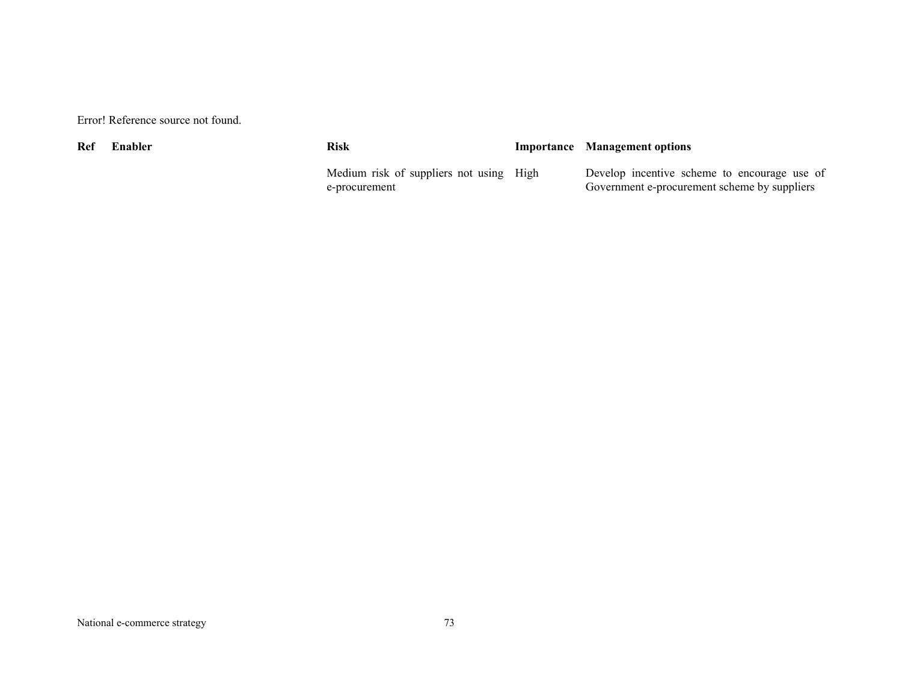| Ref | Enabler | Risk                                                     | <b>Importance</b> Management options                                                         |
|-----|---------|----------------------------------------------------------|----------------------------------------------------------------------------------------------|
|     |         | Medium risk of suppliers not using High<br>e-procurement | Develop incentive scheme to encourage use of<br>Government e-procurement scheme by suppliers |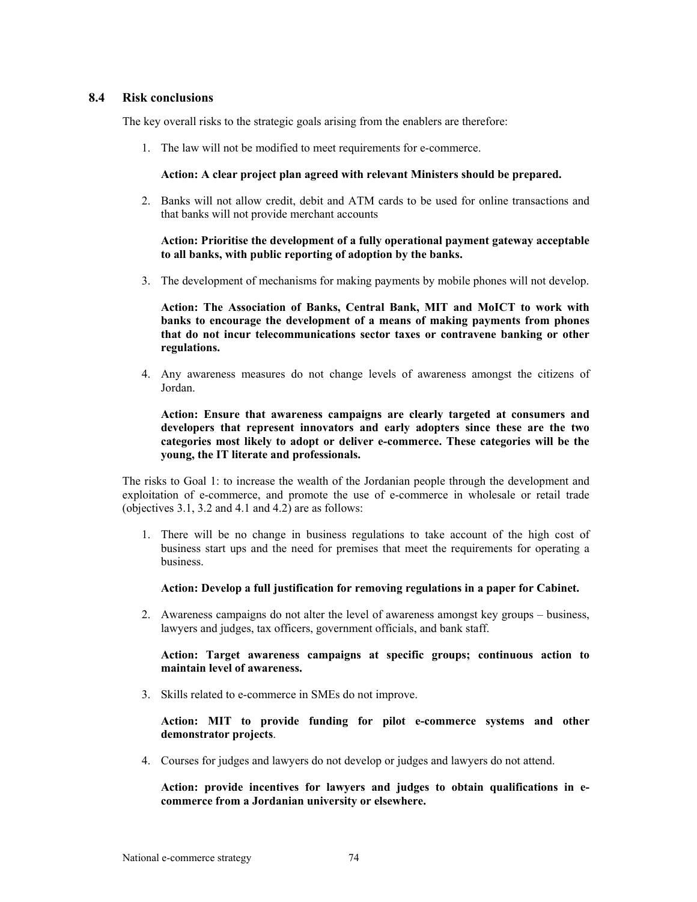## **8.4 Risk conclusions**

The key overall risks to the strategic goals arising from the enablers are therefore:

1. The law will not be modified to meet requirements for e-commerce.

#### **Action: A clear project plan agreed with relevant Ministers should be prepared.**

2. Banks will not allow credit, debit and ATM cards to be used for online transactions and that banks will not provide merchant accounts

## **Action: Prioritise the development of a fully operational payment gateway acceptable to all banks, with public reporting of adoption by the banks.**

3. The development of mechanisms for making payments by mobile phones will not develop.

**Action: The Association of Banks, Central Bank, MIT and MoICT to work with banks to encourage the development of a means of making payments from phones that do not incur telecommunications sector taxes or contravene banking or other regulations.** 

4. Any awareness measures do not change levels of awareness amongst the citizens of Jordan.

**Action: Ensure that awareness campaigns are clearly targeted at consumers and developers that represent innovators and early adopters since these are the two categories most likely to adopt or deliver e-commerce. These categories will be the young, the IT literate and professionals.** 

The risks to Goal 1: to increase the wealth of the Jordanian people through the development and exploitation of e-commerce, and promote the use of e-commerce in wholesale or retail trade (objectives 3.1, 3.2 and 4.1 and 4.2) are as follows:

1. There will be no change in business regulations to take account of the high cost of business start ups and the need for premises that meet the requirements for operating a business.

#### **Action: Develop a full justification for removing regulations in a paper for Cabinet.**

2. Awareness campaigns do not alter the level of awareness amongst key groups – business, lawyers and judges, tax officers, government officials, and bank staff.

## **Action: Target awareness campaigns at specific groups; continuous action to maintain level of awareness.**

3. Skills related to e-commerce in SMEs do not improve.

#### **Action: MIT to provide funding for pilot e-commerce systems and other demonstrator projects**.

4. Courses for judges and lawyers do not develop or judges and lawyers do not attend.

**Action: provide incentives for lawyers and judges to obtain qualifications in ecommerce from a Jordanian university or elsewhere.**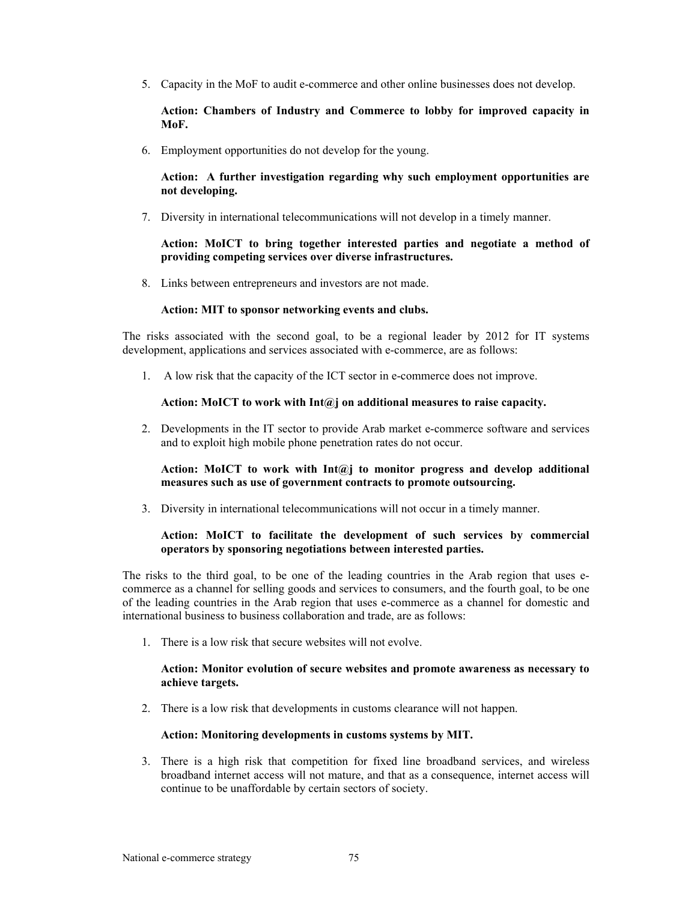5. Capacity in the MoF to audit e-commerce and other online businesses does not develop.

**Action: Chambers of Industry and Commerce to lobby for improved capacity in MoF.** 

6. Employment opportunities do not develop for the young.

**Action: A further investigation regarding why such employment opportunities are not developing.** 

7. Diversity in international telecommunications will not develop in a timely manner.

#### **Action: MoICT to bring together interested parties and negotiate a method of providing competing services over diverse infrastructures.**

8. Links between entrepreneurs and investors are not made.

#### **Action: MIT to sponsor networking events and clubs.**

The risks associated with the second goal, to be a regional leader by 2012 for IT systems development, applications and services associated with e-commerce, are as follows:

1. A low risk that the capacity of the ICT sector in e-commerce does not improve.

#### **Action: MoICT to work with Int@j on additional measures to raise capacity.**

2. Developments in the IT sector to provide Arab market e-commerce software and services and to exploit high mobile phone penetration rates do not occur.

#### **Action: MoICT to work with Int@j to monitor progress and develop additional measures such as use of government contracts to promote outsourcing.**

3. Diversity in international telecommunications will not occur in a timely manner.

## **Action: MoICT to facilitate the development of such services by commercial operators by sponsoring negotiations between interested parties.**

The risks to the third goal, to be one of the leading countries in the Arab region that uses ecommerce as a channel for selling goods and services to consumers, and the fourth goal, to be one of the leading countries in the Arab region that uses e-commerce as a channel for domestic and international business to business collaboration and trade, are as follows:

1. There is a low risk that secure websites will not evolve.

#### **Action: Monitor evolution of secure websites and promote awareness as necessary to achieve targets.**

2. There is a low risk that developments in customs clearance will not happen.

## **Action: Monitoring developments in customs systems by MIT.**

3. There is a high risk that competition for fixed line broadband services, and wireless broadband internet access will not mature, and that as a consequence, internet access will continue to be unaffordable by certain sectors of society.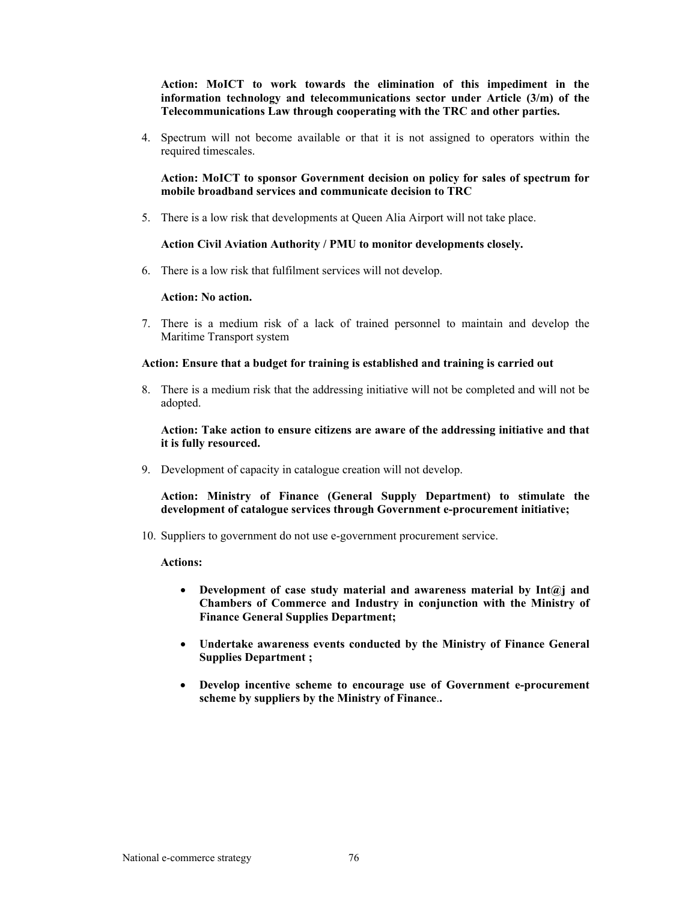**Action: MoICT to work towards the elimination of this impediment in the information technology and telecommunications sector under Article (3/m) of the Telecommunications Law through cooperating with the TRC and other parties.** 

4. Spectrum will not become available or that it is not assigned to operators within the required timescales.

**Action: MoICT to sponsor Government decision on policy for sales of spectrum for mobile broadband services and communicate decision to TRC** 

5. There is a low risk that developments at Queen Alia Airport will not take place.

## **Action Civil Aviation Authority / PMU to monitor developments closely.**

6. There is a low risk that fulfilment services will not develop.

#### **Action: No action.**

7. There is a medium risk of a lack of trained personnel to maintain and develop the Maritime Transport system

#### **Action: Ensure that a budget for training is established and training is carried out**

8. There is a medium risk that the addressing initiative will not be completed and will not be adopted.

**Action: Take action to ensure citizens are aware of the addressing initiative and that it is fully resourced.** 

9. Development of capacity in catalogue creation will not develop.

**Action: Ministry of Finance (General Supply Department) to stimulate the development of catalogue services through Government e-procurement initiative;** 

10. Suppliers to government do not use e-government procurement service.

#### **Actions:**

- **Development of case study material and awareness material by Int@j and Chambers of Commerce and Industry in conjunction with the Ministry of Finance General Supplies Department;**
- **Undertake awareness events conducted by the Ministry of Finance General Supplies Department ;**
- **Develop incentive scheme to encourage use of Government e-procurement scheme by suppliers by the Ministry of Finance**.**.**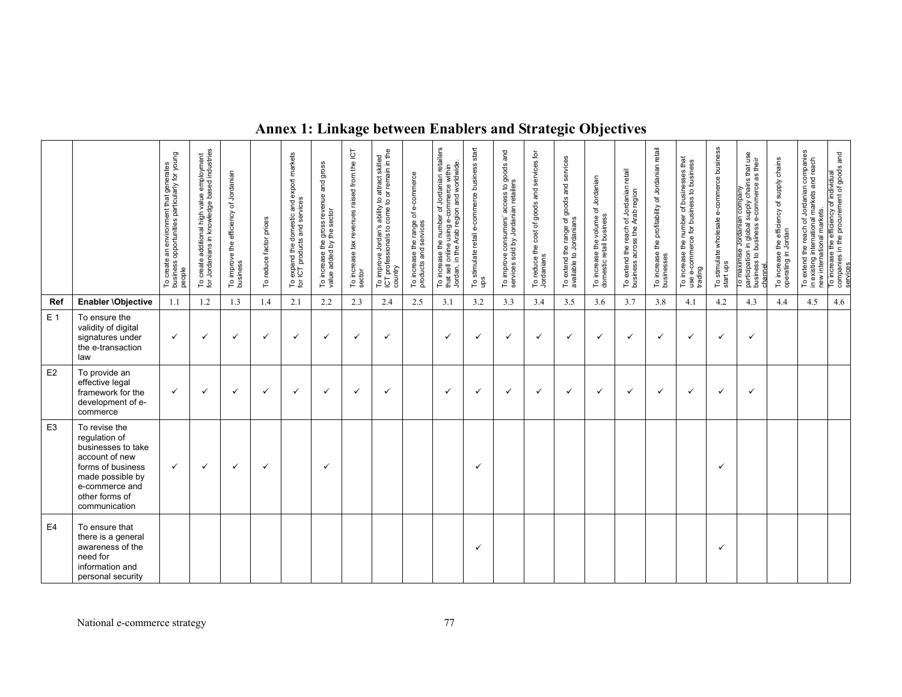|                |                                                                                                                                                                      | To create an environment that generates<br>business opportunities particularly for young<br>people | create additional high value employment<br>Jordanians in knowledge based industries<br>5 의 | To improve the efficiency of Jordanian<br>business | To reduce factor prices | To expand the domestic and export markets<br>for ICT products and services | To increase the gross revenue and gross<br>value added by the sector | To increase tax revenues raised from the ICT<br>sector | To improve Jordan's ability to attract skilled<br>ICT professionals to come to or remain in the<br>country | To increase the range of e-commerce<br>products and services | To increase the number of Jordanian retailers<br>that sell online using e-commerce within<br>Jordan, in the Arab region and worldwide. | To stimulate retail e-commerce business start<br>ups | To improve consumers' access to goods and<br>services sold by Jordanian retailers | To reduce the cost of goods and services for<br>Jordanians | To extend the range of goods and services<br>available to Jordanians | To increase the volume of Jordanian<br>domestic retail business | To extend the reach of Jordanian retail<br>business across the Arab region | the profitability of Jordanian retail<br>To increase t<br>businesses | To increase the number of businesses that<br>use e-commerce for business to business<br>trading | To stimulate wholesale e-commerce business<br>start ups | To maximise Jordanian company<br>participation in global supply chains that use<br>chainess to business e-commerce as their<br>chainess | To increase the efficiency of supply chains<br>operating in Jordan | To extend the reach of Jordanian companies<br>in existing international markets and reach<br>new international markets. | To increase the efficiency of individual<br>companies in the procurement of goods and<br>services |
|----------------|----------------------------------------------------------------------------------------------------------------------------------------------------------------------|----------------------------------------------------------------------------------------------------|--------------------------------------------------------------------------------------------|----------------------------------------------------|-------------------------|----------------------------------------------------------------------------|----------------------------------------------------------------------|--------------------------------------------------------|------------------------------------------------------------------------------------------------------------|--------------------------------------------------------------|----------------------------------------------------------------------------------------------------------------------------------------|------------------------------------------------------|-----------------------------------------------------------------------------------|------------------------------------------------------------|----------------------------------------------------------------------|-----------------------------------------------------------------|----------------------------------------------------------------------------|----------------------------------------------------------------------|-------------------------------------------------------------------------------------------------|---------------------------------------------------------|-----------------------------------------------------------------------------------------------------------------------------------------|--------------------------------------------------------------------|-------------------------------------------------------------------------------------------------------------------------|---------------------------------------------------------------------------------------------------|
| Ref            | Enabler \Objective                                                                                                                                                   | 1.1                                                                                                | 1.2                                                                                        | 1.3                                                | 1.4                     | 2.1                                                                        | 2.2                                                                  | 2.3                                                    | 2.4                                                                                                        | 2.5                                                          | 3.1                                                                                                                                    | 3.2                                                  | 3.3                                                                               | 3.4                                                        | 3.5                                                                  | 3.6                                                             | 3.7                                                                        | 3.8                                                                  | 4.1                                                                                             | 4.2                                                     | 4.3                                                                                                                                     | 4.4                                                                | 4.5                                                                                                                     | 4.6                                                                                               |
| E <sub>1</sub> | To ensure the<br>validity of digital<br>signatures under<br>the e-transaction<br>law                                                                                 | $\checkmark$                                                                                       | $\checkmark$                                                                               | $\checkmark$                                       | $\checkmark$            | $\checkmark$                                                               | $\checkmark$                                                         | $\checkmark$                                           | ✓                                                                                                          |                                                              | $\checkmark$                                                                                                                           | $\checkmark$                                         | ✓                                                                                 | $\checkmark$                                               | $\checkmark$                                                         | $\checkmark$                                                    | $\checkmark$                                                               | $\checkmark$                                                         | $\checkmark$                                                                                    | $\checkmark$                                            | ✓                                                                                                                                       |                                                                    |                                                                                                                         |                                                                                                   |
| E2             | To provide an<br>effective legal<br>framework for the<br>development of e-<br>commerce                                                                               | $\checkmark$                                                                                       | $\checkmark$                                                                               | $\checkmark$                                       | $\checkmark$            | $\checkmark$                                                               | $\checkmark$                                                         | $\checkmark$                                           | ✓                                                                                                          |                                                              | $\checkmark$                                                                                                                           | $\checkmark$                                         | $\checkmark$                                                                      | $\checkmark$                                               | $\checkmark$                                                         | ✓                                                               | $\checkmark$                                                               | $\checkmark$                                                         | $\checkmark$                                                                                    | $\checkmark$                                            | $\checkmark$                                                                                                                            |                                                                    |                                                                                                                         |                                                                                                   |
| E <sub>3</sub> | To revise the<br>regulation of<br>businesses to take<br>account of new<br>forms of business<br>made possible by<br>e-commerce and<br>other forms of<br>communication | $\checkmark$                                                                                       | $\checkmark$                                                                               | $\checkmark$                                       | $\checkmark$            |                                                                            | $\checkmark$                                                         |                                                        |                                                                                                            |                                                              |                                                                                                                                        | $\checkmark$                                         |                                                                                   |                                                            |                                                                      |                                                                 |                                                                            |                                                                      |                                                                                                 | ✓                                                       |                                                                                                                                         |                                                                    |                                                                                                                         |                                                                                                   |
| E <sub>4</sub> | To ensure that<br>there is a general<br>awareness of the<br>need for<br>information and<br>personal security                                                         |                                                                                                    |                                                                                            |                                                    |                         |                                                                            |                                                                      |                                                        |                                                                                                            |                                                              |                                                                                                                                        | $\checkmark$                                         |                                                                                   |                                                            |                                                                      |                                                                 |                                                                            |                                                                      |                                                                                                 | ✓                                                       |                                                                                                                                         |                                                                    |                                                                                                                         |                                                                                                   |

# **Annex 1: Linkage between Enablers and Strategic Objectives**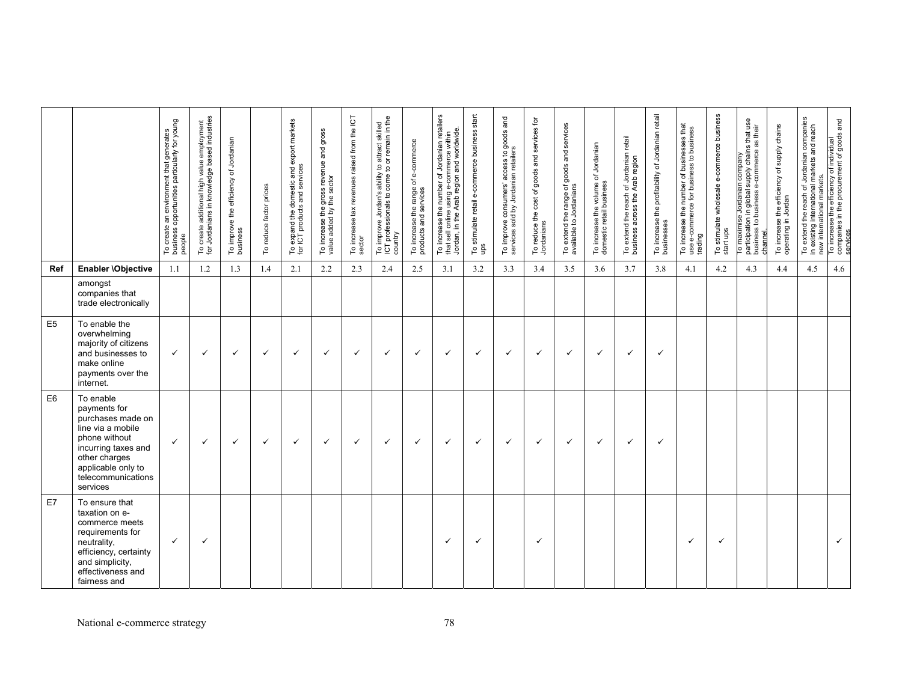|                |                                                                                                                                                                                      | To create an environment that generates<br>business opportunities particularly for young<br>people | To create additional high value employment<br>for Jordanians in knowledge based industries | To improve the efficiency of Jordanian<br>business | factor prices<br>reduce<br>$\mathop{\mathsf{C}}$ | To expand the domestic and export markets<br>for ICT products and services | To increase the gross revenue and gross<br>value added by the sector | To increase tax revenues raised from the ICT<br>sector | To improve Jordan's ability to attract skilled<br>ICT professionals to come to or remain in the<br>country | To increase the range of e-commerce<br>products and services | To increase the number of Jordanian retailers<br>Jordan, in the Arab region and worldwide<br><b>commerce</b><br>φ<br>puisr<br>online<br>that sell | To stimulate retail e-commerce business start<br>ups | To improve consumers' access to goods and<br>services sold by Jordanian retailers | To reduce the cost of goods and services for<br>Jordanians | To extend the range of goods and services<br>available to Jordanians | To increase the volume of Jordanian<br>domestic retail business | To extend the reach of Jordanian retail<br>business across the Arab region | To increase the profitability of Jordanian retail<br>businesses | To increase the number of businesses that<br>use e-commerce for business to business<br>trading | To stimulate wholesale e-commerce business<br>start ups | Jordanian company<br>n global supply chains that use<br>their<br>-commerce<br>ψ<br>business<br>$\mathbf{a}$<br>esi<br>To maximise<br>participation i<br>business to b<br>channel | To increase the efficiency of supply chains<br>operating in Jordan | the reach of Jordanian companies<br>international markets and reach<br>in existing international ma<br>new international markets.<br>To extend | To increase the efficiency of individual<br>companies in the procurement of goods and<br>services |
|----------------|--------------------------------------------------------------------------------------------------------------------------------------------------------------------------------------|----------------------------------------------------------------------------------------------------|--------------------------------------------------------------------------------------------|----------------------------------------------------|--------------------------------------------------|----------------------------------------------------------------------------|----------------------------------------------------------------------|--------------------------------------------------------|------------------------------------------------------------------------------------------------------------|--------------------------------------------------------------|---------------------------------------------------------------------------------------------------------------------------------------------------|------------------------------------------------------|-----------------------------------------------------------------------------------|------------------------------------------------------------|----------------------------------------------------------------------|-----------------------------------------------------------------|----------------------------------------------------------------------------|-----------------------------------------------------------------|-------------------------------------------------------------------------------------------------|---------------------------------------------------------|----------------------------------------------------------------------------------------------------------------------------------------------------------------------------------|--------------------------------------------------------------------|------------------------------------------------------------------------------------------------------------------------------------------------|---------------------------------------------------------------------------------------------------|
| Ref            | Enabler \Objective                                                                                                                                                                   | 1.1                                                                                                | 1.2                                                                                        | 1.3                                                | 1.4                                              | 2.1                                                                        | 2.2                                                                  | 2.3                                                    | 2.4                                                                                                        | 2.5                                                          | 3.1                                                                                                                                               | 3.2                                                  | 3.3                                                                               | 3.4                                                        | 3.5                                                                  | 3.6                                                             | 3.7                                                                        | 3.8                                                             | 4.1                                                                                             | 4.2                                                     | 4.3                                                                                                                                                                              | 4.4                                                                | 4.5                                                                                                                                            | 4.6                                                                                               |
|                | amongst<br>companies that<br>trade electronically                                                                                                                                    |                                                                                                    |                                                                                            |                                                    |                                                  |                                                                            |                                                                      |                                                        |                                                                                                            |                                                              |                                                                                                                                                   |                                                      |                                                                                   |                                                            |                                                                      |                                                                 |                                                                            |                                                                 |                                                                                                 |                                                         |                                                                                                                                                                                  |                                                                    |                                                                                                                                                |                                                                                                   |
| E <sub>5</sub> | To enable the<br>overwhelming<br>majority of citizens<br>and businesses to<br>make online<br>payments over the<br>internet.                                                          | $\checkmark$                                                                                       | $\checkmark$                                                                               | $\checkmark$                                       | $\checkmark$                                     | ✓                                                                          | ✓                                                                    | $\checkmark$                                           | $\checkmark$                                                                                               | $\checkmark$                                                 | ✓                                                                                                                                                 | $\checkmark$                                         | $\checkmark$                                                                      | ✓                                                          | ✓                                                                    | $\checkmark$                                                    | $\checkmark$                                                               | $\checkmark$                                                    |                                                                                                 |                                                         |                                                                                                                                                                                  |                                                                    |                                                                                                                                                |                                                                                                   |
| E <sub>6</sub> | To enable<br>payments for<br>purchases made on<br>line via a mobile<br>phone without<br>incurring taxes and<br>other charges<br>applicable only to<br>telecommunications<br>services | $\checkmark$                                                                                       | $\checkmark$                                                                               | ✓                                                  | ✓                                                | ✓                                                                          | ✓                                                                    | $\checkmark$                                           | $\checkmark$                                                                                               | $\checkmark$                                                 | $\checkmark$                                                                                                                                      | $\checkmark$                                         | $\checkmark$                                                                      | ✓                                                          | ✓                                                                    | $\checkmark$                                                    | ✓                                                                          | $\checkmark$                                                    |                                                                                                 |                                                         |                                                                                                                                                                                  |                                                                    |                                                                                                                                                |                                                                                                   |
| E7             | To ensure that<br>taxation on e-<br>commerce meets<br>requirements for<br>neutrality,<br>efficiency, certainty<br>and simplicity,<br>effectiveness and<br>fairness and               | $\checkmark$                                                                                       | $\checkmark$                                                                               |                                                    |                                                  |                                                                            |                                                                      |                                                        |                                                                                                            |                                                              | ✓                                                                                                                                                 | $\checkmark$                                         |                                                                                   | ✓                                                          |                                                                      |                                                                 |                                                                            |                                                                 | ✓                                                                                               | $\checkmark$                                            |                                                                                                                                                                                  |                                                                    |                                                                                                                                                | $\checkmark$                                                                                      |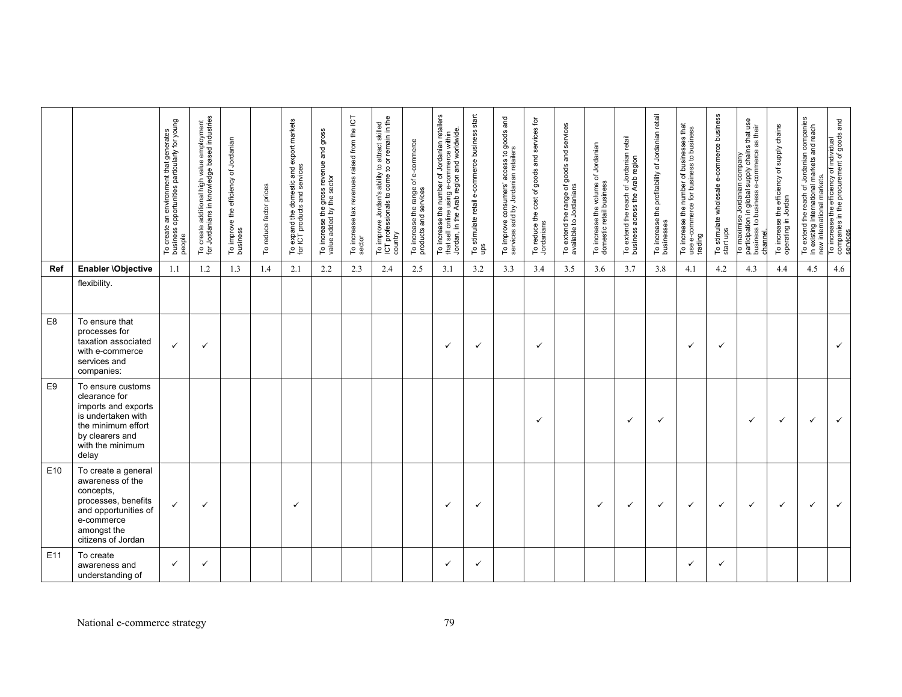|                 |                                                                                                                                                        | To create an environment that generates<br>business opportunities particularly for young<br>people | To create additional high value employment<br>for Jordanians in knowledge based industries | To improve the efficiency of Jordanian<br>business | To reduce factor prices | To expand the domestic and export markets<br>for ICT products and services | To increase the gross revenue and gross<br>value added by the sector | To increase tax revenues raised from the ICT<br>sector | To improve Jordan's ability to attract skilled<br>ICT professionals to come to or remain in the<br>country | To increase the range of e-commerce<br>products and services | To increase the number of Jordanian retailers<br>that sell online using e-commerce within<br>Jordan, in the Arab region and worldwide | To stimulate retail e-commerce business start<br>ups | To improve consumers' access to goods and<br>services sold by Jordanian retailers | To reduce the cost of goods and services for<br>Jordanians | To extend the range of goods and services<br>available to Jordanians | To increase the volume of Jordanian<br>domestic retail business | To extend the reach of Jordanian retail<br>business across the Arab region | To increase the profitability of Jordanian retail<br>businesses | To increase the number of businesses that<br>use e-commerce for business to business<br>trading | To stimulate wholesale e-commerce business<br>start ups | supply chains that use<br>their<br>æ<br>commerce<br>Jordanian company<br>φ<br>participation in global<br>business to business<br>maximise<br>channel<br>P | To increase the efficiency of supply chains<br>operating in Jordan | To extend the reach of Jordanian companies<br>in existing international markets and reach<br>new international markets.<br>in existing | To increase the efficiency of individual<br>companies in the procurement of goods and<br>services |
|-----------------|--------------------------------------------------------------------------------------------------------------------------------------------------------|----------------------------------------------------------------------------------------------------|--------------------------------------------------------------------------------------------|----------------------------------------------------|-------------------------|----------------------------------------------------------------------------|----------------------------------------------------------------------|--------------------------------------------------------|------------------------------------------------------------------------------------------------------------|--------------------------------------------------------------|---------------------------------------------------------------------------------------------------------------------------------------|------------------------------------------------------|-----------------------------------------------------------------------------------|------------------------------------------------------------|----------------------------------------------------------------------|-----------------------------------------------------------------|----------------------------------------------------------------------------|-----------------------------------------------------------------|-------------------------------------------------------------------------------------------------|---------------------------------------------------------|-----------------------------------------------------------------------------------------------------------------------------------------------------------|--------------------------------------------------------------------|----------------------------------------------------------------------------------------------------------------------------------------|---------------------------------------------------------------------------------------------------|
| Ref             | Enabler \Objective                                                                                                                                     | 1.1                                                                                                | 1.2                                                                                        | 1.3                                                | 1.4                     | 2.1                                                                        | 2.2                                                                  | 2.3                                                    | 2.4                                                                                                        | 2.5                                                          | 3.1                                                                                                                                   | 3.2                                                  | 3.3                                                                               | 3.4                                                        | 3.5                                                                  | 3.6                                                             | 3.7                                                                        | 3.8                                                             | 4.1                                                                                             | 4.2                                                     | 4.3                                                                                                                                                       | 4.4                                                                | 4.5                                                                                                                                    | 4.6                                                                                               |
|                 | flexibility.                                                                                                                                           |                                                                                                    |                                                                                            |                                                    |                         |                                                                            |                                                                      |                                                        |                                                                                                            |                                                              |                                                                                                                                       |                                                      |                                                                                   |                                                            |                                                                      |                                                                 |                                                                            |                                                                 |                                                                                                 |                                                         |                                                                                                                                                           |                                                                    |                                                                                                                                        |                                                                                                   |
| E <sub>8</sub>  | To ensure that<br>processes for<br>taxation associated<br>with e-commerce<br>services and<br>companies:                                                | $\checkmark$                                                                                       | $\checkmark$                                                                               |                                                    |                         |                                                                            |                                                                      |                                                        |                                                                                                            |                                                              | $\checkmark$                                                                                                                          | ✓                                                    |                                                                                   | ✓                                                          |                                                                      |                                                                 |                                                                            |                                                                 | ✓                                                                                               | $\checkmark$                                            |                                                                                                                                                           |                                                                    |                                                                                                                                        | $\checkmark$                                                                                      |
| E <sub>9</sub>  | To ensure customs<br>clearance for<br>imports and exports<br>is undertaken with<br>the minimum effort<br>by clearers and<br>with the minimum<br>delay  |                                                                                                    |                                                                                            |                                                    |                         |                                                                            |                                                                      |                                                        |                                                                                                            |                                                              |                                                                                                                                       |                                                      |                                                                                   | ✓                                                          |                                                                      |                                                                 | $\checkmark$                                                               | $\checkmark$                                                    |                                                                                                 |                                                         | $\checkmark$                                                                                                                                              | $\checkmark$                                                       | ✓                                                                                                                                      | $\checkmark$                                                                                      |
| E <sub>10</sub> | To create a general<br>awareness of the<br>concepts,<br>processes, benefits<br>and opportunities of<br>e-commerce<br>amongst the<br>citizens of Jordan | $\checkmark$                                                                                       | $\checkmark$                                                                               |                                                    |                         | ✓                                                                          |                                                                      |                                                        |                                                                                                            |                                                              | $\checkmark$                                                                                                                          | ✓                                                    |                                                                                   |                                                            |                                                                      | ✓                                                               | $\checkmark$                                                               | $\checkmark$                                                    | ✓                                                                                               | ✓                                                       | $\checkmark$                                                                                                                                              | $\checkmark$                                                       | $\checkmark$                                                                                                                           | $\checkmark$                                                                                      |
| E11             | To create<br>awareness and<br>understanding of                                                                                                         | $\checkmark$                                                                                       | $\checkmark$                                                                               |                                                    |                         |                                                                            |                                                                      |                                                        |                                                                                                            |                                                              | $\checkmark$                                                                                                                          | $\checkmark$                                         |                                                                                   |                                                            |                                                                      |                                                                 |                                                                            |                                                                 | ✓                                                                                               | $\checkmark$                                            |                                                                                                                                                           |                                                                    |                                                                                                                                        |                                                                                                   |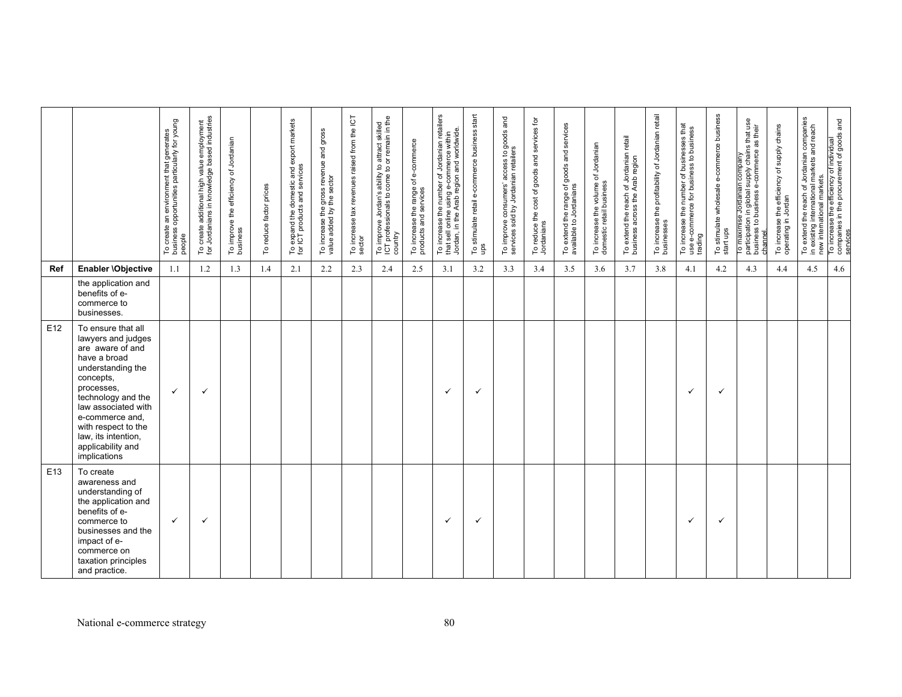|                 |                                                                                                                                                                                                                                                                                 | To create an environment that generates<br>business opportunities particularly for young<br>people | To create additional high value employment<br>for Jordanians in knowledge based industries | To improve the efficiency of Jordanian<br>business | To reduce factor prices | To expand the domestic and export markets<br>for ICT products and services | To increase the gross revenue and gross<br>value added by the sector | To increase tax revenues raised from the ICT<br>sector | To improve Jordan's ability to attract skilled<br>ICT professionals to come to or remain in the<br>country | To increase the range of e-commerce<br>products and services | To increase the number of Jordanian retailers<br>that sell online using e-commerce within<br>Jordan, in the Arab region and worldwide<br>that sell online | To stimulate retail e-commerce business start<br>ups | To improve consumers' access to goods and<br>services sold by Jordanian retailers | To reduce the cost of goods and services for<br>Jordanians | To extend the range of goods and services<br>available to Jordanians | To increase the volume of Jordanian<br>domestic retail business | To extend the reach of Jordanian retail<br>business across the Arab region | To increase the profitability of Jordanian retail<br>businesses | To increase the number of businesses that<br>use e-commerce for business to business<br>trading | To stimulate wholesale e-commerce business<br>start ups | To maximise Jordanian company<br>participation in global supply chains that use<br>business to business e-commerce as their<br>channel | efficiency of supply chains<br>To increase the efficant<br>operating in Jordan | To extend the reach of Jordanian companies<br>in existing international markets and reach<br>new international markets<br>in existing | To increase the efficiency of individual<br>companies in the procurement of goods and<br>services |
|-----------------|---------------------------------------------------------------------------------------------------------------------------------------------------------------------------------------------------------------------------------------------------------------------------------|----------------------------------------------------------------------------------------------------|--------------------------------------------------------------------------------------------|----------------------------------------------------|-------------------------|----------------------------------------------------------------------------|----------------------------------------------------------------------|--------------------------------------------------------|------------------------------------------------------------------------------------------------------------|--------------------------------------------------------------|-----------------------------------------------------------------------------------------------------------------------------------------------------------|------------------------------------------------------|-----------------------------------------------------------------------------------|------------------------------------------------------------|----------------------------------------------------------------------|-----------------------------------------------------------------|----------------------------------------------------------------------------|-----------------------------------------------------------------|-------------------------------------------------------------------------------------------------|---------------------------------------------------------|----------------------------------------------------------------------------------------------------------------------------------------|--------------------------------------------------------------------------------|---------------------------------------------------------------------------------------------------------------------------------------|---------------------------------------------------------------------------------------------------|
| Ref             | Enabler \Objective                                                                                                                                                                                                                                                              | 1.1                                                                                                | 1.2                                                                                        | 1.3                                                | 1.4                     | 2.1                                                                        | 2.2                                                                  | 2.3                                                    | 2.4                                                                                                        | 2.5                                                          | 3.1                                                                                                                                                       | 3.2                                                  | 3.3                                                                               | 3.4                                                        | 3.5                                                                  | 3.6                                                             | 3.7                                                                        | 3.8                                                             | 4.1                                                                                             | 4.2                                                     | 4.3                                                                                                                                    | 4.4                                                                            | 4.5                                                                                                                                   | 4.6                                                                                               |
|                 | the application and<br>benefits of e-<br>commerce to<br>businesses.                                                                                                                                                                                                             |                                                                                                    |                                                                                            |                                                    |                         |                                                                            |                                                                      |                                                        |                                                                                                            |                                                              |                                                                                                                                                           |                                                      |                                                                                   |                                                            |                                                                      |                                                                 |                                                                            |                                                                 |                                                                                                 |                                                         |                                                                                                                                        |                                                                                |                                                                                                                                       |                                                                                                   |
| E12             | To ensure that all<br>lawyers and judges<br>are aware of and<br>have a broad<br>understanding the<br>concepts,<br>processes,<br>technology and the<br>law associated with<br>e-commerce and,<br>with respect to the<br>law, its intention,<br>applicability and<br>implications | $\checkmark$                                                                                       | $\checkmark$                                                                               |                                                    |                         |                                                                            |                                                                      |                                                        |                                                                                                            |                                                              | $\checkmark$                                                                                                                                              | $\checkmark$                                         |                                                                                   |                                                            |                                                                      |                                                                 |                                                                            |                                                                 | ✓                                                                                               | ✓                                                       |                                                                                                                                        |                                                                                |                                                                                                                                       |                                                                                                   |
| E <sub>13</sub> | To create<br>awareness and<br>understanding of<br>the application and<br>benefits of e-<br>commerce to<br>businesses and the<br>impact of e-<br>commerce on<br>taxation principles<br>and practice.                                                                             | ✓                                                                                                  | $\checkmark$                                                                               |                                                    |                         |                                                                            |                                                                      |                                                        |                                                                                                            |                                                              | $\checkmark$                                                                                                                                              | $\checkmark$                                         |                                                                                   |                                                            |                                                                      |                                                                 |                                                                            |                                                                 | ✓                                                                                               | ✓                                                       |                                                                                                                                        |                                                                                |                                                                                                                                       |                                                                                                   |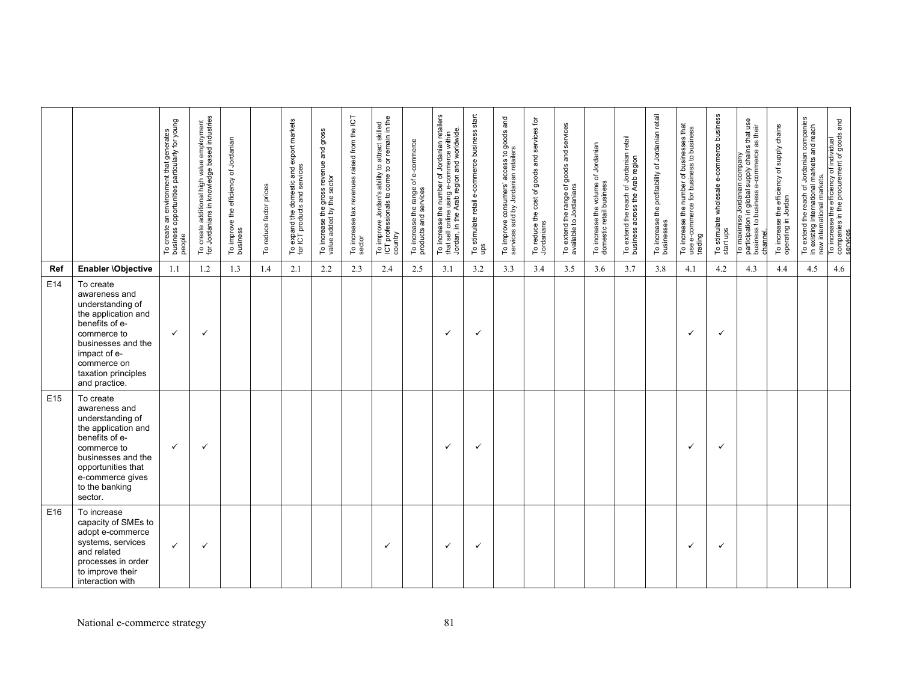|                 |                                                                                                                                                                                                     | To create an environment that generates<br>business opportunities particularly for young<br>people | To create additional high value employment<br>for Jordanians in knowledge based industries | To improve the efficiency of Jordanian<br>business | factor prices<br>reduce<br>$\mathsf{S}$ | To expand the domestic and export markets<br>for ICT products and services | To increase the gross revenue and gross<br>value added by the sector | To increase tax revenues raised from the ICT<br>sector | To improve Jordan's ability to attract skilled<br>ICT professionals to come to or remain in the<br>country | To increase the range of e-commerce<br>products and services | To increase the number of Jordanian retailers<br>that sell online using e-commerce within<br>Jordan, in the Arab region and worldwide | To stimulate retail e-commerce business start<br>ups | To improve consumers' access to goods and<br>services sold by Jordanian retailers | To reduce the cost of goods and services for<br>Jordanians | To extend the range of goods and services<br>available to Jordanians | To increase the volume of Jordanian<br>domestic retail business | To extend the reach of Jordanian retail<br>business across the Arab region | To increase the profitability of Jordanian retail<br>businesses | To increase the number of businesses that<br>use e-commerce for business to business<br>trading | To stimulate wholesale e-commerce business<br>start ups | To maximise Jordanian company<br>participation in global supply chains that use<br>business to business e-commerce as their<br>channel | To increase the efficiency of supply chains<br>operating in Jordan | To extend the reach of Jordanian companies<br>in existing international markets and reach<br>in existing international ma<br>new international markets. | To increase the efficiency of individual<br>companies in the procurement of goods and<br>services |
|-----------------|-----------------------------------------------------------------------------------------------------------------------------------------------------------------------------------------------------|----------------------------------------------------------------------------------------------------|--------------------------------------------------------------------------------------------|----------------------------------------------------|-----------------------------------------|----------------------------------------------------------------------------|----------------------------------------------------------------------|--------------------------------------------------------|------------------------------------------------------------------------------------------------------------|--------------------------------------------------------------|---------------------------------------------------------------------------------------------------------------------------------------|------------------------------------------------------|-----------------------------------------------------------------------------------|------------------------------------------------------------|----------------------------------------------------------------------|-----------------------------------------------------------------|----------------------------------------------------------------------------|-----------------------------------------------------------------|-------------------------------------------------------------------------------------------------|---------------------------------------------------------|----------------------------------------------------------------------------------------------------------------------------------------|--------------------------------------------------------------------|---------------------------------------------------------------------------------------------------------------------------------------------------------|---------------------------------------------------------------------------------------------------|
| Ref             | Enabler \Objective                                                                                                                                                                                  | 1.1                                                                                                | 1.2                                                                                        | 1.3                                                | 1.4                                     | 2.1                                                                        | 2.2                                                                  | 2.3                                                    | 2.4                                                                                                        | 2.5                                                          | 3.1                                                                                                                                   | 3.2                                                  | 3.3                                                                               | 3.4                                                        | 3.5                                                                  | 3.6                                                             | 3.7                                                                        | 3.8                                                             | 4.1                                                                                             | 4.2                                                     | 4.3                                                                                                                                    | 4.4                                                                | 4.5                                                                                                                                                     | 4.6                                                                                               |
| E14             | To create<br>awareness and<br>understanding of<br>the application and<br>benefits of e-<br>commerce to<br>businesses and the<br>impact of e-<br>commerce on<br>taxation principles<br>and practice. | $\checkmark$                                                                                       | $\checkmark$                                                                               |                                                    |                                         |                                                                            |                                                                      |                                                        |                                                                                                            |                                                              | ✓                                                                                                                                     | ✓                                                    |                                                                                   |                                                            |                                                                      |                                                                 |                                                                            |                                                                 | ✓                                                                                               | $\checkmark$                                            |                                                                                                                                        |                                                                    |                                                                                                                                                         |                                                                                                   |
| E <sub>15</sub> | To create<br>awareness and<br>understanding of<br>the application and<br>benefits of e-<br>commerce to<br>businesses and the<br>opportunities that<br>e-commerce gives<br>to the banking<br>sector. | $\checkmark$                                                                                       | $\checkmark$                                                                               |                                                    |                                         |                                                                            |                                                                      |                                                        |                                                                                                            |                                                              | $\checkmark$                                                                                                                          | ✓                                                    |                                                                                   |                                                            |                                                                      |                                                                 |                                                                            |                                                                 | ✓                                                                                               | $\checkmark$                                            |                                                                                                                                        |                                                                    |                                                                                                                                                         |                                                                                                   |
| E16             | To increase<br>capacity of SMEs to<br>adopt e-commerce<br>systems, services<br>and related<br>processes in order<br>to improve their<br>interaction with                                            | $\checkmark$                                                                                       | $\checkmark$                                                                               |                                                    |                                         |                                                                            |                                                                      |                                                        | $\checkmark$                                                                                               |                                                              | ✓                                                                                                                                     | ✓                                                    |                                                                                   |                                                            |                                                                      |                                                                 |                                                                            |                                                                 | ✓                                                                                               | $\checkmark$                                            |                                                                                                                                        |                                                                    |                                                                                                                                                         |                                                                                                   |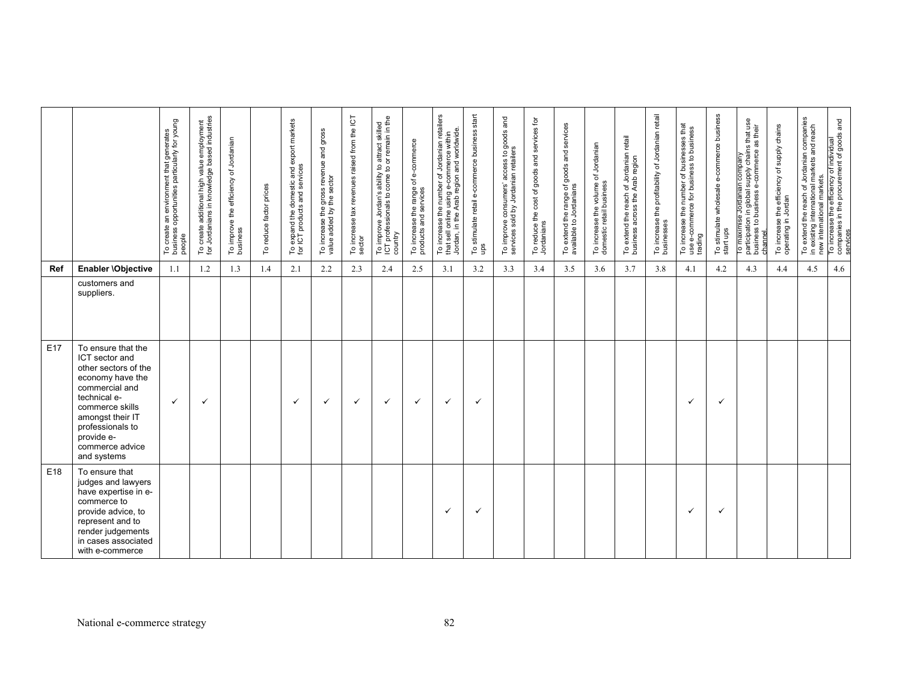|     |                                                                                                                                                                                                                               | To create an environment that generates<br>business opportunities particularly for young<br>people | To create additional high value employment<br>for Jordanians in knowledge based industries | To improve the efficiency of Jordanian<br>business | To reduce factor prices | To expand the domestic and export markets<br>for ICT products and services | To increase the gross revenue and gross<br>value added by the sector | To increase tax revenues raised from the ICT<br>sector | To improve Jordan's ability to attract skilled<br>ICT professionals to come to or remain in the<br>country | To increase the range of e-commerce<br>products and services | To increase the number of Jordanian retailers<br>Jordan, in the Arab region and worldwide<br>e-commerce within<br>using<br>sell online<br>that: | To stimulate retail e-commerce business start<br>ups | To improve consumers' access to goods and<br>services sold by Jordanian retailers | To reduce the cost of goods and services for<br>Jordanians | To extend the range of goods and services<br>available to Jordanians | To increase the volume of Jordanian<br>domestic retail business | To extend the reach of Jordanian retail<br>business across the Arab region | To increase the profitability of Jordanian retail<br>businesses | To increase the number of businesses that<br>use e-commerce for business to business<br>trading | To stimulate wholesale e-commerce business<br>start ups | To maximise Jordanian company<br>participation in global supply chains that use<br>business to business e-commerce as their<br>channel | efficiency of supply chains<br>To increase the effic<br>operating in Jordan | To extend the reach of Jordanian companies<br>in existing international markets and reach<br>new international markets. | To increase the efficiency of individual<br>companies in the procurement of goods and<br>services |
|-----|-------------------------------------------------------------------------------------------------------------------------------------------------------------------------------------------------------------------------------|----------------------------------------------------------------------------------------------------|--------------------------------------------------------------------------------------------|----------------------------------------------------|-------------------------|----------------------------------------------------------------------------|----------------------------------------------------------------------|--------------------------------------------------------|------------------------------------------------------------------------------------------------------------|--------------------------------------------------------------|-------------------------------------------------------------------------------------------------------------------------------------------------|------------------------------------------------------|-----------------------------------------------------------------------------------|------------------------------------------------------------|----------------------------------------------------------------------|-----------------------------------------------------------------|----------------------------------------------------------------------------|-----------------------------------------------------------------|-------------------------------------------------------------------------------------------------|---------------------------------------------------------|----------------------------------------------------------------------------------------------------------------------------------------|-----------------------------------------------------------------------------|-------------------------------------------------------------------------------------------------------------------------|---------------------------------------------------------------------------------------------------|
| Ref | Enabler \Objective                                                                                                                                                                                                            | 1.1                                                                                                | 1.2                                                                                        | 1.3                                                | 1.4                     | 2.1                                                                        | 2.2                                                                  | 2.3                                                    | 2.4                                                                                                        | 2.5                                                          | 3.1                                                                                                                                             | 3.2                                                  | 3.3                                                                               | 3.4                                                        | 3.5                                                                  | 3.6                                                             | 3.7                                                                        | 3.8                                                             | 4.1                                                                                             | 4.2                                                     | 4.3                                                                                                                                    | 4.4                                                                         | 4.5                                                                                                                     | 4.6                                                                                               |
|     | customers and<br>suppliers.                                                                                                                                                                                                   |                                                                                                    |                                                                                            |                                                    |                         |                                                                            |                                                                      |                                                        |                                                                                                            |                                                              |                                                                                                                                                 |                                                      |                                                                                   |                                                            |                                                                      |                                                                 |                                                                            |                                                                 |                                                                                                 |                                                         |                                                                                                                                        |                                                                             |                                                                                                                         |                                                                                                   |
| E17 | To ensure that the<br>ICT sector and<br>other sectors of the<br>economy have the<br>commercial and<br>technical e-<br>commerce skills<br>amongst their IT<br>professionals to<br>provide e-<br>commerce advice<br>and systems | $\checkmark$                                                                                       | $\checkmark$                                                                               |                                                    |                         | ✓                                                                          | $\checkmark$                                                         | $\checkmark$                                           | $\checkmark$                                                                                               | $\checkmark$                                                 | $\checkmark$                                                                                                                                    | $\checkmark$                                         |                                                                                   |                                                            |                                                                      |                                                                 |                                                                            |                                                                 | ✓                                                                                               | ✓                                                       |                                                                                                                                        |                                                                             |                                                                                                                         |                                                                                                   |
| E18 | To ensure that<br>judges and lawyers<br>have expertise in e-<br>commerce to<br>provide advice, to<br>represent and to<br>render judgements<br>in cases associated<br>with e-commerce                                          |                                                                                                    |                                                                                            |                                                    |                         |                                                                            |                                                                      |                                                        |                                                                                                            |                                                              | $\checkmark$                                                                                                                                    | ✓                                                    |                                                                                   |                                                            |                                                                      |                                                                 |                                                                            |                                                                 | ✓                                                                                               | ✓                                                       |                                                                                                                                        |                                                                             |                                                                                                                         |                                                                                                   |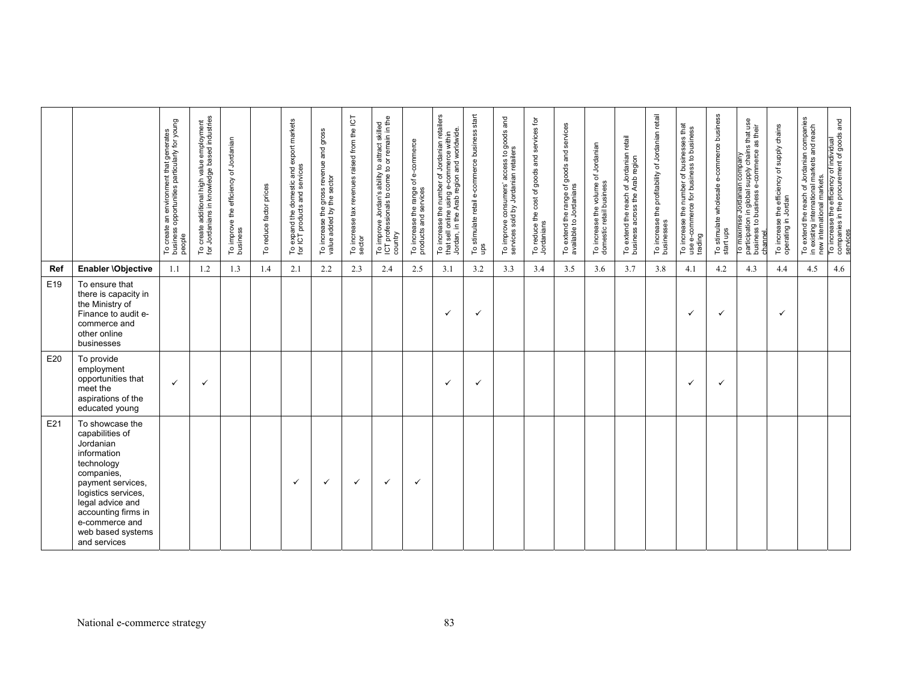|     |                                                                                                                                                                                                                                          | To create an environment that generates<br>business opportunities particularly for young<br>people | To create additional high value employment<br>for Jordanians in knowledge based industries | To improve the efficiency of Jordanian<br>business | reduce factor prices<br>ρ | To expand the domestic and export markets<br>for ICT products and services | To increase the gross revenue and gross<br>value added by the sector | To increase tax revenues raised from the ICT<br>sector | To improve Jordan's ability to attract skilled<br>ICT professionals to come to or remain in the<br>country | To increase the range of e-commerce<br>products and services | number of Jordanian retailers<br>Jordan, in the Arab region and worldwide<br>within<br>using e-commerce<br>To increase the<br>online<br><b>UBS</b><br>that | To stimulate retail e-commerce business start<br>ups | and<br>To improve consumers' access to goods<br>services sold by Jordanian retailers | To reduce the cost of goods and services for<br>Jordanians | To extend the range of goods and services<br>available to Jordanians | To increase the volume of Jordanian<br>domestic retail business | To extend the reach of Jordanian retail<br>business across the Arab region | the profitability of Jordanian retail<br>To increase t<br>businesses | To increase the number of businesses that<br>use e-commerce for business to business<br>trading | To stimulate wholesale e-commerce business<br>start ups | To maximise Jordanian company<br>participation in global supply chains that use<br>business to business e-commerce as their<br>channel. | efficiency of supply chains<br>To increase the efficant<br>operating in Jordan | To extend the reach of Jordanian companies<br>in existing international markets and reach | new international markets.<br>To increase the efficiency of individual<br>companies in the procurement of goods and |
|-----|------------------------------------------------------------------------------------------------------------------------------------------------------------------------------------------------------------------------------------------|----------------------------------------------------------------------------------------------------|--------------------------------------------------------------------------------------------|----------------------------------------------------|---------------------------|----------------------------------------------------------------------------|----------------------------------------------------------------------|--------------------------------------------------------|------------------------------------------------------------------------------------------------------------|--------------------------------------------------------------|------------------------------------------------------------------------------------------------------------------------------------------------------------|------------------------------------------------------|--------------------------------------------------------------------------------------|------------------------------------------------------------|----------------------------------------------------------------------|-----------------------------------------------------------------|----------------------------------------------------------------------------|----------------------------------------------------------------------|-------------------------------------------------------------------------------------------------|---------------------------------------------------------|-----------------------------------------------------------------------------------------------------------------------------------------|--------------------------------------------------------------------------------|-------------------------------------------------------------------------------------------|---------------------------------------------------------------------------------------------------------------------|
| Ref | Enabler \Objective                                                                                                                                                                                                                       | 1.1                                                                                                | 1.2                                                                                        | 1.3                                                | 1.4                       | 2.1                                                                        | 2.2                                                                  | 2.3                                                    | 2.4                                                                                                        | 2.5                                                          | 3.1                                                                                                                                                        | 3.2                                                  | 3.3                                                                                  | 3.4                                                        | 3.5                                                                  | 3.6                                                             | 3.7                                                                        | 3.8                                                                  | 4.1                                                                                             | 4.2                                                     | 4.3                                                                                                                                     | 4.4                                                                            | 4.5                                                                                       | 4.6                                                                                                                 |
| E19 | To ensure that<br>there is capacity in<br>the Ministry of<br>Finance to audit e-<br>commerce and<br>other online<br>businesses                                                                                                           |                                                                                                    |                                                                                            |                                                    |                           |                                                                            |                                                                      |                                                        |                                                                                                            |                                                              | ✓                                                                                                                                                          | ✓                                                    |                                                                                      |                                                            |                                                                      |                                                                 |                                                                            |                                                                      | ✓                                                                                               | ✓                                                       |                                                                                                                                         | ✓                                                                              |                                                                                           |                                                                                                                     |
| E20 | To provide<br>employment<br>opportunities that<br>meet the<br>aspirations of the<br>educated young                                                                                                                                       | ✓                                                                                                  | $\checkmark$                                                                               |                                                    |                           |                                                                            |                                                                      |                                                        |                                                                                                            |                                                              | ✓                                                                                                                                                          | $\checkmark$                                         |                                                                                      |                                                            |                                                                      |                                                                 |                                                                            |                                                                      | ✓                                                                                               | ✓                                                       |                                                                                                                                         |                                                                                |                                                                                           |                                                                                                                     |
| E21 | To showcase the<br>capabilities of<br>Jordanian<br>information<br>technology<br>companies,<br>payment services,<br>logistics services,<br>legal advice and<br>accounting firms in<br>e-commerce and<br>web based systems<br>and services |                                                                                                    |                                                                                            |                                                    |                           | ✓                                                                          | $\checkmark$                                                         | $\checkmark$                                           | $\checkmark$                                                                                               | ✓                                                            |                                                                                                                                                            |                                                      |                                                                                      |                                                            |                                                                      |                                                                 |                                                                            |                                                                      |                                                                                                 |                                                         |                                                                                                                                         |                                                                                |                                                                                           |                                                                                                                     |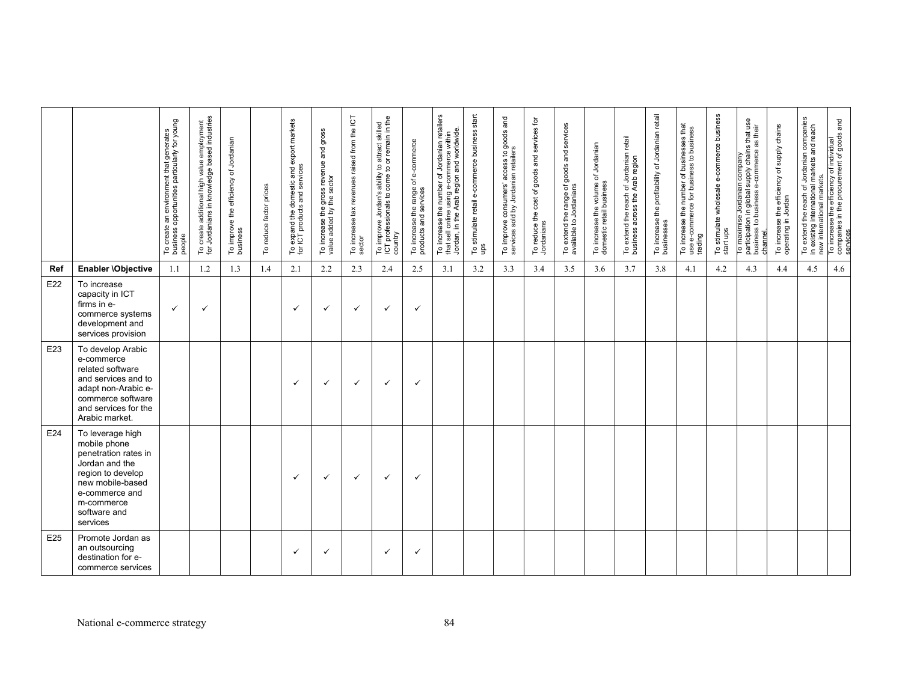|     |                                                                                                                                                                                 | To create an environment that generates<br>business opportunities particularly for young<br>people | To create additional high value employment<br>for Jordanians in knowledge based industries | To improve the efficiency of Jordanian<br>business | To reduce factor prices | To expand the domestic and export markets<br>for ICT products and services | To increase the gross revenue and gross<br>value added by the sector | To increase tax revenues raised from the ICT<br>sector | To improve Jordan's ability to attract skilled<br>ICT professionals to come to or remain in the<br>country | To increase the range of e-commerce<br>products and services | To increase the number of Jordanian retailers<br>that sell online using e-commerce within<br>Jordan, in the Arab region and worldwide | To stimulate retail e-commerce business start<br>ups | To improve consumers' access to goods and<br>services sold by Jordanian retailers | To reduce the cost of goods and services for<br>Jordanians | To extend the range of goods and services<br>available to Jordanians | To increase the volume of Jordanian<br>domestic retail business | To extend the reach of Jordanian retail<br>business across the Arab region | To increase the profitability of Jordanian retail<br>businesses | To increase the number of businesses that<br>use e-commerce for business to business<br>trading | To stimulate wholesale e-commerce business<br>start ups | To maximise Jordanian company<br>participation in global supply chains that use<br>as their<br>business to business e-commerce<br>participation in<br>channel | To increase the efficiency of supply chains<br>operating in Jordan | To extend the reach of Jordanian companies<br>in existing international markets and reach<br>new international markets<br>in existing | To increase the efficiency of individual<br>companies in the procurement of goods and<br>services |
|-----|---------------------------------------------------------------------------------------------------------------------------------------------------------------------------------|----------------------------------------------------------------------------------------------------|--------------------------------------------------------------------------------------------|----------------------------------------------------|-------------------------|----------------------------------------------------------------------------|----------------------------------------------------------------------|--------------------------------------------------------|------------------------------------------------------------------------------------------------------------|--------------------------------------------------------------|---------------------------------------------------------------------------------------------------------------------------------------|------------------------------------------------------|-----------------------------------------------------------------------------------|------------------------------------------------------------|----------------------------------------------------------------------|-----------------------------------------------------------------|----------------------------------------------------------------------------|-----------------------------------------------------------------|-------------------------------------------------------------------------------------------------|---------------------------------------------------------|---------------------------------------------------------------------------------------------------------------------------------------------------------------|--------------------------------------------------------------------|---------------------------------------------------------------------------------------------------------------------------------------|---------------------------------------------------------------------------------------------------|
| Ref | Enabler \Objective                                                                                                                                                              | 1.1                                                                                                | 1.2                                                                                        | 1.3                                                | 1.4                     | 2.1                                                                        | 2.2                                                                  | 2.3                                                    | 2.4                                                                                                        | 2.5                                                          | 3.1                                                                                                                                   | 3.2                                                  | 3.3                                                                               | 3.4                                                        | 3.5                                                                  | 3.6                                                             | 3.7                                                                        | 3.8                                                             | 4.1                                                                                             | 4.2                                                     | 4.3                                                                                                                                                           | 4.4                                                                | 4.5                                                                                                                                   | 4.6                                                                                               |
| E22 | To increase<br>capacity in ICT<br>firms in e-<br>commerce systems<br>development and<br>services provision                                                                      | ✓                                                                                                  | $\checkmark$                                                                               |                                                    |                         | ✓                                                                          | ✓                                                                    | $\checkmark$                                           | ✓                                                                                                          | $\checkmark$                                                 |                                                                                                                                       |                                                      |                                                                                   |                                                            |                                                                      |                                                                 |                                                                            |                                                                 |                                                                                                 |                                                         |                                                                                                                                                               |                                                                    |                                                                                                                                       |                                                                                                   |
| E23 | To develop Arabic<br>e-commerce<br>related software<br>and services and to<br>adapt non-Arabic e-<br>commerce software<br>and services for the<br>Arabic market.                |                                                                                                    |                                                                                            |                                                    |                         | ✓                                                                          | $\checkmark$                                                         | $\checkmark$                                           | ✓                                                                                                          | $\checkmark$                                                 |                                                                                                                                       |                                                      |                                                                                   |                                                            |                                                                      |                                                                 |                                                                            |                                                                 |                                                                                                 |                                                         |                                                                                                                                                               |                                                                    |                                                                                                                                       |                                                                                                   |
| E24 | To leverage high<br>mobile phone<br>penetration rates in<br>Jordan and the<br>region to develop<br>new mobile-based<br>e-commerce and<br>m-commerce<br>software and<br>services |                                                                                                    |                                                                                            |                                                    |                         | ✓                                                                          | $\checkmark$                                                         | $\checkmark$                                           | ✓                                                                                                          | $\checkmark$                                                 |                                                                                                                                       |                                                      |                                                                                   |                                                            |                                                                      |                                                                 |                                                                            |                                                                 |                                                                                                 |                                                         |                                                                                                                                                               |                                                                    |                                                                                                                                       |                                                                                                   |
| E25 | Promote Jordan as<br>an outsourcing<br>destination for e-<br>commerce services                                                                                                  |                                                                                                    |                                                                                            |                                                    |                         | ✓                                                                          | ✓                                                                    |                                                        | ✓                                                                                                          | ✓                                                            |                                                                                                                                       |                                                      |                                                                                   |                                                            |                                                                      |                                                                 |                                                                            |                                                                 |                                                                                                 |                                                         |                                                                                                                                                               |                                                                    |                                                                                                                                       |                                                                                                   |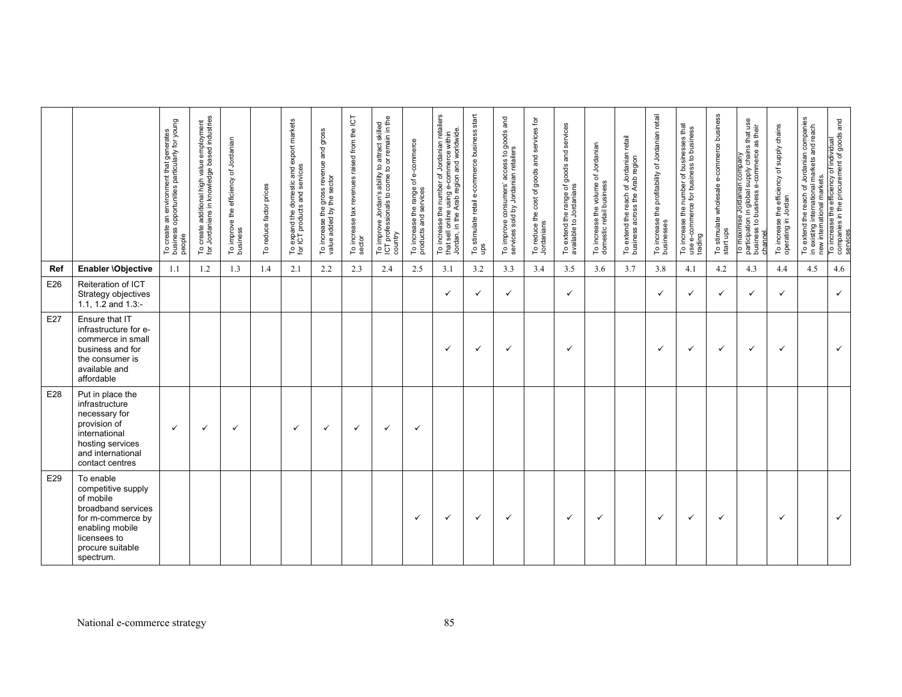|     |                                                                                                                                                             | To create an environment that generates<br>business opportunities particularly for young<br>people | To create additional high value employment<br>for Jordanians in knowledge based industries | To improve the efficiency of Jordanian<br>business | To reduce factor prices | To expand the domestic and export markets<br>for ICT products and services | To increase the gross revenue and gross<br>value added by the sector | To increase tax revenues raised from the ICT<br>sector | To improve Jordan's ability to attract skilled<br>ICT professionals to come to or remain in the<br>country | To increase the range of e-commerce<br>products and services | To increase the number of Jordanian retailers<br>Arab region and worldwide<br>with<br>e-commerce<br>using<br>that sell online<br>Jordan, in the | To stimulate retail e-commerce business start<br>ups | To improve consumers' access to goods and<br>services sold by Jordanian retailers | To reduce the cost of goods and services for<br>Jordanians | To extend the range of goods and services<br>available to Jordanians | To increase the volume of Jordanian<br>domestic retail business | To extend the reach of Jordanian retail<br>business across the Arab region | To increase the profitability of Jordanian retail<br>businesses | To increase the number of businesses that<br>use e-commerce for business to business<br>trading | To stimulate wholesale e-commerce business<br>start ups | supply chains that use<br>their<br>æ<br>e-commerce<br>To maximise Jordanian company<br>in global<br>participation in global<br>business to business<br>channel | To increase the efficiency of supply chains<br>operating in Jordan | the reach of Jordanian companies<br>international markets and reach<br>To extend t<br>in existing i | new international markets.<br>To increase the efficiency of individual<br>companies in the procurement of goods and |
|-----|-------------------------------------------------------------------------------------------------------------------------------------------------------------|----------------------------------------------------------------------------------------------------|--------------------------------------------------------------------------------------------|----------------------------------------------------|-------------------------|----------------------------------------------------------------------------|----------------------------------------------------------------------|--------------------------------------------------------|------------------------------------------------------------------------------------------------------------|--------------------------------------------------------------|-------------------------------------------------------------------------------------------------------------------------------------------------|------------------------------------------------------|-----------------------------------------------------------------------------------|------------------------------------------------------------|----------------------------------------------------------------------|-----------------------------------------------------------------|----------------------------------------------------------------------------|-----------------------------------------------------------------|-------------------------------------------------------------------------------------------------|---------------------------------------------------------|----------------------------------------------------------------------------------------------------------------------------------------------------------------|--------------------------------------------------------------------|-----------------------------------------------------------------------------------------------------|---------------------------------------------------------------------------------------------------------------------|
| Ref | Enabler \Objective                                                                                                                                          | 1.1                                                                                                | 1.2                                                                                        | 1.3                                                | 1.4                     | 2.1                                                                        | 2.2                                                                  | 2.3                                                    | 2.4                                                                                                        | 2.5                                                          | 3.1                                                                                                                                             | 3.2                                                  | 3.3                                                                               | 3.4                                                        | 3.5                                                                  | 3.6                                                             | 3.7                                                                        | 3.8                                                             | 4.1                                                                                             | 4.2                                                     | 4.3                                                                                                                                                            | 4.4                                                                | 4.5                                                                                                 | 4.6                                                                                                                 |
| E26 | Reiteration of ICT<br>Strategy objectives<br>1.1, 1.2 and $1.3$ :-                                                                                          |                                                                                                    |                                                                                            |                                                    |                         |                                                                            |                                                                      |                                                        |                                                                                                            |                                                              | $\checkmark$                                                                                                                                    | $\checkmark$                                         | ✓                                                                                 |                                                            | $\checkmark$                                                         |                                                                 |                                                                            | ✓                                                               | ✓                                                                                               | $\checkmark$                                            | $\checkmark$                                                                                                                                                   | $\checkmark$                                                       |                                                                                                     | $\checkmark$                                                                                                        |
| E27 | Ensure that IT<br>infrastructure for e-<br>commerce in small<br>business and for<br>the consumer is<br>available and<br>affordable                          |                                                                                                    |                                                                                            |                                                    |                         |                                                                            |                                                                      |                                                        |                                                                                                            |                                                              | $\checkmark$                                                                                                                                    | $\checkmark$                                         | $\checkmark$                                                                      |                                                            | ✓                                                                    |                                                                 |                                                                            | $\checkmark$                                                    | ✓                                                                                               | $\checkmark$                                            | $\checkmark$                                                                                                                                                   | $\checkmark$                                                       |                                                                                                     | $\checkmark$                                                                                                        |
| E28 | Put in place the<br>infrastructure<br>necessary for<br>provision of<br>international<br>hosting services<br>and international<br>contact centres            | ✓                                                                                                  | $\checkmark$                                                                               | $\checkmark$                                       |                         | ✓                                                                          | ✓                                                                    | ✓                                                      | ✓                                                                                                          | $\checkmark$                                                 |                                                                                                                                                 |                                                      |                                                                                   |                                                            |                                                                      |                                                                 |                                                                            |                                                                 |                                                                                                 |                                                         |                                                                                                                                                                |                                                                    |                                                                                                     |                                                                                                                     |
| E29 | To enable<br>competitive supply<br>of mobile<br>broadband services<br>for m-commerce by<br>enabling mobile<br>licensees to<br>procure suitable<br>spectrum. |                                                                                                    |                                                                                            |                                                    |                         |                                                                            |                                                                      |                                                        |                                                                                                            | ✓                                                            | $\checkmark$                                                                                                                                    | $\checkmark$                                         | $\checkmark$                                                                      |                                                            | $\checkmark$                                                         | ✓                                                               |                                                                            | $\checkmark$                                                    | $\checkmark$                                                                                    | ✓                                                       |                                                                                                                                                                | $\checkmark$                                                       |                                                                                                     | $\checkmark$                                                                                                        |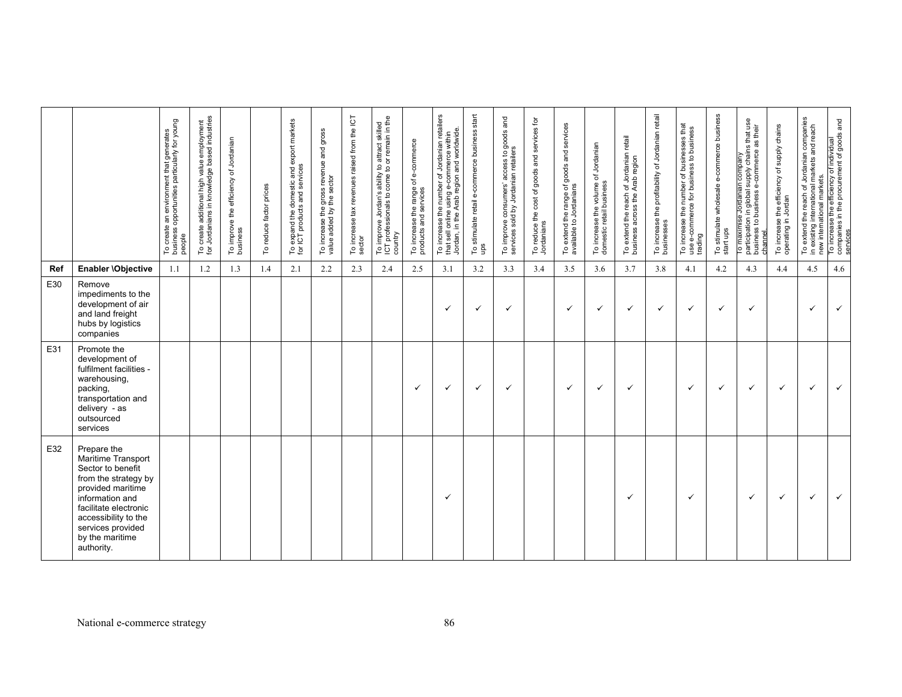|     |                                                                                                                                                                                                                               | To create an environment that generates<br>business opportunities particularly for young<br>people | To create additional high value employment<br>for Jordanians in knowledge based industries | To improve the efficiency of Jordanian<br>business | To reduce factor prices | To expand the domestic and export markets<br>for ICT products and services | To increase the gross revenue and gross<br>value added by the sector | To increase tax revenues raised from the ICT<br>sector | To improve Jordan's ability to attract skilled<br>ICT professionals to come to or remain in the<br>country | To increase the range of e-commerce<br>products and services | To increase the number of Jordanian retailers<br>that sell online using e-commerce within<br>Jordan, in the Arab region and worldwide<br>that sell online | stimulate retail e-commerce business start<br>e<br>s o 1 | To improve consumers' access to goods and<br>services sold by Jordanian retailers | To reduce the cost of goods and services for<br>Jordanians | To extend the range of goods and services<br>available to Jordanians | To increase the volume of Jordanian<br>domestic retail business | To extend the reach of Jordanian retail<br>business across the Arab region | To increase the profitability of Jordanian retail<br>businesses | To increase the number of businesses that<br>use e-commerce for business to business<br>trading | To stimulate wholesale e-commerce business<br>start ups | ro maximise Jordanian company<br>participation in global supply chains that use<br>business to business e-commerce as their<br>channel. | To increase the efficiency of supply chains<br>operating in Jordan | To extend the reach of Jordanian companies<br>in existing international markets and reach<br>in existing | new international markets.<br>To increase the efficiency of individual<br>companies in the procurement of goods and |
|-----|-------------------------------------------------------------------------------------------------------------------------------------------------------------------------------------------------------------------------------|----------------------------------------------------------------------------------------------------|--------------------------------------------------------------------------------------------|----------------------------------------------------|-------------------------|----------------------------------------------------------------------------|----------------------------------------------------------------------|--------------------------------------------------------|------------------------------------------------------------------------------------------------------------|--------------------------------------------------------------|-----------------------------------------------------------------------------------------------------------------------------------------------------------|----------------------------------------------------------|-----------------------------------------------------------------------------------|------------------------------------------------------------|----------------------------------------------------------------------|-----------------------------------------------------------------|----------------------------------------------------------------------------|-----------------------------------------------------------------|-------------------------------------------------------------------------------------------------|---------------------------------------------------------|-----------------------------------------------------------------------------------------------------------------------------------------|--------------------------------------------------------------------|----------------------------------------------------------------------------------------------------------|---------------------------------------------------------------------------------------------------------------------|
| Ref | Enabler \Objective                                                                                                                                                                                                            | 1.1                                                                                                | 1.2                                                                                        | 1.3                                                | 1.4                     | 2.1                                                                        | 2.2                                                                  | 2.3                                                    | 2.4                                                                                                        | 2.5                                                          | 3.1                                                                                                                                                       | 3.2                                                      | 3.3                                                                               | 3.4                                                        | 3.5                                                                  | 3.6                                                             | 3.7                                                                        | 3.8                                                             | 4.1                                                                                             | 4.2                                                     | 4.3                                                                                                                                     | 4.4                                                                | 4.5                                                                                                      | 4.6                                                                                                                 |
| E30 | Remove<br>impediments to the<br>development of air<br>and land freight<br>hubs by logistics<br>companies                                                                                                                      |                                                                                                    |                                                                                            |                                                    |                         |                                                                            |                                                                      |                                                        |                                                                                                            |                                                              | ✓                                                                                                                                                         | $\checkmark$                                             | ✓                                                                                 |                                                            | $\checkmark$                                                         | ✓                                                               | ✓                                                                          | ✓                                                               | ✓                                                                                               | ✓                                                       | $\checkmark$                                                                                                                            |                                                                    | ✓                                                                                                        | $\checkmark$                                                                                                        |
| E31 | Promote the<br>development of<br>fulfilment facilities -<br>warehousing,<br>packing,<br>transportation and<br>delivery - as<br>outsourced<br>services                                                                         |                                                                                                    |                                                                                            |                                                    |                         |                                                                            |                                                                      |                                                        |                                                                                                            | $\checkmark$                                                 | $\checkmark$                                                                                                                                              | $\checkmark$                                             | ✓                                                                                 |                                                            | $\checkmark$                                                         | ✓                                                               | ✓                                                                          |                                                                 | ✓                                                                                               | $\checkmark$                                            | $\checkmark$                                                                                                                            | $\checkmark$                                                       | $\checkmark$                                                                                             | $\checkmark$                                                                                                        |
| E32 | Prepare the<br>Maritime Transport<br>Sector to benefit<br>from the strategy by<br>provided maritime<br>information and<br>facilitate electronic<br>accessibility to the<br>services provided<br>by the maritime<br>authority. |                                                                                                    |                                                                                            |                                                    |                         |                                                                            |                                                                      |                                                        |                                                                                                            |                                                              | $\checkmark$                                                                                                                                              |                                                          |                                                                                   |                                                            |                                                                      |                                                                 | $\checkmark$                                                               |                                                                 | ✓                                                                                               |                                                         | ✓                                                                                                                                       | $\checkmark$                                                       | ✓                                                                                                        | $\checkmark$                                                                                                        |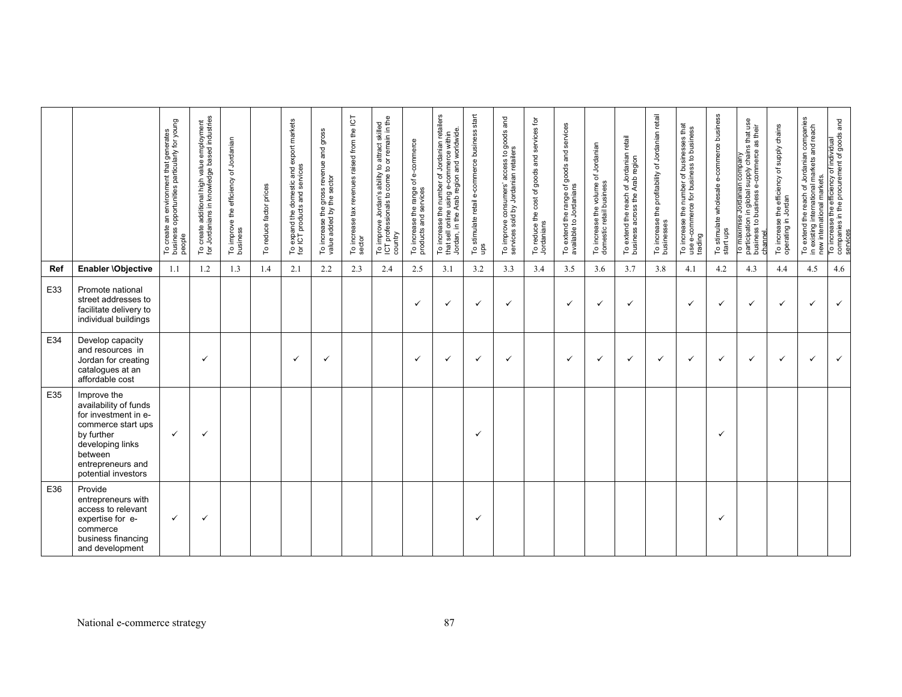|            |                                                                                                                                                                             | To create an environment that generates<br>business opportunities particularly for young<br>people | To create additional high value employment<br>for Jordanians in knowledge based industries | To improve the efficiency of Jordanian<br>business | To reduce factor prices | To expand the domestic and export markets<br>for ICT products and services | To increase the gross revenue and gross<br>value added by the sector | To increase tax revenues raised from the ICT<br>sector | To improve Jordan's ability to attract skilled<br>ICT professionals to come to or remain in the<br>country | To increase the range of e-commerce<br>products and services | To increase the number of Jordanian retailers<br>Jordan, in the Arab region and worldwide<br>commerce within<br>ě<br>using<br>online<br><b>U</b> ss<br>that: | To stimulate retail e-commerce business start<br>ups | To improve consumers' access to goods and<br>services sold by Jordanian retailers | To reduce the cost of goods and services for<br>Jordanians | To extend the range of goods and services<br>available to Jordanians | To increase the volume of Jordanian<br>domestic retail business | To extend the reach of Jordanian retail<br>business across the Arab region | To increase the profitability of Jordanian retail<br>businesses | To increase the number of businesses that<br>use e-commerce for business to business<br>trading | To stimulate wholesale e-commerce business<br>start ups | To maximise Jordanian company<br>participation in global supply chains that use<br>business to business e-commerce as their<br>channel | efficiency of supply chains<br>Jordan<br>the<br>To increase to<br>operating in | To extend the reach of Jordanian companies<br>in existing international markets and reach<br>markets.<br>new international | To increase the efficiency of individual<br>companies in the procurement of goods and<br>services |
|------------|-----------------------------------------------------------------------------------------------------------------------------------------------------------------------------|----------------------------------------------------------------------------------------------------|--------------------------------------------------------------------------------------------|----------------------------------------------------|-------------------------|----------------------------------------------------------------------------|----------------------------------------------------------------------|--------------------------------------------------------|------------------------------------------------------------------------------------------------------------|--------------------------------------------------------------|--------------------------------------------------------------------------------------------------------------------------------------------------------------|------------------------------------------------------|-----------------------------------------------------------------------------------|------------------------------------------------------------|----------------------------------------------------------------------|-----------------------------------------------------------------|----------------------------------------------------------------------------|-----------------------------------------------------------------|-------------------------------------------------------------------------------------------------|---------------------------------------------------------|----------------------------------------------------------------------------------------------------------------------------------------|--------------------------------------------------------------------------------|----------------------------------------------------------------------------------------------------------------------------|---------------------------------------------------------------------------------------------------|
| <b>Ref</b> | Enabler \Objective                                                                                                                                                          | 1.1                                                                                                | 1.2                                                                                        | 1.3                                                | 1.4                     | 2.1                                                                        | 2.2                                                                  | 2.3                                                    | 2.4                                                                                                        | 2.5                                                          | 3.1                                                                                                                                                          | 3.2                                                  | 3.3                                                                               | 3.4                                                        | 3.5                                                                  | 3.6                                                             | 3.7                                                                        | 3.8                                                             | 4.1                                                                                             | 4.2                                                     | 4.3                                                                                                                                    | 4.4                                                                            | 4.5                                                                                                                        | 4.6                                                                                               |
| E33        | Promote national<br>street addresses to<br>facilitate delivery to<br>individual buildings                                                                                   |                                                                                                    |                                                                                            |                                                    |                         |                                                                            |                                                                      |                                                        |                                                                                                            | $\checkmark$                                                 | $\checkmark$                                                                                                                                                 | $\checkmark$                                         | $\checkmark$                                                                      |                                                            | $\checkmark$                                                         | $\checkmark$                                                    | $\checkmark$                                                               |                                                                 | ✓                                                                                               | ✓                                                       | $\checkmark$                                                                                                                           | $\checkmark$                                                                   | ✓                                                                                                                          | $\checkmark$                                                                                      |
| E34        | Develop capacity<br>and resources in<br>Jordan for creating<br>catalogues at an<br>affordable cost                                                                          |                                                                                                    | $\checkmark$                                                                               |                                                    |                         | ✓                                                                          | ✓                                                                    |                                                        |                                                                                                            | $\checkmark$                                                 | ✓                                                                                                                                                            | ✓                                                    | $\checkmark$                                                                      |                                                            | $\checkmark$                                                         | $\checkmark$                                                    | ✓                                                                          | $\checkmark$                                                    | ✓                                                                                               | ✓                                                       | $\checkmark$                                                                                                                           | $\checkmark$                                                                   | ✓                                                                                                                          | $\checkmark$                                                                                      |
| E35        | Improve the<br>availability of funds<br>for investment in e-<br>commerce start ups<br>by further<br>developing links<br>between<br>entrepreneurs and<br>potential investors | $\checkmark$                                                                                       | $\checkmark$                                                                               |                                                    |                         |                                                                            |                                                                      |                                                        |                                                                                                            |                                                              |                                                                                                                                                              | ✓                                                    |                                                                                   |                                                            |                                                                      |                                                                 |                                                                            |                                                                 |                                                                                                 | ✓                                                       |                                                                                                                                        |                                                                                |                                                                                                                            |                                                                                                   |
| E36        | Provide<br>entrepreneurs with<br>access to relevant<br>expertise for e-<br>commerce<br>business financing<br>and development                                                | $\checkmark$                                                                                       | $\checkmark$                                                                               |                                                    |                         |                                                                            |                                                                      |                                                        |                                                                                                            |                                                              |                                                                                                                                                              | ✓                                                    |                                                                                   |                                                            |                                                                      |                                                                 |                                                                            |                                                                 |                                                                                                 | ✓                                                       |                                                                                                                                        |                                                                                |                                                                                                                            |                                                                                                   |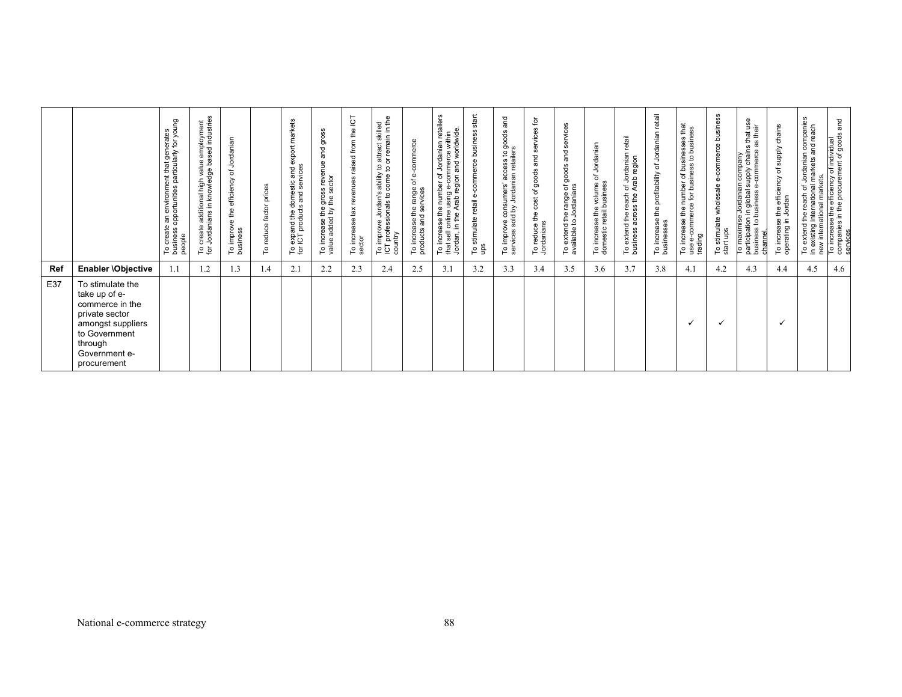|     |                                                                                                                                                         | To create an environment that generates<br>business opportunities particularly for young<br>people | To create additional high value employment<br>for Jordanians in knowledge based industries | Jordanian<br>৳<br>efficiency<br>To improve the e<br>business | prices<br>factor<br>reduce<br>٥ | export markets<br>services<br>and<br>To expand the domestic<br>for ICT products and ser | and gross<br>To increase the gross revenue<br>value added by the sector | the ICT<br>from<br>raised<br>revenues<br>To increase tax<br>sector | To improve Jordan's ability to attract skilled<br>ICT professionals to come to or remain in the<br>country | To increase the range of e-commerce<br>products and services | number of Jordanian retailers<br>using e-commerce within<br>Arab region and worldwide<br>increase the<br>sell online<br>Jordan, in the<br>that<br>으 | start<br>To stimulate retail e-commerce business<br>ups | and<br>To improve consumers' access to goods<br>services sold by Jordanian retailers | 흐<br>and services<br>To reduce the cost of goods<br>Jordanians | services<br>and<br>goods<br>d the range of g<br>to Jordanians<br>To extend<br>available to | To increase the volume of Jordanian<br>domestic retail business | To extend the reach of Jordanian retail<br>business across the Arab region | retail<br>Jordanian<br>đ<br>profitability<br>To increase the<br>businesses | To increase the number of businesses that<br>use e-commerce for business to business<br>trading | To stimulate wholesale e-commerce business<br>start ups | in company<br>supply chains that use<br>their<br>æ<br>commerce<br>e Jordanian o<br>n in global su<br>business e-c<br>To maximise<br>participation in<br>business to bu<br>channel | To increase the efficiency of supply chains<br>operating in Jordan | To extend the reach of Jordanian companies<br>in existing international markets and reach | and<br>new international markets.<br>To increase the efficiency of individual<br>companies in the procurement of goods<br>service |
|-----|---------------------------------------------------------------------------------------------------------------------------------------------------------|----------------------------------------------------------------------------------------------------|--------------------------------------------------------------------------------------------|--------------------------------------------------------------|---------------------------------|-----------------------------------------------------------------------------------------|-------------------------------------------------------------------------|--------------------------------------------------------------------|------------------------------------------------------------------------------------------------------------|--------------------------------------------------------------|-----------------------------------------------------------------------------------------------------------------------------------------------------|---------------------------------------------------------|--------------------------------------------------------------------------------------|----------------------------------------------------------------|--------------------------------------------------------------------------------------------|-----------------------------------------------------------------|----------------------------------------------------------------------------|----------------------------------------------------------------------------|-------------------------------------------------------------------------------------------------|---------------------------------------------------------|-----------------------------------------------------------------------------------------------------------------------------------------------------------------------------------|--------------------------------------------------------------------|-------------------------------------------------------------------------------------------|-----------------------------------------------------------------------------------------------------------------------------------|
| Ref | Enabler \Objective                                                                                                                                      | 1.1                                                                                                | 1.2                                                                                        | 1.3                                                          | l.4                             | 2.1                                                                                     | 2.2                                                                     | 2.3                                                                | 2.4                                                                                                        | 2.5                                                          | 3.1                                                                                                                                                 | 3.2                                                     | 3.3                                                                                  | 3.4                                                            | 3.5                                                                                        | 3.6                                                             | 3.7                                                                        | 3.8                                                                        | 4.1                                                                                             | 4.2                                                     | 4.3                                                                                                                                                                               | 4.4                                                                | 4.5                                                                                       | 4.6                                                                                                                               |
| E37 | To stimulate the<br>take up of e-<br>commerce in the<br>private sector<br>amongst suppliers<br>to Government<br>through<br>Government e-<br>procurement |                                                                                                    |                                                                                            |                                                              |                                 |                                                                                         |                                                                         |                                                                    |                                                                                                            |                                                              |                                                                                                                                                     |                                                         |                                                                                      |                                                                |                                                                                            |                                                                 |                                                                            |                                                                            |                                                                                                 |                                                         |                                                                                                                                                                                   |                                                                    |                                                                                           |                                                                                                                                   |